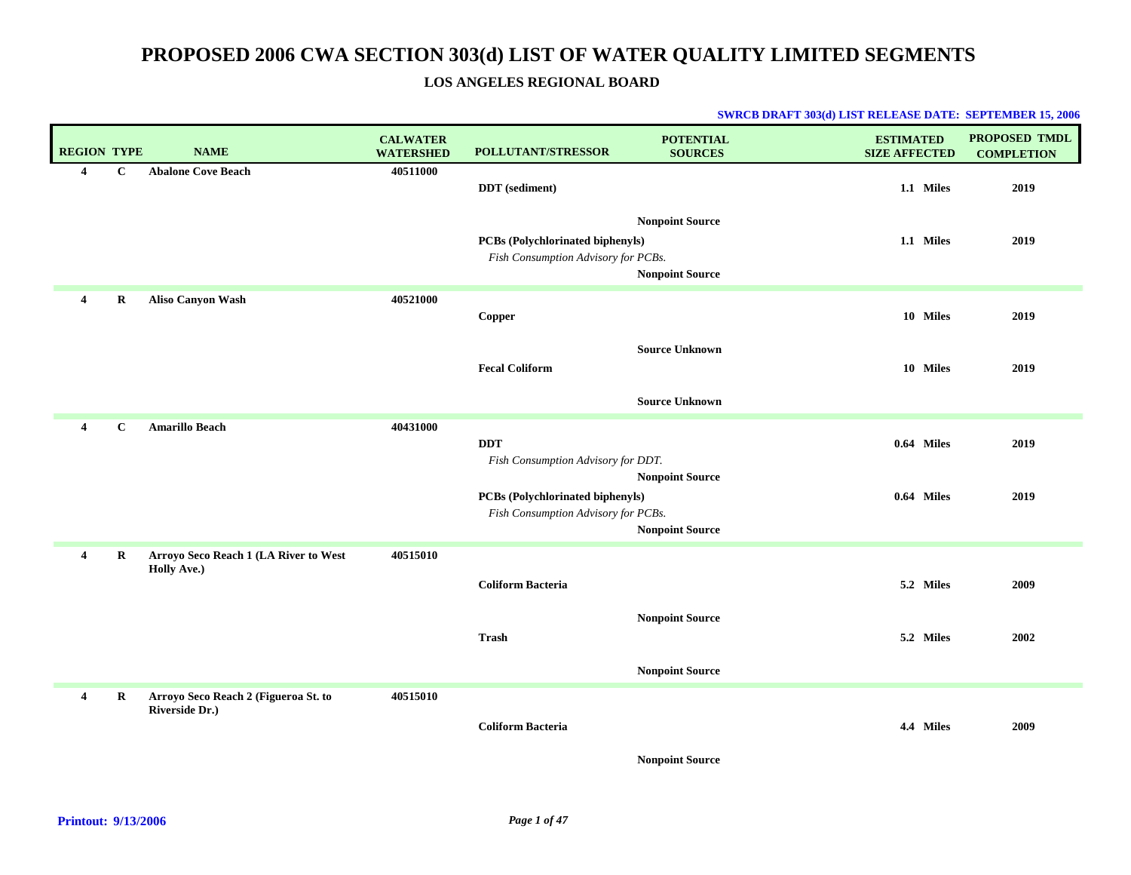**LOS ANGELES REGIONAL BOARD**

| <b>REGION TYPE</b>      |             | <b>NAME</b>                                            | <b>CALWATER</b><br><b>WATERSHED</b> | <b>POLLUTANT/STRESSOR</b>                                                      | <b>POTENTIAL</b><br><b>SOURCES</b>               | <b>ESTIMATED</b><br><b>SIZE AFFECTED</b> | <b>PROPOSED TMDL</b><br><b>COMPLETION</b> |
|-------------------------|-------------|--------------------------------------------------------|-------------------------------------|--------------------------------------------------------------------------------|--------------------------------------------------|------------------------------------------|-------------------------------------------|
| $\overline{\mathbf{4}}$ | $\mathbf C$ | <b>Abalone Cove Beach</b>                              | 40511000                            | <b>DDT</b> (sediment)                                                          |                                                  | 1.1 Miles                                | 2019                                      |
|                         |             |                                                        |                                     | PCBs (Polychlorinated biphenyls)<br>Fish Consumption Advisory for PCBs.        | <b>Nonpoint Source</b><br><b>Nonpoint Source</b> | 1.1 Miles                                | 2019                                      |
| $\overline{4}$          | R           | <b>Aliso Canyon Wash</b>                               | 40521000                            | Copper                                                                         |                                                  | 10 Miles                                 | 2019                                      |
|                         |             |                                                        |                                     | <b>Fecal Coliform</b>                                                          | <b>Source Unknown</b>                            | 10 Miles                                 | 2019                                      |
|                         |             |                                                        |                                     |                                                                                | <b>Source Unknown</b>                            |                                          |                                           |
| $\overline{\mathbf{4}}$ | $\mathbf C$ | <b>Amarillo Beach</b>                                  | 40431000                            | <b>DDT</b><br>Fish Consumption Advisory for DDT.                               |                                                  | 0.64 Miles                               | 2019                                      |
|                         |             |                                                        |                                     | <b>PCBs</b> (Polychlorinated biphenyls)<br>Fish Consumption Advisory for PCBs. | <b>Nonpoint Source</b><br><b>Nonpoint Source</b> | 0.64 Miles                               | 2019                                      |
| $\overline{\mathbf{4}}$ | R           | Arroyo Seco Reach 1 (LA River to West                  | 40515010                            |                                                                                |                                                  |                                          |                                           |
|                         |             | Holly Ave.)                                            |                                     | <b>Coliform Bacteria</b>                                                       |                                                  | 5.2 Miles                                | 2009                                      |
|                         |             |                                                        |                                     | <b>Trash</b>                                                                   | <b>Nonpoint Source</b>                           | 5.2 Miles                                | 2002                                      |
|                         |             |                                                        |                                     |                                                                                | <b>Nonpoint Source</b>                           |                                          |                                           |
| 4                       | R           | Arroyo Seco Reach 2 (Figueroa St. to<br>Riverside Dr.) | 40515010                            | <b>Coliform Bacteria</b>                                                       | <b>Nonpoint Source</b>                           | 4.4 Miles                                | 2009                                      |
|                         |             |                                                        |                                     |                                                                                |                                                  |                                          |                                           |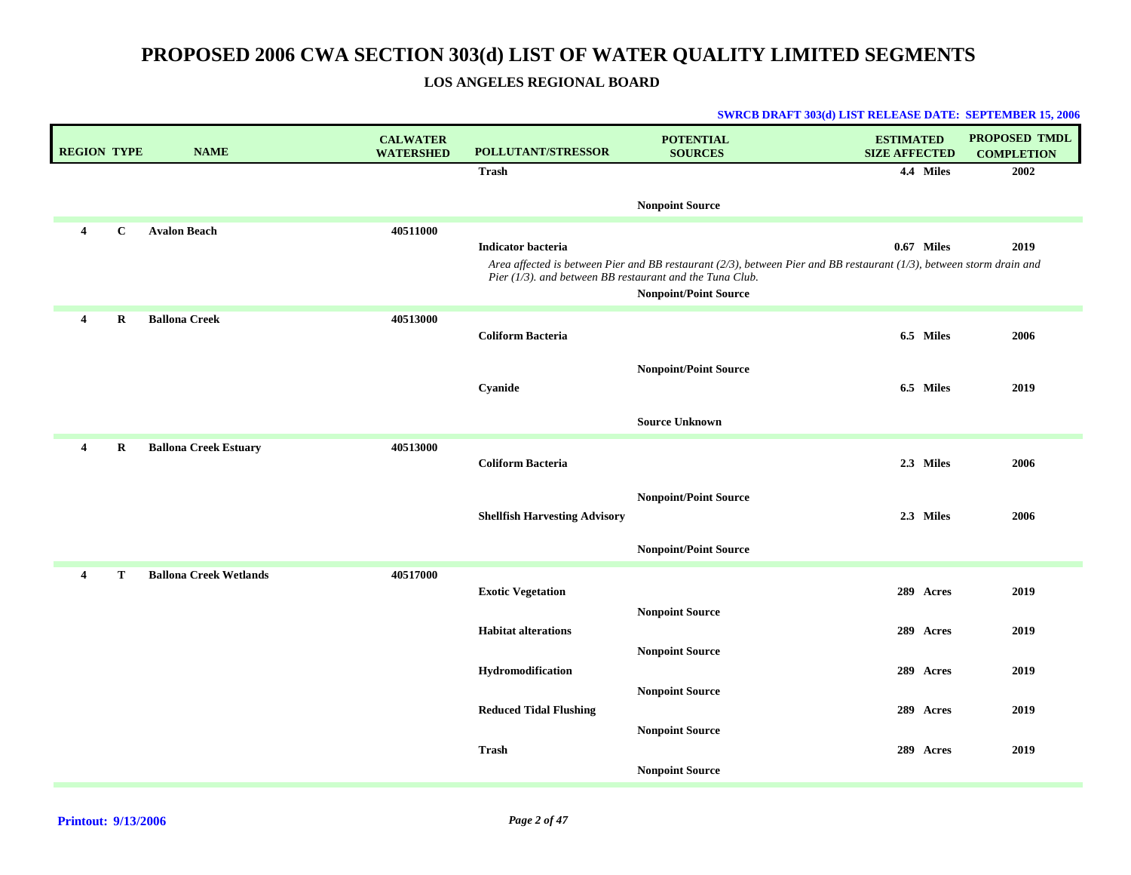**LOS ANGELES REGIONAL BOARD**

| <b>REGION TYPE</b>      |              | <b>NAME</b>                   | <b>CALWATER</b><br><b>WATERSHED</b> | POLLUTANT/STRESSOR                                                                       | <b>POTENTIAL</b><br><b>SOURCES</b>                                                                                                                   | <b>ESTIMATED</b><br><b>SIZE AFFECTED</b> | <b>PROPOSED TMDL</b><br><b>COMPLETION</b> |
|-------------------------|--------------|-------------------------------|-------------------------------------|------------------------------------------------------------------------------------------|------------------------------------------------------------------------------------------------------------------------------------------------------|------------------------------------------|-------------------------------------------|
|                         |              |                               |                                     | <b>Trash</b>                                                                             |                                                                                                                                                      | 4.4 Miles                                | 2002                                      |
|                         |              |                               |                                     |                                                                                          | <b>Nonpoint Source</b>                                                                                                                               |                                          |                                           |
| $\overline{4}$          | $\mathbf{C}$ | <b>Avalon Beach</b>           | 40511000                            | <b>Indicator bacteria</b><br>Pier $(1/3)$ . and between BB restaurant and the Tuna Club. | Area affected is between Pier and BB restaurant (2/3), between Pier and BB restaurant (1/3), between storm drain and<br><b>Nonpoint/Point Source</b> | 0.67 Miles                               | 2019                                      |
| $\overline{4}$          | $\mathbf R$  | <b>Ballona Creek</b>          | 40513000                            | <b>Coliform Bacteria</b>                                                                 |                                                                                                                                                      | 6.5 Miles                                | 2006                                      |
|                         |              |                               |                                     | Cyanide                                                                                  | <b>Nonpoint/Point Source</b>                                                                                                                         | 6.5 Miles                                | 2019                                      |
|                         |              |                               |                                     |                                                                                          | <b>Source Unknown</b>                                                                                                                                |                                          |                                           |
| 4                       | R            | <b>Ballona Creek Estuary</b>  | 40513000                            | <b>Coliform Bacteria</b>                                                                 |                                                                                                                                                      | 2.3 Miles                                | 2006                                      |
|                         |              |                               |                                     | <b>Shellfish Harvesting Advisory</b>                                                     | <b>Nonpoint/Point Source</b>                                                                                                                         | 2.3 Miles                                | 2006                                      |
|                         |              |                               |                                     |                                                                                          | <b>Nonpoint/Point Source</b>                                                                                                                         |                                          |                                           |
| $\overline{\mathbf{4}}$ | т            | <b>Ballona Creek Wetlands</b> | 40517000                            | <b>Exotic Vegetation</b>                                                                 |                                                                                                                                                      | 289 Acres                                | 2019                                      |
|                         |              |                               |                                     | <b>Habitat alterations</b>                                                               | <b>Nonpoint Source</b><br><b>Nonpoint Source</b>                                                                                                     | 289 Acres                                | 2019                                      |
|                         |              |                               |                                     | Hydromodification                                                                        |                                                                                                                                                      | 289 Acres                                | 2019                                      |
|                         |              |                               |                                     | <b>Reduced Tidal Flushing</b>                                                            | <b>Nonpoint Source</b>                                                                                                                               | 289 Acres                                | 2019                                      |
|                         |              |                               |                                     | <b>Trash</b>                                                                             | <b>Nonpoint Source</b><br><b>Nonpoint Source</b>                                                                                                     | 289 Acres                                | 2019                                      |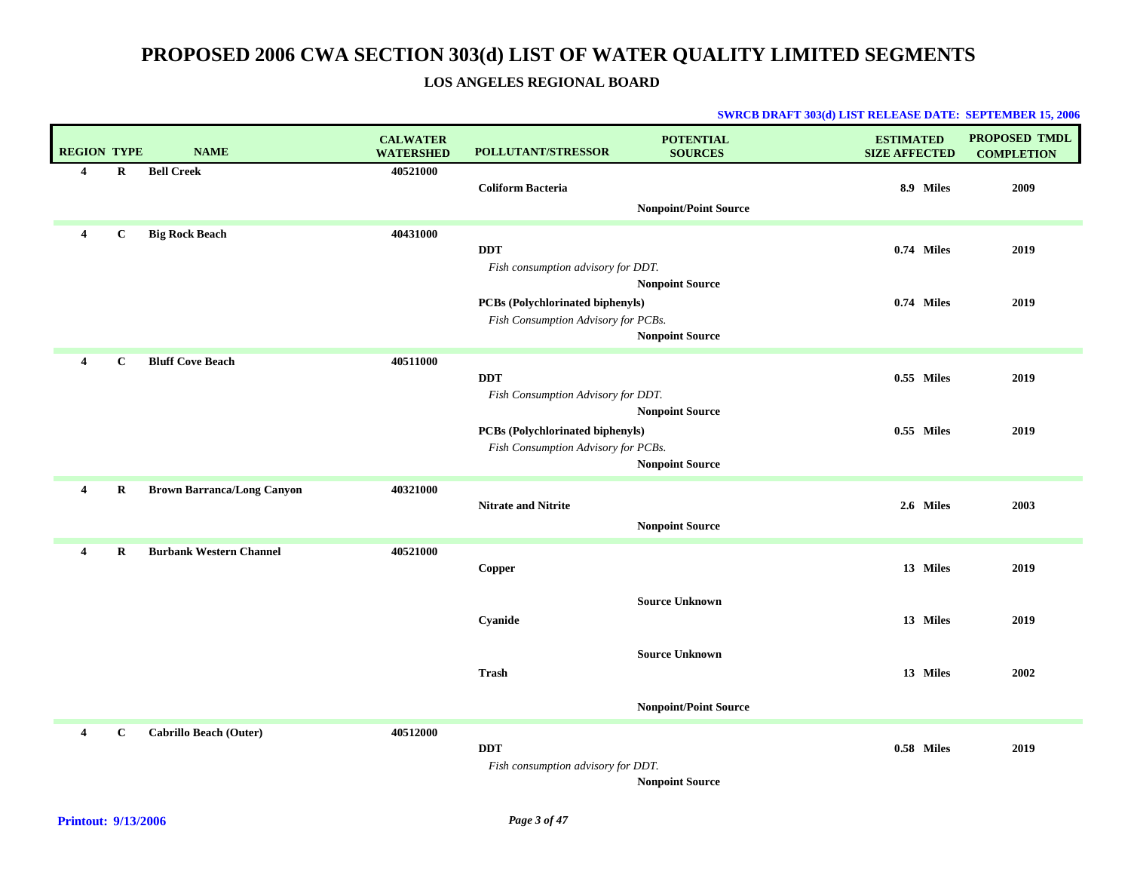**LOS ANGELES REGIONAL BOARD**

| <b>REGION TYPE</b>      |             | <b>NAME</b>                       | <b>CALWATER</b><br><b>WATERSHED</b> | <b>POLLUTANT/STRESSOR</b>                                                      | <b>POTENTIAL</b><br><b>SOURCES</b>             | <b>ESTIMATED</b><br><b>SIZE AFFECTED</b> | <b>PROPOSED TMDL</b><br><b>COMPLETION</b> |
|-------------------------|-------------|-----------------------------------|-------------------------------------|--------------------------------------------------------------------------------|------------------------------------------------|------------------------------------------|-------------------------------------------|
| $\overline{\mathbf{4}}$ | $\bf R$     | <b>Bell Creek</b>                 | 40521000                            | <b>Coliform Bacteria</b>                                                       | <b>Nonpoint/Point Source</b>                   | 8.9 Miles                                | 2009                                      |
| $\overline{4}$          | $\mathbf C$ | <b>Big Rock Beach</b>             | 40431000                            | <b>DDT</b><br>Fish consumption advisory for DDT.                               | <b>Nonpoint Source</b>                         | 0.74 Miles                               | 2019                                      |
|                         |             |                                   |                                     | <b>PCBs (Polychlorinated biphenyls)</b><br>Fish Consumption Advisory for PCBs. | <b>Nonpoint Source</b>                         | 0.74 Miles                               | 2019                                      |
| $\overline{4}$          | $\mathbf C$ | <b>Bluff Cove Beach</b>           | 40511000                            | <b>DDT</b><br>Fish Consumption Advisory for DDT.                               | <b>Nonpoint Source</b>                         | 0.55 Miles                               | 2019                                      |
|                         |             |                                   |                                     | PCBs (Polychlorinated biphenyls)<br>Fish Consumption Advisory for PCBs.        | <b>Nonpoint Source</b>                         | 0.55 Miles                               | 2019                                      |
| 4                       | R           | <b>Brown Barranca/Long Canyon</b> | 40321000                            | <b>Nitrate and Nitrite</b>                                                     | <b>Nonpoint Source</b>                         | 2.6 Miles                                | 2003                                      |
| 4                       | $\bf{R}$    | <b>Burbank Western Channel</b>    | 40521000                            | Copper                                                                         |                                                | 13 Miles                                 | 2019                                      |
|                         |             |                                   |                                     | Cyanide                                                                        | <b>Source Unknown</b><br><b>Source Unknown</b> | 13 Miles                                 | 2019                                      |
|                         |             |                                   |                                     | <b>Trash</b>                                                                   | <b>Nonpoint/Point Source</b>                   | 13 Miles                                 | 2002                                      |
| 4                       | $\mathbf c$ | <b>Cabrillo Beach (Outer)</b>     | 40512000                            | <b>DDT</b><br>Fish consumption advisory for DDT.                               | <b>Nonpoint Source</b>                         | 0.58 Miles                               | 2019                                      |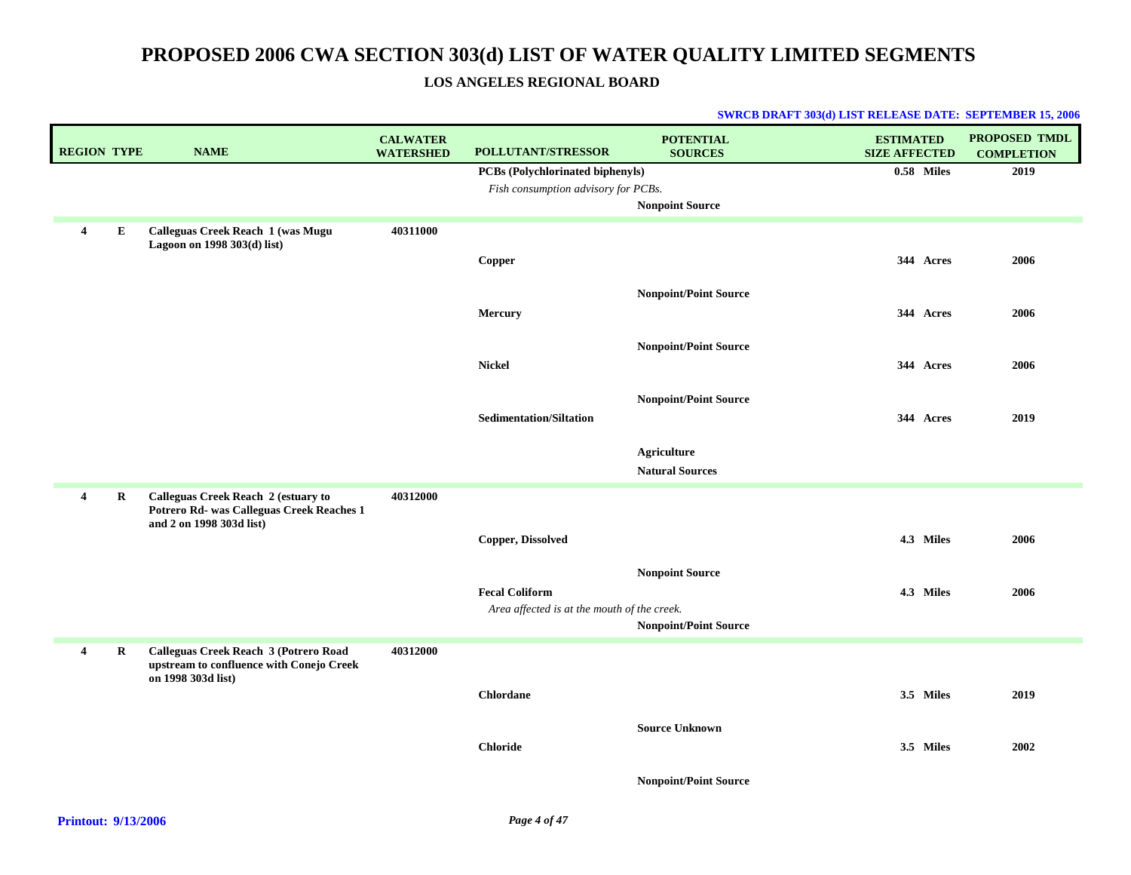### **LOS ANGELES REGIONAL BOARD**

| <b>REGION TYPE</b>  | <b>NAME</b>                                                                                                  | <b>CALWATER</b><br><b>WATERSHED</b> | POLLUTANT/STRESSOR                          | <b>POTENTIAL</b><br><b>SOURCES</b> | <b>ESTIMATED</b><br><b>SIZE AFFECTED</b> | <b>PROPOSED TMDL</b><br><b>COMPLETION</b> |
|---------------------|--------------------------------------------------------------------------------------------------------------|-------------------------------------|---------------------------------------------|------------------------------------|------------------------------------------|-------------------------------------------|
|                     |                                                                                                              |                                     | PCBs (Polychlorinated biphenyls)            |                                    | 0.58 Miles                               | 2019                                      |
|                     |                                                                                                              |                                     | Fish consumption advisory for PCBs.         |                                    |                                          |                                           |
|                     |                                                                                                              |                                     |                                             | <b>Nonpoint Source</b>             |                                          |                                           |
| E<br>$\overline{4}$ | Calleguas Creek Reach 1 (was Mugu<br>Lagoon on 1998 303(d) list)                                             | 40311000                            |                                             |                                    |                                          |                                           |
|                     |                                                                                                              |                                     | Copper                                      |                                    | 344 Acres                                | 2006                                      |
|                     |                                                                                                              |                                     |                                             | <b>Nonpoint/Point Source</b>       |                                          |                                           |
|                     |                                                                                                              |                                     | <b>Mercury</b>                              |                                    | 344 Acres                                | 2006                                      |
|                     |                                                                                                              |                                     |                                             | <b>Nonpoint/Point Source</b>       |                                          |                                           |
|                     |                                                                                                              |                                     | <b>Nickel</b>                               |                                    | 344 Acres                                | 2006                                      |
|                     |                                                                                                              |                                     |                                             | <b>Nonpoint/Point Source</b>       |                                          |                                           |
|                     |                                                                                                              |                                     | <b>Sedimentation/Siltation</b>              |                                    | 344 Acres                                | 2019                                      |
|                     |                                                                                                              |                                     |                                             | <b>Agriculture</b>                 |                                          |                                           |
|                     |                                                                                                              |                                     |                                             | <b>Natural Sources</b>             |                                          |                                           |
| R<br>$\overline{4}$ | Calleguas Creek Reach 2 (estuary to<br>Potrero Rd- was Calleguas Creek Reaches 1<br>and 2 on 1998 303d list) | 40312000                            |                                             |                                    |                                          |                                           |
|                     |                                                                                                              |                                     | Copper, Dissolved                           |                                    | 4.3 Miles                                | 2006                                      |
|                     |                                                                                                              |                                     |                                             | <b>Nonpoint Source</b>             |                                          |                                           |
|                     |                                                                                                              |                                     | <b>Fecal Coliform</b>                       |                                    | 4.3 Miles                                | 2006                                      |
|                     |                                                                                                              |                                     | Area affected is at the mouth of the creek. |                                    |                                          |                                           |
|                     |                                                                                                              |                                     |                                             | <b>Nonpoint/Point Source</b>       |                                          |                                           |
| $\overline{4}$<br>R | Calleguas Creek Reach 3 (Potrero Road<br>upstream to confluence with Conejo Creek                            | 40312000                            |                                             |                                    |                                          |                                           |
|                     | on 1998 303d list)                                                                                           |                                     | <b>Chlordane</b>                            |                                    | 3.5 Miles                                | 2019                                      |
|                     |                                                                                                              |                                     |                                             | <b>Source Unknown</b>              |                                          |                                           |
|                     |                                                                                                              |                                     | <b>Chloride</b>                             |                                    | 3.5 Miles                                | 2002                                      |
|                     |                                                                                                              |                                     |                                             | <b>Nonpoint/Point Source</b>       |                                          |                                           |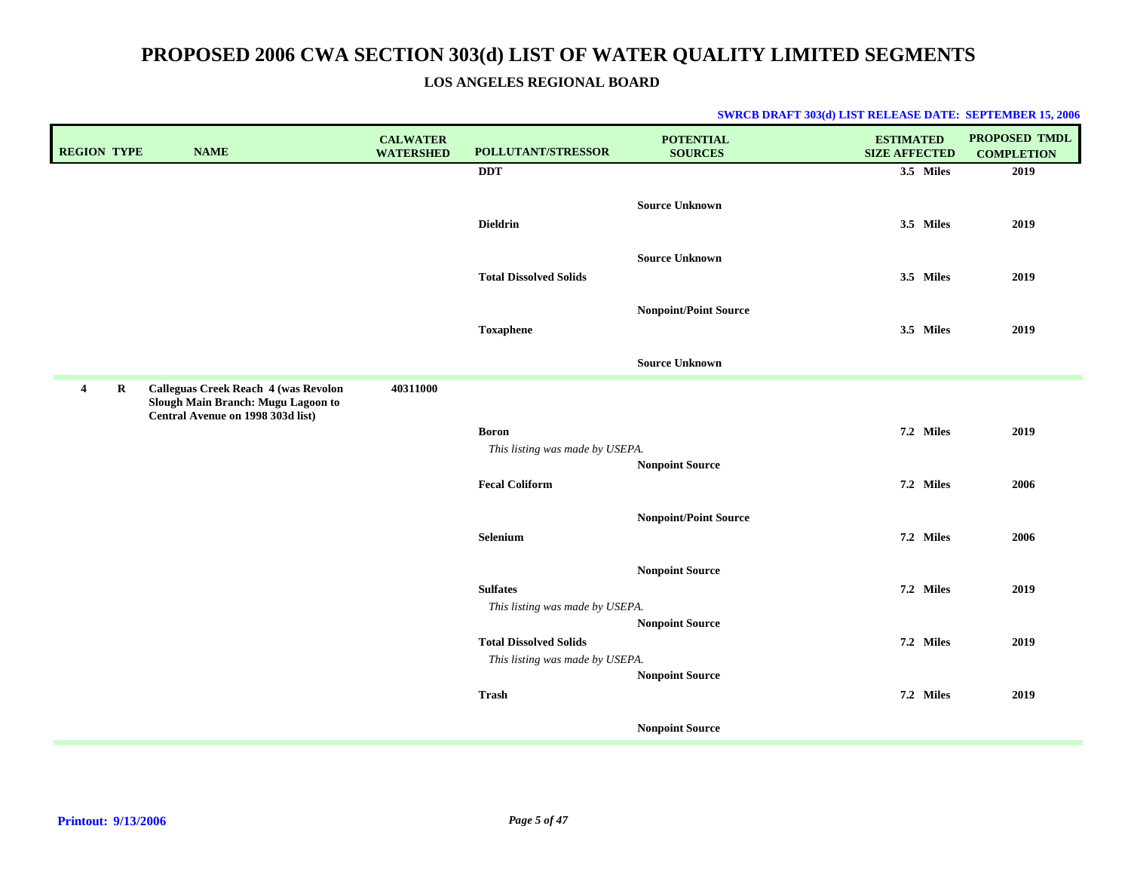### **LOS ANGELES REGIONAL BOARD**

| <b>REGION TYPE</b>                 | <b>NAME</b>                                                                                                            | <b>CALWATER</b><br><b>WATERSHED</b> | POLLUTANT/STRESSOR                                               | <b>POTENTIAL</b><br><b>SOURCES</b>               | <b>ESTIMATED</b><br><b>SIZE AFFECTED</b> | PROPOSED TMDL<br><b>COMPLETION</b> |
|------------------------------------|------------------------------------------------------------------------------------------------------------------------|-------------------------------------|------------------------------------------------------------------|--------------------------------------------------|------------------------------------------|------------------------------------|
|                                    |                                                                                                                        |                                     | <b>DDT</b>                                                       |                                                  | 3.5 Miles                                | 2019                               |
|                                    |                                                                                                                        |                                     | <b>Dieldrin</b>                                                  | <b>Source Unknown</b>                            | 3.5 Miles                                | 2019                               |
|                                    |                                                                                                                        |                                     | <b>Total Dissolved Solids</b>                                    | <b>Source Unknown</b>                            | 3.5 Miles                                | 2019                               |
|                                    |                                                                                                                        |                                     | <b>Toxaphene</b>                                                 | <b>Nonpoint/Point Source</b>                     | 3.5 Miles                                | 2019                               |
|                                    |                                                                                                                        |                                     |                                                                  | <b>Source Unknown</b>                            |                                          |                                    |
| $\overline{\mathbf{4}}$<br>$\bf R$ | <b>Calleguas Creek Reach 4 (was Revolon</b><br>Slough Main Branch: Mugu Lagoon to<br>Central Avenue on 1998 303d list) | 40311000                            |                                                                  |                                                  |                                          |                                    |
|                                    |                                                                                                                        |                                     | <b>Boron</b><br>This listing was made by USEPA.                  |                                                  | 7.2 Miles                                | 2019                               |
|                                    |                                                                                                                        |                                     | <b>Fecal Coliform</b>                                            | Nonpoint Source                                  | 7.2 Miles                                | 2006                               |
|                                    |                                                                                                                        |                                     | Selenium                                                         | <b>Nonpoint/Point Source</b>                     | 7.2 Miles                                | 2006                               |
|                                    |                                                                                                                        |                                     | <b>Sulfates</b><br>This listing was made by USEPA.               | <b>Nonpoint Source</b>                           | 7.2 Miles                                | 2019                               |
|                                    |                                                                                                                        |                                     | <b>Total Dissolved Solids</b><br>This listing was made by USEPA. | <b>Nonpoint Source</b><br><b>Nonpoint Source</b> | 7.2 Miles                                | 2019                               |
|                                    |                                                                                                                        |                                     | Trash                                                            |                                                  | 7.2 Miles                                | 2019                               |
|                                    |                                                                                                                        |                                     |                                                                  | <b>Nonpoint Source</b>                           |                                          |                                    |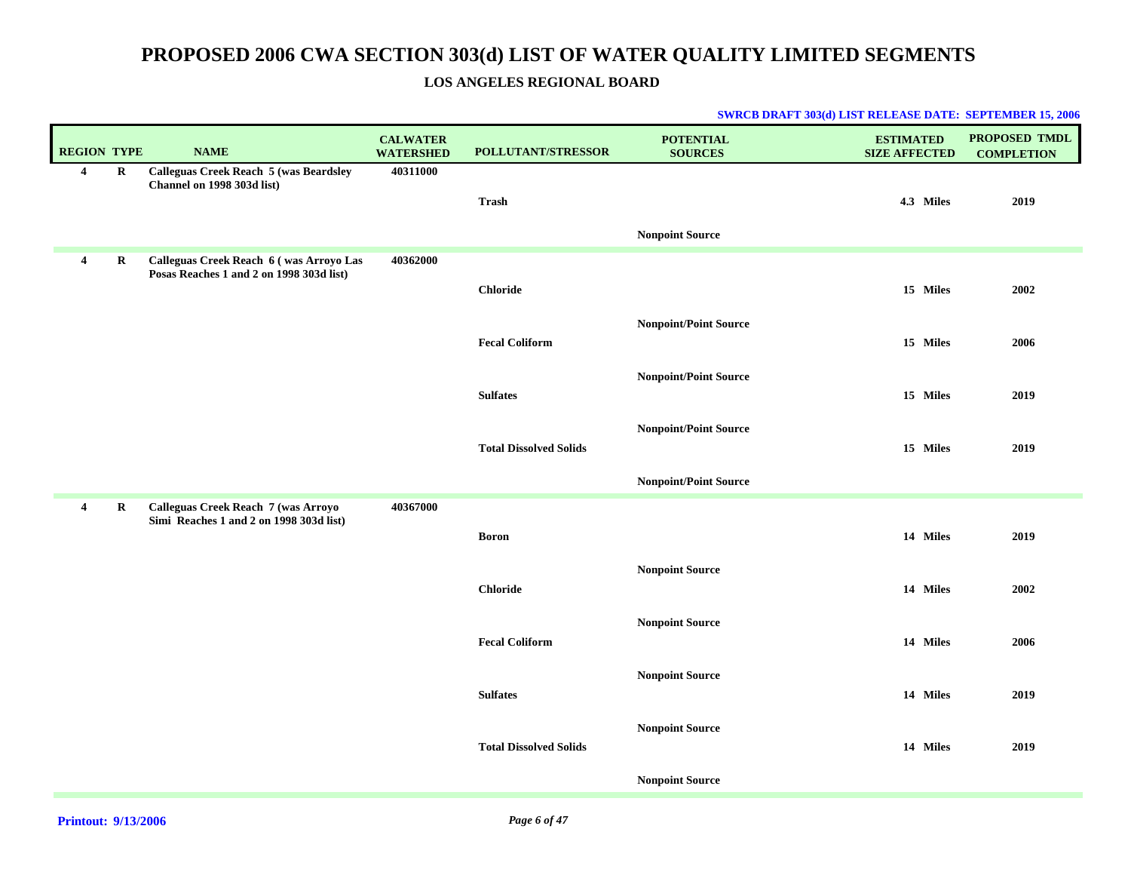### **LOS ANGELES REGIONAL BOARD**

| <b>REGION TYPE</b>      |          | <b>NAME</b>                                                                         | <b>CALWATER</b><br><b>WATERSHED</b> | POLLUTANT/STRESSOR            | <b>POTENTIAL</b><br><b>SOURCES</b> | <b>ESTIMATED</b><br><b>SIZE AFFECTED</b> | <b>PROPOSED TMDL</b><br><b>COMPLETION</b> |
|-------------------------|----------|-------------------------------------------------------------------------------------|-------------------------------------|-------------------------------|------------------------------------|------------------------------------------|-------------------------------------------|
| $\overline{4}$          | $\bf{R}$ | <b>Calleguas Creek Reach 5 (was Beardsley</b><br>Channel on 1998 303d list)         | 40311000                            | <b>Trash</b>                  |                                    | 4.3 Miles                                | 2019                                      |
|                         |          |                                                                                     |                                     |                               | <b>Nonpoint Source</b>             |                                          |                                           |
| $\overline{\mathbf{4}}$ | $\bf R$  | Calleguas Creek Reach 6 (was Arroyo Las<br>Posas Reaches 1 and 2 on 1998 303d list) | 40362000                            | <b>Chloride</b>               |                                    | 15 Miles                                 | 2002                                      |
|                         |          |                                                                                     |                                     | <b>Fecal Coliform</b>         | <b>Nonpoint/Point Source</b>       | 15 Miles                                 | 2006                                      |
|                         |          |                                                                                     |                                     | <b>Sulfates</b>               | <b>Nonpoint/Point Source</b>       | 15 Miles                                 | 2019                                      |
|                         |          |                                                                                     |                                     | <b>Total Dissolved Solids</b> | <b>Nonpoint/Point Source</b>       | 15 Miles                                 | 2019                                      |
|                         |          |                                                                                     |                                     |                               | <b>Nonpoint/Point Source</b>       |                                          |                                           |
| $\overline{\mathbf{4}}$ | R        | Calleguas Creek Reach 7 (was Arroyo<br>Simi Reaches 1 and 2 on 1998 303d list)      | 40367000                            | <b>Boron</b>                  |                                    | 14 Miles                                 | 2019                                      |
|                         |          |                                                                                     |                                     | <b>Chloride</b>               | <b>Nonpoint Source</b>             | 14 Miles                                 | 2002                                      |
|                         |          |                                                                                     |                                     | <b>Fecal Coliform</b>         | <b>Nonpoint Source</b>             | 14 Miles                                 | 2006                                      |
|                         |          |                                                                                     |                                     | <b>Sulfates</b>               | <b>Nonpoint Source</b>             | 14 Miles                                 | 2019                                      |
|                         |          |                                                                                     |                                     | <b>Total Dissolved Solids</b> | <b>Nonpoint Source</b>             | 14 Miles                                 | 2019                                      |
|                         |          |                                                                                     |                                     |                               | <b>Nonpoint Source</b>             |                                          |                                           |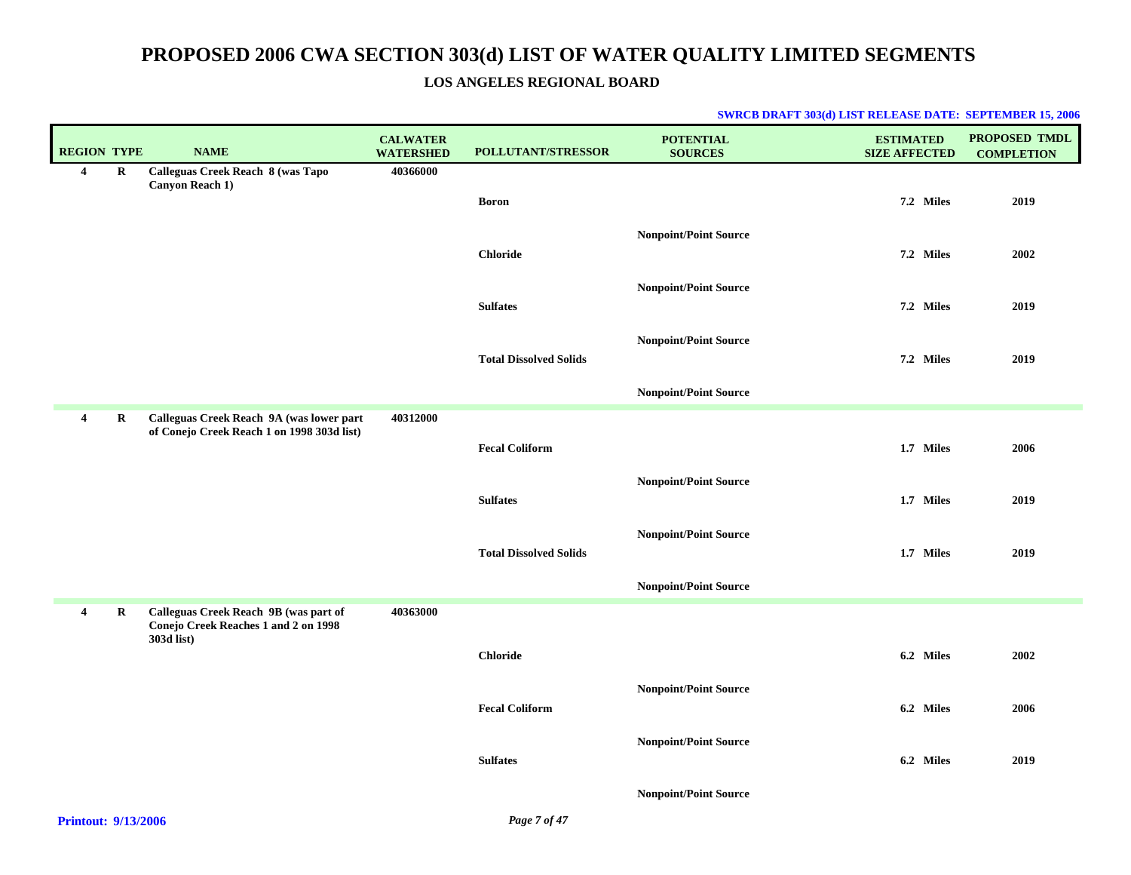### **LOS ANGELES REGIONAL BOARD**

| <b>REGION TYPE</b>                                                                                                                                                                                                                                                                                                                 |             | <b>NAME</b>                                                                                 | <b>CALWATER</b><br><b>WATERSHED</b> | POLLUTANT/STRESSOR                     | <b>POTENTIAL</b><br><b>SOURCES</b> | <b>ESTIMATED</b><br><b>SIZE AFFECTED</b> | <b>PROPOSED TMDL</b><br><b>COMPLETION</b> |
|------------------------------------------------------------------------------------------------------------------------------------------------------------------------------------------------------------------------------------------------------------------------------------------------------------------------------------|-------------|---------------------------------------------------------------------------------------------|-------------------------------------|----------------------------------------|------------------------------------|------------------------------------------|-------------------------------------------|
| 4                                                                                                                                                                                                                                                                                                                                  | $\bf R$     | Calleguas Creek Reach 8 (was Tapo<br><b>Canyon Reach 1)</b>                                 | 40366000                            |                                        |                                    |                                          |                                           |
|                                                                                                                                                                                                                                                                                                                                    |             |                                                                                             |                                     | <b>Boron</b>                           |                                    | 7.2 Miles                                | 2019                                      |
|                                                                                                                                                                                                                                                                                                                                    |             |                                                                                             |                                     |                                        | <b>Nonpoint/Point Source</b>       |                                          |                                           |
|                                                                                                                                                                                                                                                                                                                                    |             |                                                                                             |                                     | <b>Chloride</b>                        |                                    | 7.2 Miles                                | 2002                                      |
|                                                                                                                                                                                                                                                                                                                                    |             |                                                                                             |                                     |                                        | <b>Nonpoint/Point Source</b>       |                                          |                                           |
|                                                                                                                                                                                                                                                                                                                                    |             |                                                                                             |                                     | <b>Sulfates</b>                        |                                    | 7.2 Miles                                | 2019                                      |
|                                                                                                                                                                                                                                                                                                                                    |             |                                                                                             |                                     |                                        | <b>Nonpoint/Point Source</b>       |                                          |                                           |
|                                                                                                                                                                                                                                                                                                                                    |             |                                                                                             |                                     | <b>Total Dissolved Solids</b>          |                                    | 7.2 Miles                                | 2019                                      |
|                                                                                                                                                                                                                                                                                                                                    |             |                                                                                             |                                     |                                        | <b>Nonpoint/Point Source</b>       |                                          |                                           |
| 4                                                                                                                                                                                                                                                                                                                                  | R           | Calleguas Creek Reach 9A (was lower part<br>of Conejo Creek Reach 1 on 1998 303d list)      | 40312000                            |                                        |                                    |                                          |                                           |
|                                                                                                                                                                                                                                                                                                                                    |             |                                                                                             |                                     | <b>Fecal Coliform</b>                  |                                    | 1.7 Miles                                | 2006                                      |
|                                                                                                                                                                                                                                                                                                                                    |             |                                                                                             |                                     |                                        | <b>Nonpoint/Point Source</b>       |                                          |                                           |
|                                                                                                                                                                                                                                                                                                                                    |             |                                                                                             |                                     | <b>Sulfates</b>                        |                                    | 1.7 Miles                                | 2019                                      |
|                                                                                                                                                                                                                                                                                                                                    |             |                                                                                             |                                     |                                        | <b>Nonpoint/Point Source</b>       |                                          |                                           |
|                                                                                                                                                                                                                                                                                                                                    |             |                                                                                             |                                     | <b>Total Dissolved Solids</b>          |                                    | 1.7 Miles                                | 2019                                      |
|                                                                                                                                                                                                                                                                                                                                    |             |                                                                                             |                                     |                                        | <b>Nonpoint/Point Source</b>       |                                          |                                           |
| $\overline{\mathbf{4}}$                                                                                                                                                                                                                                                                                                            | $\mathbf R$ | Calleguas Creek Reach 9B (was part of<br>Conejo Creek Reaches 1 and 2 on 1998<br>303d list) | 40363000                            |                                        |                                    |                                          |                                           |
|                                                                                                                                                                                                                                                                                                                                    |             |                                                                                             |                                     | <b>Chloride</b>                        |                                    | 6.2 Miles                                | 2002                                      |
|                                                                                                                                                                                                                                                                                                                                    |             |                                                                                             |                                     |                                        | <b>Nonpoint/Point Source</b>       |                                          |                                           |
|                                                                                                                                                                                                                                                                                                                                    |             |                                                                                             |                                     | <b>Fecal Coliform</b>                  |                                    | 6.2 Miles                                | 2006                                      |
|                                                                                                                                                                                                                                                                                                                                    |             |                                                                                             |                                     |                                        | <b>Nonpoint/Point Source</b>       |                                          |                                           |
|                                                                                                                                                                                                                                                                                                                                    |             |                                                                                             |                                     | <b>Sulfates</b>                        |                                    | 6.2 Miles                                | 2019                                      |
|                                                                                                                                                                                                                                                                                                                                    |             |                                                                                             |                                     |                                        | <b>Nonpoint/Point Source</b>       |                                          |                                           |
| $\mathbf{E}$ $\mathbf{E}$ $\mathbf{E}$ $\mathbf{E}$ $\mathbf{E}$ $\mathbf{E}$ $\mathbf{E}$ $\mathbf{E}$ $\mathbf{E}$ $\mathbf{E}$ $\mathbf{E}$ $\mathbf{E}$ $\mathbf{E}$ $\mathbf{E}$ $\mathbf{E}$ $\mathbf{E}$ $\mathbf{E}$ $\mathbf{E}$ $\mathbf{E}$ $\mathbf{E}$ $\mathbf{E}$ $\mathbf{E}$ $\mathbf{E}$ $\mathbf{E}$ $\mathbf{$ |             |                                                                                             |                                     | $\mathbf{r}$ $\mathbf{r}$ $\mathbf{r}$ |                                    |                                          |                                           |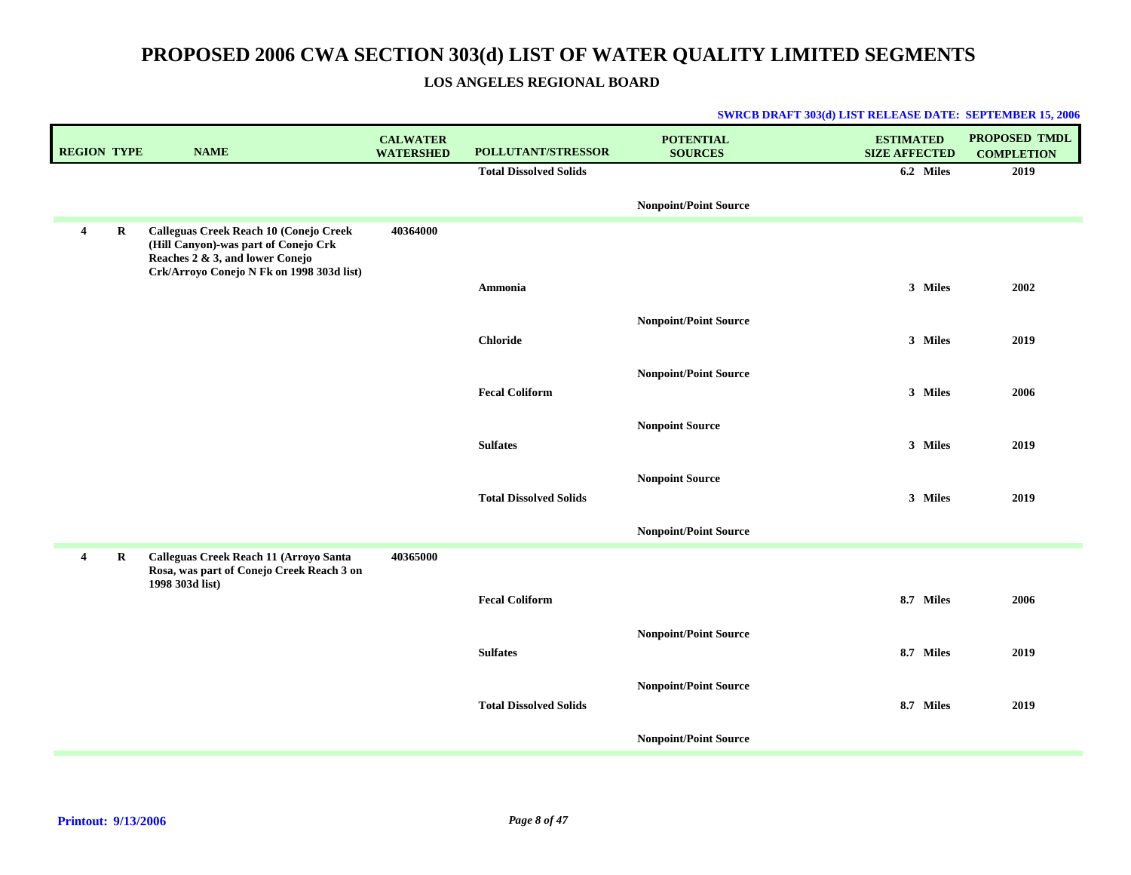### **LOS ANGELES REGIONAL BOARD**

| <b>REGION TYPE</b>      |         | <b>NAME</b>                                                                                                                                                    | <b>CALWATER</b><br><b>WATERSHED</b> | POLLUTANT/STRESSOR            | <b>POTENTIAL</b><br><b>SOURCES</b> | <b>ESTIMATED</b><br><b>SIZE AFFECTED</b> | <b>PROPOSED TMDL</b><br><b>COMPLETION</b> |
|-------------------------|---------|----------------------------------------------------------------------------------------------------------------------------------------------------------------|-------------------------------------|-------------------------------|------------------------------------|------------------------------------------|-------------------------------------------|
|                         |         |                                                                                                                                                                |                                     | <b>Total Dissolved Solids</b> |                                    | 6.2 Miles                                | 2019                                      |
|                         |         |                                                                                                                                                                |                                     |                               | <b>Nonpoint/Point Source</b>       |                                          |                                           |
| $\overline{\mathbf{4}}$ | $\bf R$ | Calleguas Creek Reach 10 (Conejo Creek<br>(Hill Canyon)-was part of Conejo Crk<br>Reaches 2 & 3, and lower Conejo<br>Crk/Arroyo Conejo N Fk on 1998 303d list) | 40364000                            |                               |                                    |                                          |                                           |
|                         |         |                                                                                                                                                                |                                     | Ammonia                       |                                    | 3 Miles                                  | 2002                                      |
|                         |         |                                                                                                                                                                |                                     |                               | <b>Nonpoint/Point Source</b>       |                                          |                                           |
|                         |         |                                                                                                                                                                |                                     | <b>Chloride</b>               |                                    | 3 Miles                                  | 2019                                      |
|                         |         |                                                                                                                                                                |                                     |                               | <b>Nonpoint/Point Source</b>       |                                          |                                           |
|                         |         |                                                                                                                                                                |                                     | <b>Fecal Coliform</b>         |                                    | 3 Miles                                  | 2006                                      |
|                         |         |                                                                                                                                                                |                                     | <b>Sulfates</b>               | <b>Nonpoint Source</b>             | 3 Miles                                  | 2019                                      |
|                         |         |                                                                                                                                                                |                                     |                               |                                    |                                          |                                           |
|                         |         |                                                                                                                                                                |                                     | <b>Total Dissolved Solids</b> | <b>Nonpoint Source</b>             | 3 Miles                                  | 2019                                      |
|                         |         |                                                                                                                                                                |                                     |                               | <b>Nonpoint/Point Source</b>       |                                          |                                           |
| 4                       | R       | Calleguas Creek Reach 11 (Arroyo Santa<br>Rosa, was part of Conejo Creek Reach 3 on<br>1998 303d list)                                                         | 40365000                            |                               |                                    |                                          |                                           |
|                         |         |                                                                                                                                                                |                                     | <b>Fecal Coliform</b>         |                                    | 8.7 Miles                                | 2006                                      |
|                         |         |                                                                                                                                                                |                                     |                               | <b>Nonpoint/Point Source</b>       |                                          |                                           |
|                         |         |                                                                                                                                                                |                                     | <b>Sulfates</b>               |                                    | 8.7 Miles                                | 2019                                      |
|                         |         |                                                                                                                                                                |                                     |                               | <b>Nonpoint/Point Source</b>       |                                          |                                           |
|                         |         |                                                                                                                                                                |                                     | <b>Total Dissolved Solids</b> |                                    | 8.7 Miles                                | 2019                                      |
|                         |         |                                                                                                                                                                |                                     |                               | <b>Nonpoint/Point Source</b>       |                                          |                                           |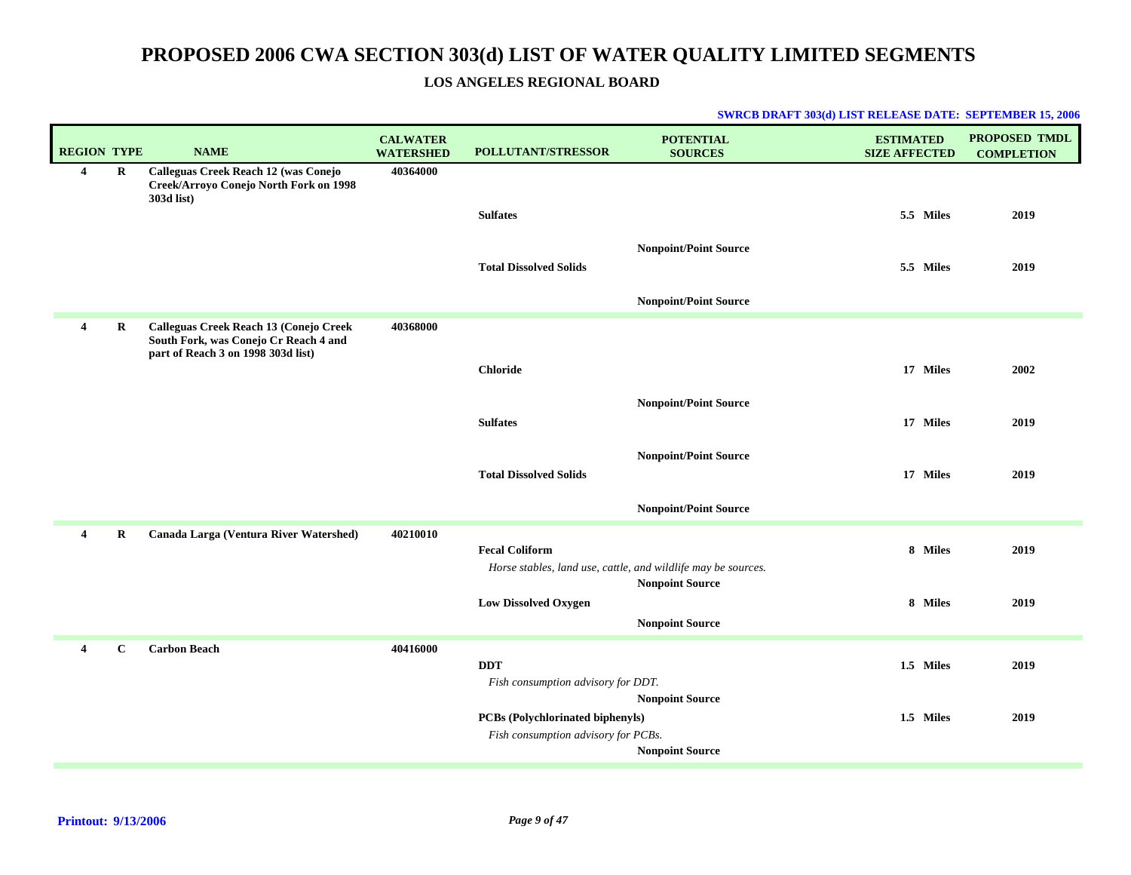### **LOS ANGELES REGIONAL BOARD**

| <b>REGION TYPE</b> |              | <b>NAME</b>                                                                                                           | <b>CALWATER</b><br><b>WATERSHED</b> | <b>POLLUTANT/STRESSOR</b>                                                              | <b>POTENTIAL</b><br><b>SOURCES</b> | <b>ESTIMATED</b><br><b>SIZE AFFECTED</b> | PROPOSED TMDL<br><b>COMPLETION</b> |
|--------------------|--------------|-----------------------------------------------------------------------------------------------------------------------|-------------------------------------|----------------------------------------------------------------------------------------|------------------------------------|------------------------------------------|------------------------------------|
| 4                  | R            | Calleguas Creek Reach 12 (was Conejo<br>Creek/Arroyo Conejo North Fork on 1998<br>303d list)                          | 40364000                            | <b>Sulfates</b>                                                                        |                                    | 5.5 Miles                                | 2019                               |
|                    |              |                                                                                                                       |                                     | <b>Total Dissolved Solids</b>                                                          | <b>Nonpoint/Point Source</b>       | 5.5 Miles                                | 2019                               |
|                    |              |                                                                                                                       |                                     |                                                                                        | <b>Nonpoint/Point Source</b>       |                                          |                                    |
| 4                  | $\bf R$      | Calleguas Creek Reach 13 (Conejo Creek<br>South Fork, was Conejo Cr Reach 4 and<br>part of Reach 3 on 1998 303d list) | 40368000                            |                                                                                        |                                    |                                          |                                    |
|                    |              |                                                                                                                       |                                     | <b>Chloride</b>                                                                        |                                    | 17 Miles                                 | 2002                               |
|                    |              |                                                                                                                       |                                     |                                                                                        | <b>Nonpoint/Point Source</b>       |                                          |                                    |
|                    |              |                                                                                                                       |                                     | <b>Sulfates</b>                                                                        |                                    | 17 Miles                                 | 2019                               |
|                    |              |                                                                                                                       |                                     |                                                                                        |                                    |                                          |                                    |
|                    |              |                                                                                                                       |                                     | <b>Total Dissolved Solids</b>                                                          | <b>Nonpoint/Point Source</b>       | 17 Miles                                 | 2019                               |
|                    |              |                                                                                                                       |                                     |                                                                                        |                                    |                                          |                                    |
|                    |              |                                                                                                                       |                                     |                                                                                        | <b>Nonpoint/Point Source</b>       |                                          |                                    |
| 4                  | $\bf R$      | Canada Larga (Ventura River Watershed)                                                                                | 40210010                            | <b>Fecal Coliform</b><br>Horse stables, land use, cattle, and wildlife may be sources. |                                    | 8 Miles                                  | 2019                               |
|                    |              |                                                                                                                       |                                     | <b>Low Dissolved Oxygen</b>                                                            | <b>Nonpoint Source</b>             | 8 Miles                                  | 2019                               |
|                    |              |                                                                                                                       |                                     |                                                                                        | <b>Nonpoint Source</b>             |                                          |                                    |
| 4                  | $\mathbf{C}$ | <b>Carbon Beach</b>                                                                                                   | 40416000                            |                                                                                        |                                    |                                          |                                    |
|                    |              |                                                                                                                       |                                     | <b>DDT</b>                                                                             |                                    | 1.5 Miles                                | 2019                               |
|                    |              |                                                                                                                       |                                     | Fish consumption advisory for DDT.                                                     | <b>Nonpoint Source</b>             |                                          |                                    |
|                    |              |                                                                                                                       |                                     | <b>PCBs</b> (Polychlorinated biphenyls)                                                |                                    | 1.5 Miles                                | 2019                               |
|                    |              |                                                                                                                       |                                     | Fish consumption advisory for PCBs.                                                    |                                    |                                          |                                    |
|                    |              |                                                                                                                       |                                     |                                                                                        | <b>Nonpoint Source</b>             |                                          |                                    |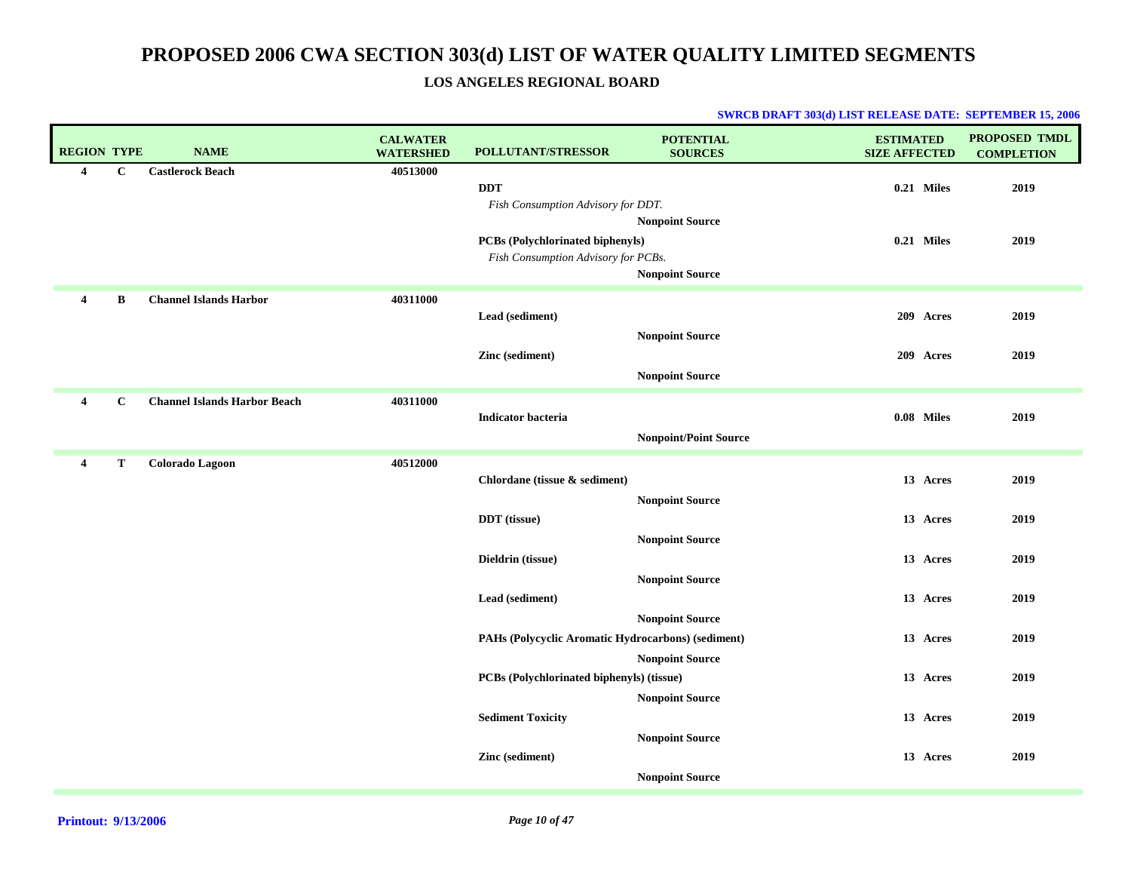### **LOS ANGELES REGIONAL BOARD**

| <b>REGION TYPE</b>      |              | <b>NAME</b>                         | <b>CALWATER</b><br><b>WATERSHED</b> | <b>POLLUTANT/STRESSOR</b>                          | <b>POTENTIAL</b><br><b>SOURCES</b> | <b>ESTIMATED</b><br><b>SIZE AFFECTED</b> | PROPOSED TMDL<br><b>COMPLETION</b> |
|-------------------------|--------------|-------------------------------------|-------------------------------------|----------------------------------------------------|------------------------------------|------------------------------------------|------------------------------------|
| 4                       | $\mathbf{C}$ | <b>Castlerock Beach</b>             | 40513000                            |                                                    |                                    |                                          |                                    |
|                         |              |                                     |                                     | <b>DDT</b>                                         |                                    | 0.21 Miles                               | 2019                               |
|                         |              |                                     |                                     | Fish Consumption Advisory for DDT.                 | <b>Nonpoint Source</b>             |                                          |                                    |
|                         |              |                                     |                                     | PCBs (Polychlorinated biphenyls)                   |                                    | $0.21$ Miles                             | 2019                               |
|                         |              |                                     |                                     | Fish Consumption Advisory for PCBs.                |                                    |                                          |                                    |
|                         |              |                                     |                                     |                                                    | <b>Nonpoint Source</b>             |                                          |                                    |
| $\overline{\mathbf{4}}$ | B            | <b>Channel Islands Harbor</b>       | 40311000                            |                                                    |                                    |                                          |                                    |
|                         |              |                                     |                                     | Lead (sediment)                                    |                                    | 209 Acres                                | 2019                               |
|                         |              |                                     |                                     |                                                    | <b>Nonpoint Source</b>             |                                          |                                    |
|                         |              |                                     |                                     | Zinc (sediment)                                    |                                    | 209 Acres                                | 2019                               |
|                         |              |                                     |                                     |                                                    | <b>Nonpoint Source</b>             |                                          |                                    |
| 4                       | $\mathbf{C}$ | <b>Channel Islands Harbor Beach</b> | 40311000                            |                                                    |                                    |                                          |                                    |
|                         |              |                                     |                                     | <b>Indicator bacteria</b>                          |                                    | 0.08 Miles                               | 2019                               |
|                         |              |                                     |                                     |                                                    | <b>Nonpoint/Point Source</b>       |                                          |                                    |
| 4                       | Т            | <b>Colorado Lagoon</b>              | 40512000                            |                                                    |                                    |                                          |                                    |
|                         |              |                                     |                                     | Chlordane (tissue & sediment)                      |                                    | 13 Acres                                 | 2019                               |
|                         |              |                                     |                                     |                                                    | <b>Nonpoint Source</b>             |                                          |                                    |
|                         |              |                                     |                                     | <b>DDT</b> (tissue)                                |                                    | 13 Acres                                 | 2019                               |
|                         |              |                                     |                                     |                                                    | <b>Nonpoint Source</b>             |                                          |                                    |
|                         |              |                                     |                                     | Dieldrin (tissue)                                  |                                    | 13 Acres                                 | 2019                               |
|                         |              |                                     |                                     |                                                    | <b>Nonpoint Source</b>             |                                          |                                    |
|                         |              |                                     |                                     | Lead (sediment)                                    |                                    | 13 Acres                                 | 2019                               |
|                         |              |                                     |                                     |                                                    | <b>Nonpoint Source</b>             |                                          |                                    |
|                         |              |                                     |                                     | PAHs (Polycyclic Aromatic Hydrocarbons) (sediment) |                                    | 13 Acres                                 | 2019                               |
|                         |              |                                     |                                     |                                                    | <b>Nonpoint Source</b>             |                                          |                                    |
|                         |              |                                     |                                     | PCBs (Polychlorinated biphenyls) (tissue)          |                                    | 13 Acres                                 | 2019                               |
|                         |              |                                     |                                     |                                                    | <b>Nonpoint Source</b>             |                                          |                                    |
|                         |              |                                     |                                     | <b>Sediment Toxicity</b>                           |                                    | 13 Acres                                 | 2019                               |
|                         |              |                                     |                                     |                                                    | <b>Nonpoint Source</b>             |                                          |                                    |
|                         |              |                                     |                                     | Zinc (sediment)                                    |                                    | 13 Acres                                 | 2019                               |
|                         |              |                                     |                                     |                                                    | <b>Nonpoint Source</b>             |                                          |                                    |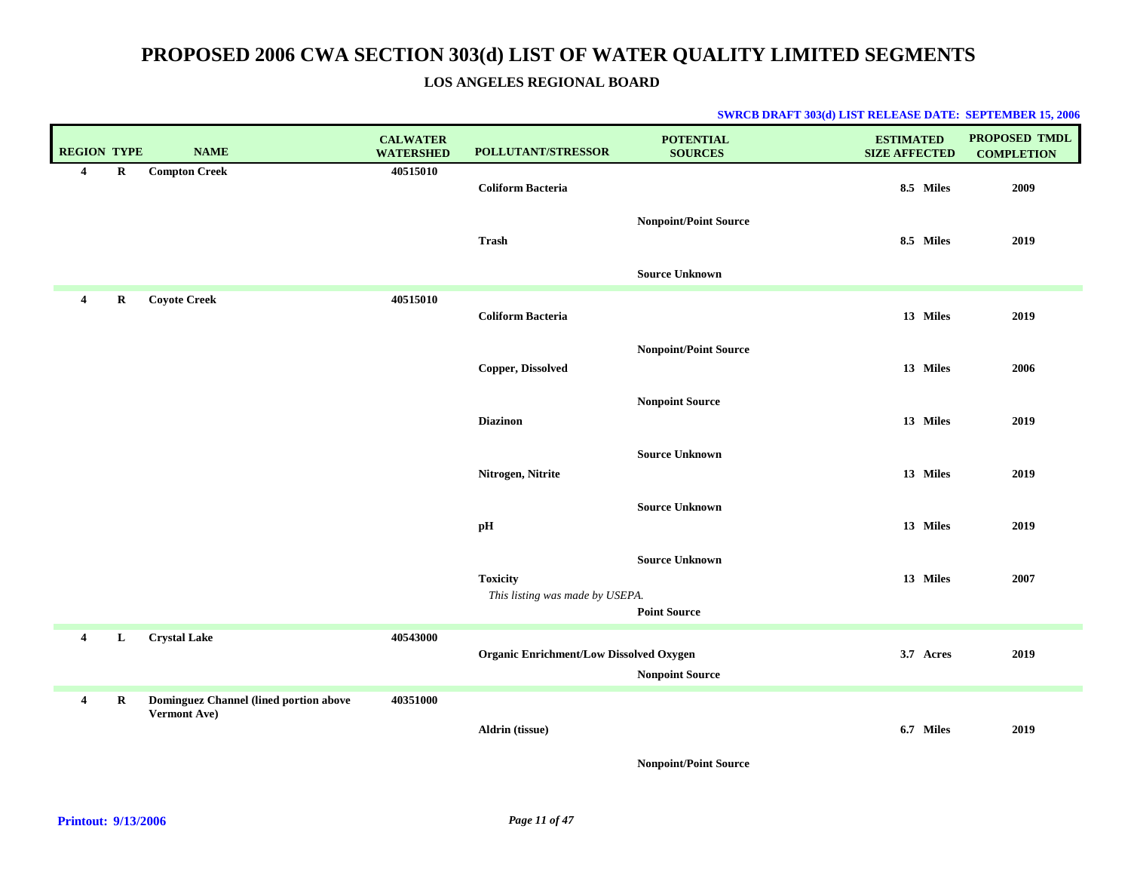### **LOS ANGELES REGIONAL BOARD**

| <b>REGION TYPE</b> |         | <b>NAME</b>                                                   | <b>CALWATER</b><br><b>WATERSHED</b> | POLLUTANT/STRESSOR                                 | <b>POTENTIAL</b><br><b>SOURCES</b>           | <b>ESTIMATED</b><br><b>SIZE AFFECTED</b> | PROPOSED TMDL<br><b>COMPLETION</b> |
|--------------------|---------|---------------------------------------------------------------|-------------------------------------|----------------------------------------------------|----------------------------------------------|------------------------------------------|------------------------------------|
| $\overline{4}$     | $\bf R$ | <b>Compton Creek</b>                                          | 40515010                            | <b>Coliform Bacteria</b>                           |                                              | 8.5 Miles                                | 2009                               |
|                    |         |                                                               |                                     | Trash                                              | <b>Nonpoint/Point Source</b>                 | 8.5 Miles                                | 2019                               |
|                    |         |                                                               |                                     |                                                    | <b>Source Unknown</b>                        |                                          |                                    |
| 4                  | $\bf R$ | <b>Coyote Creek</b>                                           | 40515010                            | <b>Coliform Bacteria</b>                           |                                              | 13 Miles                                 | 2019                               |
|                    |         |                                                               |                                     | Copper, Dissolved                                  | <b>Nonpoint/Point Source</b>                 | 13 Miles                                 | 2006                               |
|                    |         |                                                               |                                     | <b>Diazinon</b>                                    | <b>Nonpoint Source</b>                       | 13 Miles                                 | 2019                               |
|                    |         |                                                               |                                     | Nitrogen, Nitrite                                  | <b>Source Unknown</b>                        | 13 Miles                                 | 2019                               |
|                    |         |                                                               |                                     | pH                                                 | <b>Source Unknown</b>                        | 13 Miles                                 | 2019                               |
|                    |         |                                                               |                                     | <b>Toxicity</b><br>This listing was made by USEPA. | <b>Source Unknown</b><br><b>Point Source</b> | 13 Miles                                 | 2007                               |
| 4                  | L       | <b>Crystal Lake</b>                                           | 40543000                            | <b>Organic Enrichment/Low Dissolved Oxygen</b>     | <b>Nonpoint Source</b>                       | 3.7 Acres                                | 2019                               |
| 4                  | $\bf R$ | Dominguez Channel (lined portion above<br><b>Vermont Ave)</b> | 40351000                            | Aldrin (tissue)                                    |                                              | 6.7 Miles                                | 2019                               |
|                    |         |                                                               |                                     |                                                    | <b>Nonpoint/Point Source</b>                 |                                          |                                    |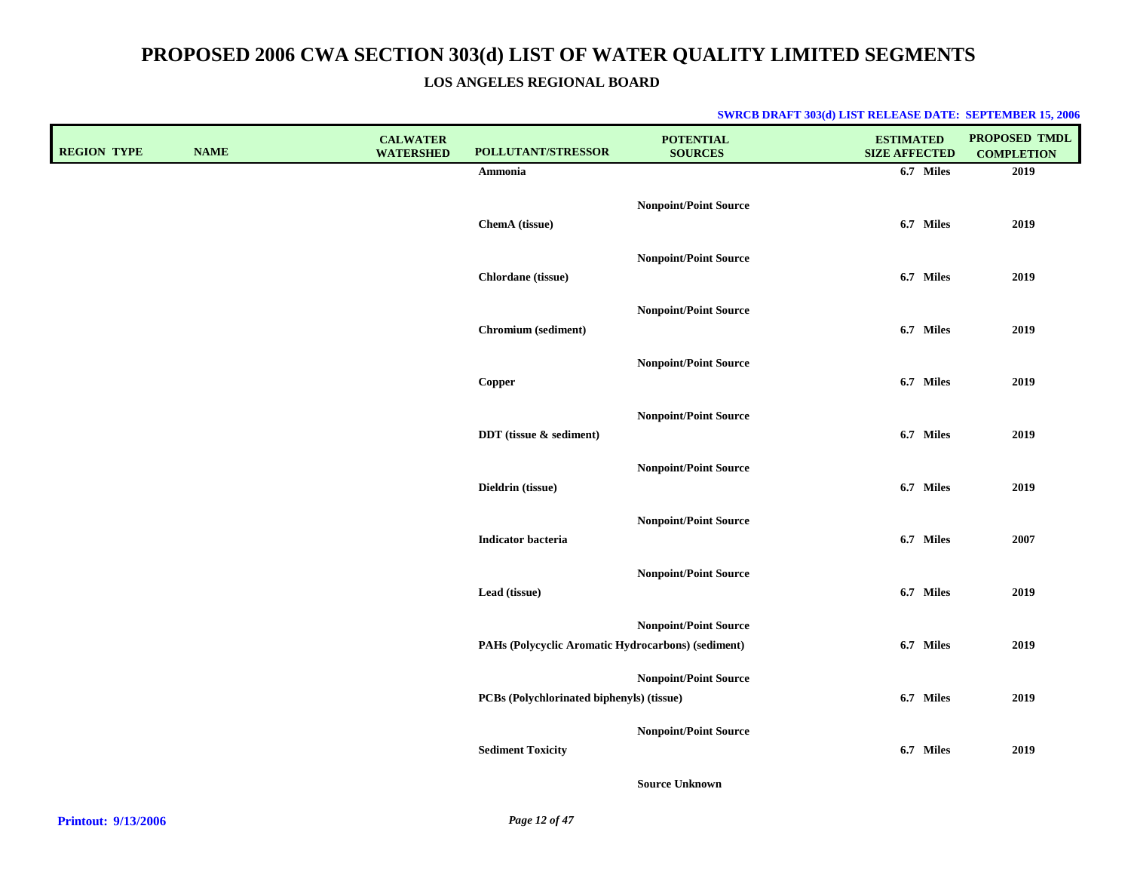**LOS ANGELES REGIONAL BOARD**

| <b>REGION TYPE</b> | <b>NAME</b> | <b>CALWATER</b><br><b>WATERSHED</b> | POLLUTANT/STRESSOR                                 | <b>POTENTIAL</b><br><b>SOURCES</b> | <b>ESTIMATED</b><br><b>SIZE AFFECTED</b> | PROPOSED TMDL<br><b>COMPLETION</b> |
|--------------------|-------------|-------------------------------------|----------------------------------------------------|------------------------------------|------------------------------------------|------------------------------------|
|                    |             |                                     | Ammonia                                            |                                    | 6.7 Miles                                | 2019                               |
|                    |             |                                     | ChemA (tissue)                                     | <b>Nonpoint/Point Source</b>       | 6.7 Miles                                | 2019                               |
|                    |             |                                     | Chlordane (tissue)                                 | <b>Nonpoint/Point Source</b>       | 6.7 Miles                                | 2019                               |
|                    |             |                                     | Chromium (sediment)                                | Nonpoint/Point Source              | 6.7 Miles                                | 2019                               |
|                    |             |                                     | Copper                                             | Nonpoint/Point Source              | 6.7 Miles                                | 2019                               |
|                    |             |                                     | DDT (tissue & sediment)                            | <b>Nonpoint/Point Source</b>       | 6.7 Miles                                | 2019                               |
|                    |             |                                     | Dieldrin (tissue)                                  | <b>Nonpoint/Point Source</b>       | 6.7 Miles                                | 2019                               |
|                    |             |                                     | <b>Indicator</b> bacteria                          | <b>Nonpoint/Point Source</b>       | 6.7 Miles                                | 2007                               |
|                    |             |                                     | Lead (tissue)                                      | <b>Nonpoint/Point Source</b>       | 6.7 Miles                                | 2019                               |
|                    |             |                                     | PAHs (Polycyclic Aromatic Hydrocarbons) (sediment) | <b>Nonpoint/Point Source</b>       | 6.7 Miles                                | 2019                               |
|                    |             |                                     | PCBs (Polychlorinated biphenyls) (tissue)          | <b>Nonpoint/Point Source</b>       | 6.7 Miles                                | 2019                               |
|                    |             |                                     | <b>Sediment Toxicity</b>                           | <b>Nonpoint/Point Source</b>       | 6.7 Miles                                | 2019                               |
|                    |             |                                     |                                                    | <b>Source Unknown</b>              |                                          |                                    |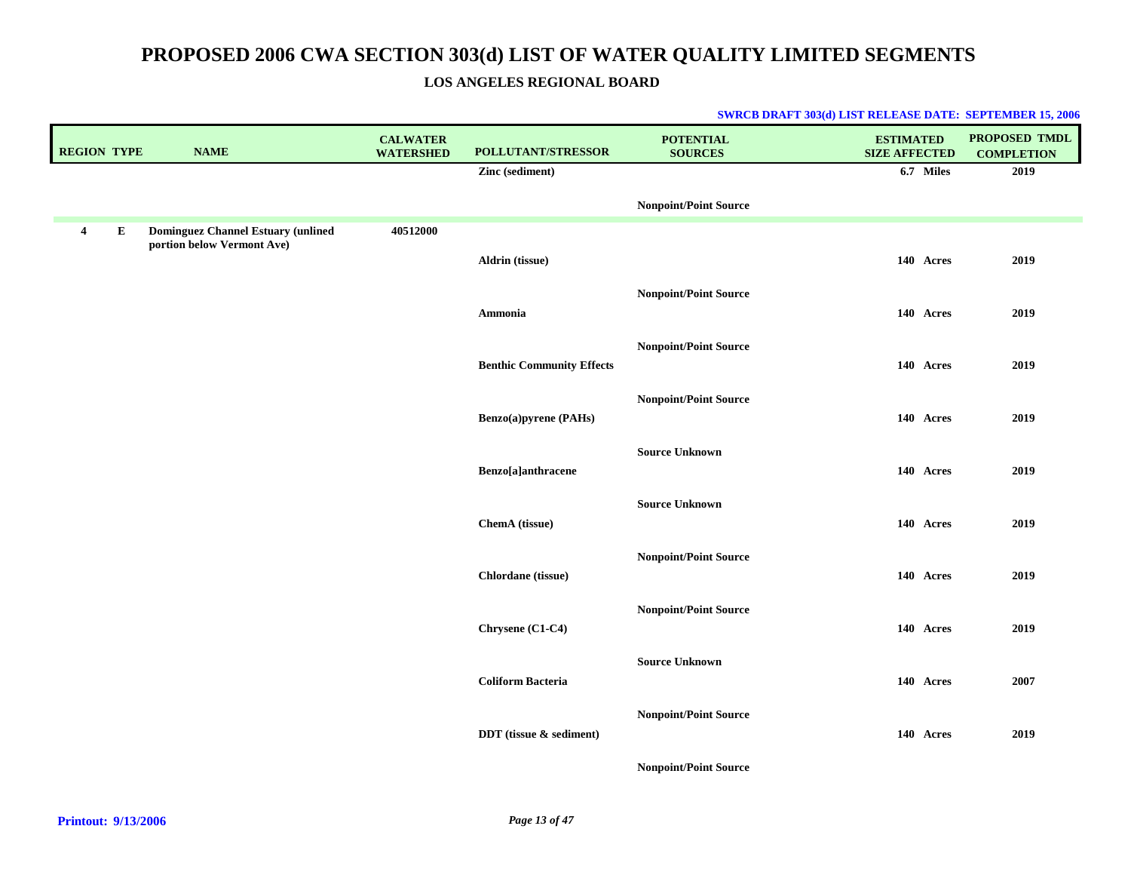### **LOS ANGELES REGIONAL BOARD**

| <b>REGION TYPE</b>                   | <b>NAME</b>                                                             | <b>CALWATER</b><br><b>WATERSHED</b> | POLLUTANT/STRESSOR               | <b>POTENTIAL</b><br><b>SOURCES</b> | <b>ESTIMATED</b><br><b>SIZE AFFECTED</b> | PROPOSED TMDL<br><b>COMPLETION</b> |
|--------------------------------------|-------------------------------------------------------------------------|-------------------------------------|----------------------------------|------------------------------------|------------------------------------------|------------------------------------|
|                                      |                                                                         |                                     | Zinc (sediment)                  |                                    | 6.7 Miles                                | 2019                               |
|                                      |                                                                         |                                     |                                  | <b>Nonpoint/Point Source</b>       |                                          |                                    |
| ${\bf E}$<br>$\overline{\mathbf{4}}$ | <b>Dominguez Channel Estuary (unlined</b><br>portion below Vermont Ave) | 40512000                            |                                  |                                    |                                          |                                    |
|                                      |                                                                         |                                     | Aldrin (tissue)                  |                                    | 140 Acres                                | 2019                               |
|                                      |                                                                         |                                     |                                  | <b>Nonpoint/Point Source</b>       |                                          |                                    |
|                                      |                                                                         |                                     | Ammonia                          |                                    | 140 Acres                                | 2019                               |
|                                      |                                                                         |                                     | <b>Benthic Community Effects</b> | <b>Nonpoint/Point Source</b>       | 140 Acres                                | 2019                               |
|                                      |                                                                         |                                     |                                  | <b>Nonpoint/Point Source</b>       |                                          |                                    |
|                                      |                                                                         |                                     | Benzo(a)pyrene (PAHs)            |                                    | 140 Acres                                | 2019                               |
|                                      |                                                                         |                                     |                                  | <b>Source Unknown</b>              |                                          |                                    |
|                                      |                                                                         |                                     | Benzo[a]anthracene               |                                    | 140 Acres                                | 2019                               |
|                                      |                                                                         |                                     | ChemA (tissue)                   | <b>Source Unknown</b>              | 140 Acres                                | 2019                               |
|                                      |                                                                         |                                     |                                  |                                    |                                          |                                    |
|                                      |                                                                         |                                     | Chlordane (tissue)               | <b>Nonpoint/Point Source</b>       | 140 Acres                                | 2019                               |
|                                      |                                                                         |                                     |                                  | <b>Nonpoint/Point Source</b>       |                                          |                                    |
|                                      |                                                                         |                                     | Chrysene (C1-C4)                 |                                    | 140 Acres                                | 2019                               |
|                                      |                                                                         |                                     |                                  | <b>Source Unknown</b>              |                                          |                                    |
|                                      |                                                                         |                                     | <b>Coliform Bacteria</b>         |                                    | 140 Acres                                | 2007                               |
|                                      |                                                                         |                                     | DDT (tissue & sediment)          | <b>Nonpoint/Point Source</b>       | 140 Acres                                | 2019                               |
|                                      |                                                                         |                                     |                                  | <b>Nonpoint/Point Source</b>       |                                          |                                    |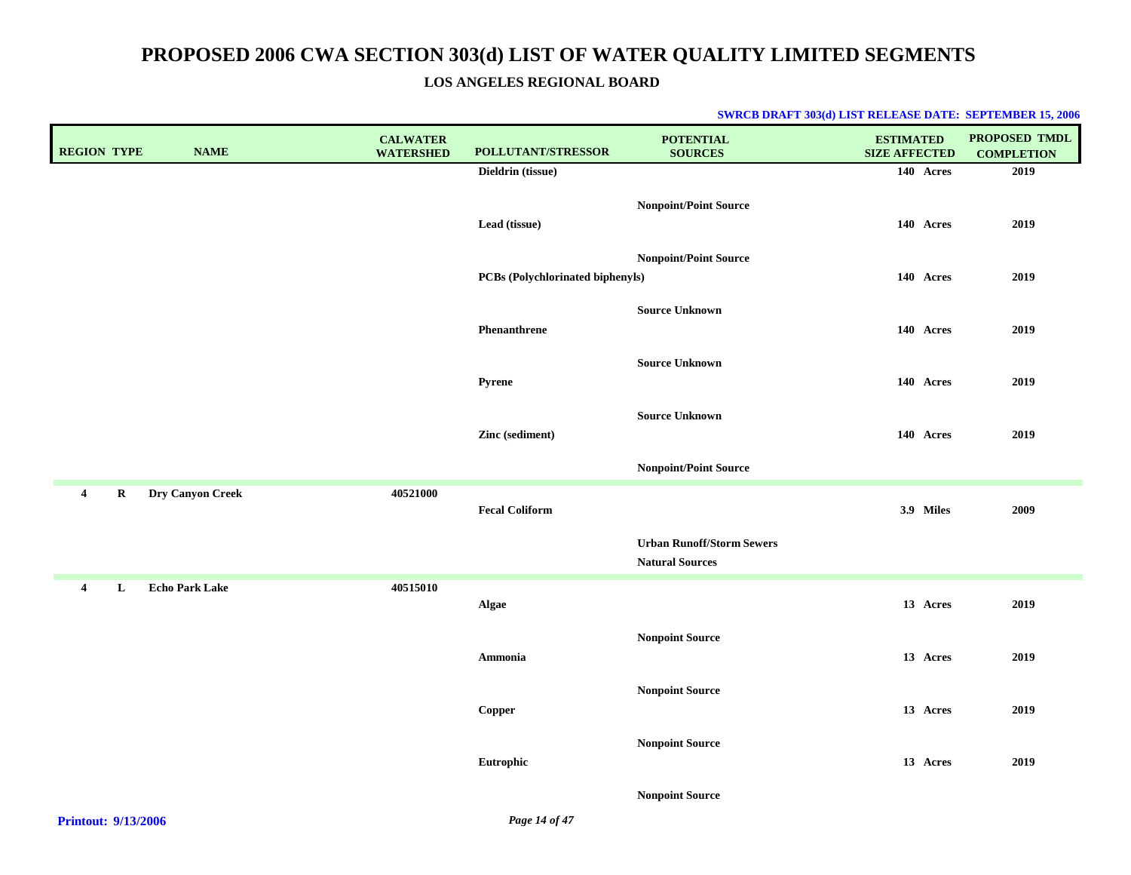**LOS ANGELES REGIONAL BOARD**

| <b>REGION TYPE</b>                                                                         | <b>NAME</b>           | <b>CALWATER</b><br><b>WATERSHED</b> | POLLUTANT/STRESSOR               | <b>POTENTIAL</b><br><b>SOURCES</b>                         | <b>ESTIMATED</b><br><b>SIZE AFFECTED</b> | PROPOSED TMDL<br><b>COMPLETION</b> |
|--------------------------------------------------------------------------------------------|-----------------------|-------------------------------------|----------------------------------|------------------------------------------------------------|------------------------------------------|------------------------------------|
|                                                                                            |                       |                                     | Dieldrin (tissue)                |                                                            | 140 Acres                                | 2019                               |
|                                                                                            |                       |                                     | Lead (tissue)                    | <b>Nonpoint/Point Source</b>                               | 140 Acres                                | 2019                               |
|                                                                                            |                       |                                     | PCBs (Polychlorinated biphenyls) | <b>Nonpoint/Point Source</b>                               | 140 Acres                                | 2019                               |
|                                                                                            |                       |                                     | Phenanthrene                     | <b>Source Unknown</b>                                      | 140 Acres                                | 2019                               |
|                                                                                            |                       |                                     | Pyrene                           | <b>Source Unknown</b>                                      | 140 Acres                                | 2019                               |
|                                                                                            |                       |                                     | Zinc (sediment)                  | <b>Source Unknown</b>                                      | 140 Acres                                | 2019                               |
|                                                                                            |                       |                                     |                                  | Nonpoint/Point Source                                      |                                          |                                    |
| $\overline{\mathbf{4}}$<br>R                                                               | Dry Canyon Creek      | 40521000                            | <b>Fecal Coliform</b>            |                                                            | 3.9 Miles                                | 2009                               |
|                                                                                            |                       |                                     |                                  | <b>Urban Runoff/Storm Sewers</b><br><b>Natural Sources</b> |                                          |                                    |
| $\boldsymbol{4}$<br>L                                                                      | <b>Echo Park Lake</b> | 40515010                            | Algae                            |                                                            | 13 Acres                                 | 2019                               |
|                                                                                            |                       |                                     | Ammonia                          | <b>Nonpoint Source</b>                                     | 13 Acres                                 | 2019                               |
|                                                                                            |                       |                                     | Copper                           | <b>Nonpoint Source</b>                                     | 13 Acres                                 | 2019                               |
|                                                                                            |                       |                                     | Eutrophic                        | <b>Nonpoint Source</b>                                     | 13 Acres                                 | 2019                               |
|                                                                                            |                       |                                     |                                  | <b>Nonpoint Source</b>                                     |                                          |                                    |
| $\mathbf{D}$ $\mathbf{A}$ $\mathbf{A}$ $\mathbf{A}$ $\mathbf{A}$ $\mathbf{A}$ $\mathbf{A}$ |                       |                                     | $P = 11.647$                     |                                                            |                                          |                                    |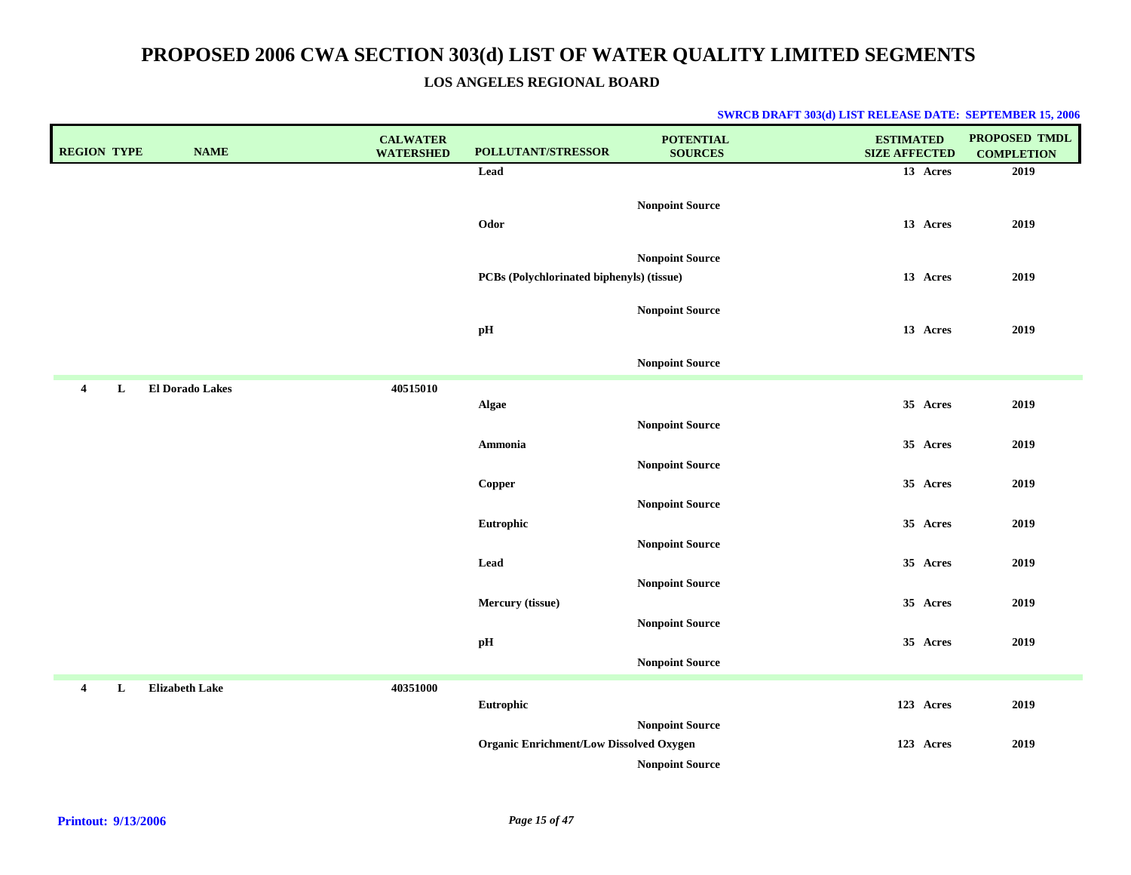### **LOS ANGELES REGIONAL BOARD**

| <b>REGION TYPE</b><br><b>NAME</b>             | <b>CALWATER</b><br><b>WATERSHED</b> | POLLUTANT/STRESSOR                             | <b>POTENTIAL</b><br><b>SOURCES</b>               | <b>ESTIMATED</b><br><b>SIZE AFFECTED</b> | <b>PROPOSED TMDL</b><br><b>COMPLETION</b> |
|-----------------------------------------------|-------------------------------------|------------------------------------------------|--------------------------------------------------|------------------------------------------|-------------------------------------------|
|                                               |                                     | Lead                                           |                                                  | 13 Acres                                 | 2019                                      |
|                                               |                                     | Odor                                           | <b>Nonpoint Source</b>                           | 13 Acres                                 | 2019                                      |
|                                               |                                     | PCBs (Polychlorinated biphenyls) (tissue)      | <b>Nonpoint Source</b>                           | 13 Acres                                 | 2019                                      |
|                                               |                                     | pH                                             | <b>Nonpoint Source</b>                           | 13 Acres                                 | 2019                                      |
|                                               |                                     |                                                | <b>Nonpoint Source</b>                           |                                          |                                           |
| <b>El Dorado Lakes</b><br>$\overline{4}$<br>L | 40515010                            | <b>Algae</b>                                   |                                                  | 35 Acres                                 | 2019                                      |
|                                               |                                     | Ammonia                                        | <b>Nonpoint Source</b><br><b>Nonpoint Source</b> | 35 Acres                                 | 2019                                      |
|                                               |                                     | Copper                                         | <b>Nonpoint Source</b>                           | 35 Acres                                 | 2019                                      |
|                                               |                                     | Eutrophic                                      | <b>Nonpoint Source</b>                           | 35 Acres                                 | 2019                                      |
|                                               |                                     | Lead                                           | <b>Nonpoint Source</b>                           | 35 Acres                                 | 2019                                      |
|                                               |                                     | Mercury (tissue)                               | <b>Nonpoint Source</b>                           | 35 Acres                                 | 2019                                      |
|                                               |                                     | $\mathbf{p} \mathbf{H}$                        | <b>Nonpoint Source</b>                           | 35 Acres                                 | 2019                                      |
| <b>Elizabeth Lake</b><br>$\overline{4}$<br>L  | 40351000                            | Eutrophic                                      |                                                  | 123 Acres                                | 2019                                      |
|                                               |                                     | <b>Organic Enrichment/Low Dissolved Oxygen</b> | <b>Nonpoint Source</b><br><b>Nonpoint Source</b> | 123 Acres                                | 2019                                      |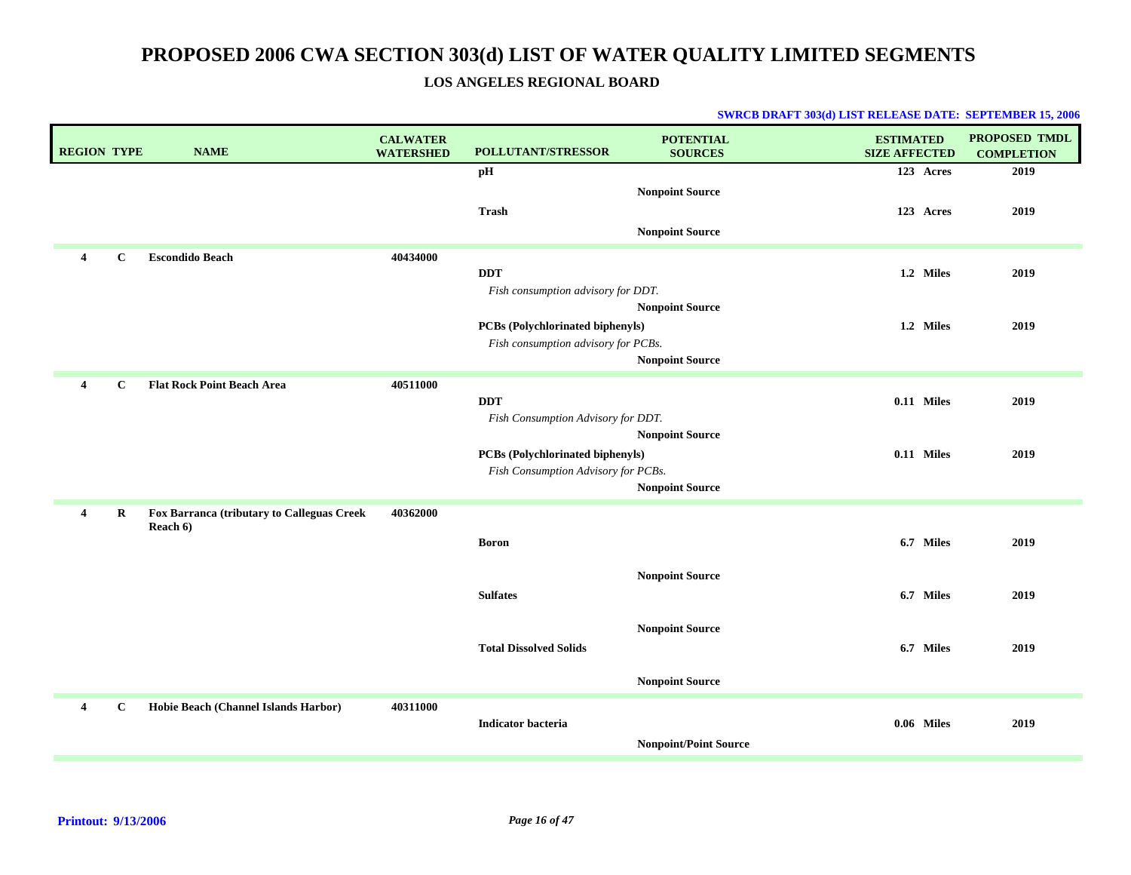### **LOS ANGELES REGIONAL BOARD**

| <b>REGION TYPE</b> |             | <b>NAME</b>                                            | <b>CALWATER</b><br><b>WATERSHED</b> | POLLUTANT/STRESSOR                                                             | <b>POTENTIAL</b><br><b>SOURCES</b> | <b>ESTIMATED</b><br><b>SIZE AFFECTED</b> | <b>PROPOSED TMDL</b><br><b>COMPLETION</b> |
|--------------------|-------------|--------------------------------------------------------|-------------------------------------|--------------------------------------------------------------------------------|------------------------------------|------------------------------------------|-------------------------------------------|
|                    |             |                                                        |                                     | pH                                                                             |                                    | 123 Acres                                | 2019                                      |
|                    |             |                                                        |                                     | Trash                                                                          | <b>Nonpoint Source</b>             | 123 Acres                                | 2019                                      |
|                    |             |                                                        |                                     |                                                                                | <b>Nonpoint Source</b>             |                                          |                                           |
| 4                  | $\mathbf C$ | <b>Escondido Beach</b>                                 | 40434000                            | <b>DDT</b>                                                                     |                                    | 1.2 Miles                                | 2019                                      |
|                    |             |                                                        |                                     | Fish consumption advisory for DDT.                                             |                                    |                                          |                                           |
|                    |             |                                                        |                                     | PCBs (Polychlorinated biphenyls)                                               | <b>Nonpoint Source</b>             | 1.2 Miles                                | 2019                                      |
|                    |             |                                                        |                                     | Fish consumption advisory for PCBs.                                            |                                    |                                          |                                           |
| $\overline{4}$     | $\mathbf C$ | <b>Flat Rock Point Beach Area</b>                      | 40511000                            |                                                                                | <b>Nonpoint Source</b>             |                                          |                                           |
|                    |             |                                                        |                                     | <b>DDT</b>                                                                     |                                    | $0.11$ Miles                             | 2019                                      |
|                    |             |                                                        |                                     | Fish Consumption Advisory for DDT.                                             | <b>Nonpoint Source</b>             |                                          |                                           |
|                    |             |                                                        |                                     | <b>PCBs</b> (Polychlorinated biphenyls)<br>Fish Consumption Advisory for PCBs. |                                    | $0.11$ Miles                             | 2019                                      |
|                    |             |                                                        |                                     |                                                                                | <b>Nonpoint Source</b>             |                                          |                                           |
| 4                  | $\bf R$     | Fox Barranca (tributary to Calleguas Creek<br>Reach 6) | 40362000                            |                                                                                |                                    |                                          |                                           |
|                    |             |                                                        |                                     | <b>Boron</b>                                                                   |                                    | 6.7 Miles                                | 2019                                      |
|                    |             |                                                        |                                     |                                                                                | <b>Nonpoint Source</b>             |                                          |                                           |
|                    |             |                                                        |                                     | <b>Sulfates</b>                                                                |                                    | 6.7 Miles                                | 2019                                      |
|                    |             |                                                        |                                     |                                                                                | <b>Nonpoint Source</b>             |                                          |                                           |
|                    |             |                                                        |                                     | <b>Total Dissolved Solids</b>                                                  |                                    | 6.7 Miles                                | 2019                                      |
|                    |             |                                                        |                                     |                                                                                | <b>Nonpoint Source</b>             |                                          |                                           |
| 4                  | C           | Hobie Beach (Channel Islands Harbor)                   | 40311000                            | <b>Indicator bacteria</b>                                                      |                                    | 0.06 Miles                               | 2019                                      |
|                    |             |                                                        |                                     |                                                                                | <b>Nonpoint/Point Source</b>       |                                          |                                           |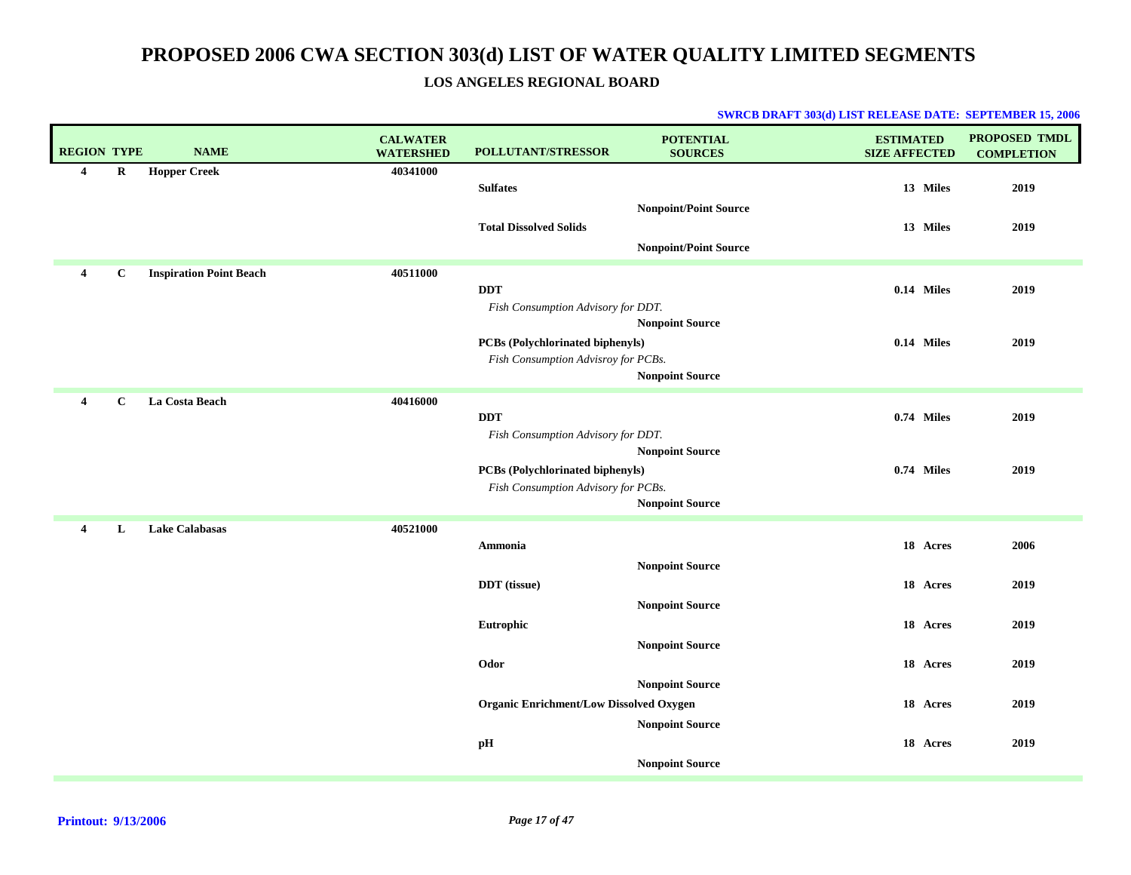### **LOS ANGELES REGIONAL BOARD**

| <b>REGION TYPE</b> |             | <b>NAME</b>                    | <b>CALWATER</b><br><b>WATERSHED</b> | POLLUTANT/STRESSOR                               | <b>POTENTIAL</b><br><b>SOURCES</b>                           | <b>ESTIMATED</b><br><b>SIZE AFFECTED</b> |            | <b>PROPOSED TMDL</b><br><b>COMPLETION</b> |
|--------------------|-------------|--------------------------------|-------------------------------------|--------------------------------------------------|--------------------------------------------------------------|------------------------------------------|------------|-------------------------------------------|
| $\overline{4}$     | R           | <b>Hopper Creek</b>            | 40341000                            | <b>Sulfates</b>                                  |                                                              |                                          | 13 Miles   | 2019                                      |
|                    |             |                                |                                     | <b>Total Dissolved Solids</b>                    | <b>Nonpoint/Point Source</b><br><b>Nonpoint/Point Source</b> |                                          | 13 Miles   | 2019                                      |
|                    |             |                                |                                     |                                                  |                                                              |                                          |            |                                           |
| 4                  | $\mathbf C$ | <b>Inspiration Point Beach</b> | 40511000                            | <b>DDT</b><br>Fish Consumption Advisory for DDT. |                                                              |                                          | 0.14 Miles | 2019                                      |
|                    |             |                                |                                     |                                                  | <b>Nonpoint Source</b>                                       |                                          |            |                                           |
|                    |             |                                |                                     | <b>PCBs</b> (Polychlorinated biphenyls)          |                                                              |                                          | 0.14 Miles | 2019                                      |
|                    |             |                                |                                     | Fish Consumption Advisroy for PCBs.              | <b>Nonpoint Source</b>                                       |                                          |            |                                           |
| 4                  | $\mathbf C$ | La Costa Beach                 | 40416000                            |                                                  |                                                              |                                          |            |                                           |
|                    |             |                                |                                     | <b>DDT</b><br>Fish Consumption Advisory for DDT. |                                                              |                                          | 0.74 Miles | 2019                                      |
|                    |             |                                |                                     |                                                  | <b>Nonpoint Source</b>                                       |                                          |            |                                           |
|                    |             |                                |                                     | PCBs (Polychlorinated biphenyls)                 |                                                              |                                          | 0.74 Miles | 2019                                      |
|                    |             |                                |                                     | Fish Consumption Advisory for PCBs.              |                                                              |                                          |            |                                           |
|                    |             |                                |                                     |                                                  | <b>Nonpoint Source</b>                                       |                                          |            |                                           |
| $\overline{4}$     | L           | <b>Lake Calabasas</b>          | 40521000                            | Ammonia                                          |                                                              |                                          | 18 Acres   | 2006                                      |
|                    |             |                                |                                     |                                                  | <b>Nonpoint Source</b>                                       |                                          |            |                                           |
|                    |             |                                |                                     | <b>DDT</b> (tissue)                              |                                                              |                                          | 18 Acres   | 2019                                      |
|                    |             |                                |                                     |                                                  | <b>Nonpoint Source</b>                                       |                                          |            |                                           |
|                    |             |                                |                                     | Eutrophic                                        |                                                              |                                          | 18 Acres   | 2019                                      |
|                    |             |                                |                                     |                                                  | <b>Nonpoint Source</b>                                       |                                          |            |                                           |
|                    |             |                                |                                     | Odor                                             |                                                              |                                          | 18 Acres   | 2019                                      |
|                    |             |                                |                                     | <b>Organic Enrichment/Low Dissolved Oxygen</b>   | <b>Nonpoint Source</b>                                       |                                          | 18 Acres   | 2019                                      |
|                    |             |                                |                                     |                                                  | <b>Nonpoint Source</b>                                       |                                          |            |                                           |
|                    |             |                                |                                     | pН                                               |                                                              |                                          | 18 Acres   | 2019                                      |
|                    |             |                                |                                     |                                                  | <b>Nonpoint Source</b>                                       |                                          |            |                                           |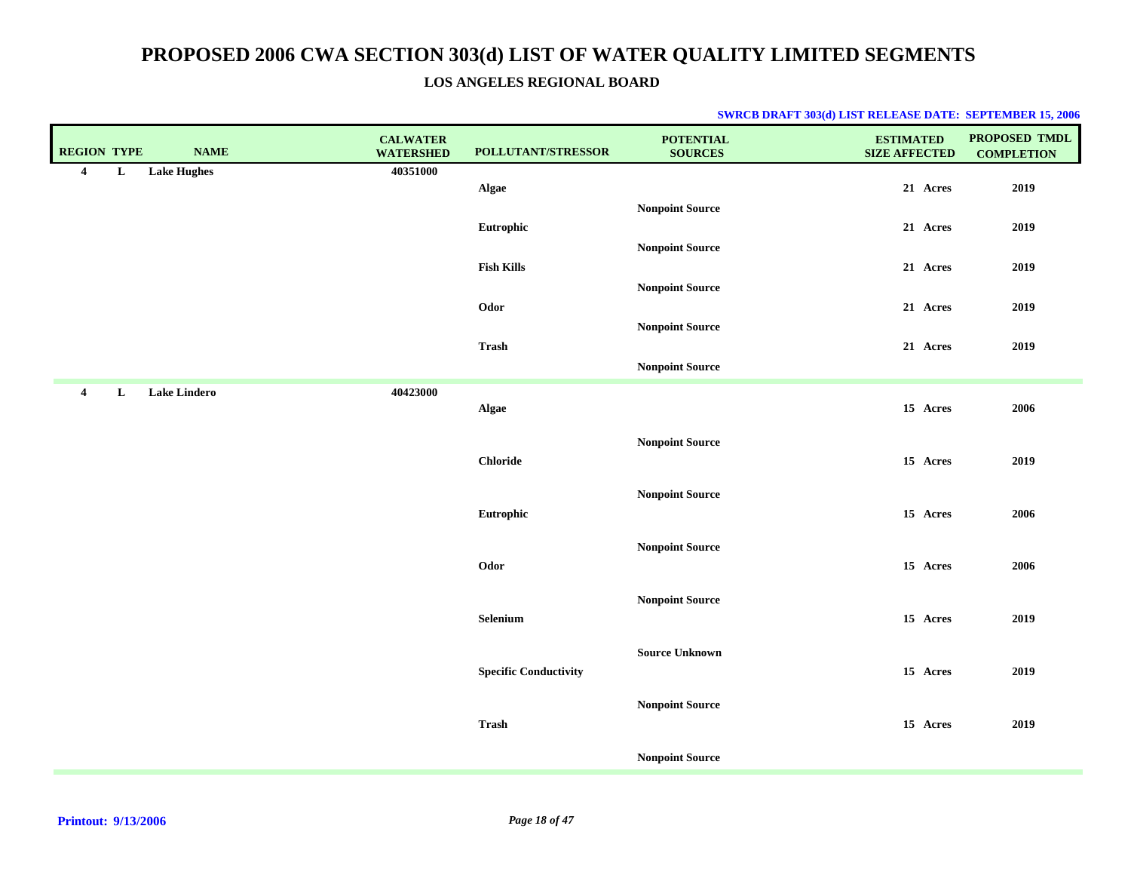### **LOS ANGELES REGIONAL BOARD**

| <b>Lake Hughes</b><br>40351000<br>$\overline{\mathbf{4}}$<br>L<br>21 Acres<br>2019<br>Algae<br><b>Nonpoint Source</b><br>Eutrophic<br>21 Acres<br>2019<br><b>Nonpoint Source</b><br><b>Fish Kills</b><br>21 Acres<br>2019<br><b>Nonpoint Source</b><br>Odor<br>21 Acres<br>2019<br><b>Nonpoint Source</b><br>Trash<br>2019<br>21 Acres<br><b>Nonpoint Source</b><br><b>Lake Lindero</b><br>40423000<br>$\overline{4}$<br>L<br>15 Acres<br>2006<br>Algae<br><b>Nonpoint Source</b><br><b>Chloride</b><br>15 Acres<br>2019<br><b>Nonpoint Source</b><br>Eutrophic<br>15 Acres<br>2006<br><b>Nonpoint Source</b><br>Odor<br>15 Acres<br>2006<br><b>Nonpoint Source</b><br>Selenium<br>15 Acres<br>2019<br><b>Source Unknown</b><br>15 Acres<br>2019<br><b>Specific Conductivity</b><br><b>Nonpoint Source</b><br><b>Trash</b><br>15 Acres<br>2019<br><b>Nonpoint Source</b> | <b>REGION TYPE</b> | <b>NAME</b> | <b>CALWATER</b><br><b>WATERSHED</b> | POLLUTANT/STRESSOR | <b>POTENTIAL</b><br><b>SOURCES</b> | <b>ESTIMATED</b><br><b>SIZE AFFECTED</b> | PROPOSED TMDL<br><b>COMPLETION</b> |
|--------------------------------------------------------------------------------------------------------------------------------------------------------------------------------------------------------------------------------------------------------------------------------------------------------------------------------------------------------------------------------------------------------------------------------------------------------------------------------------------------------------------------------------------------------------------------------------------------------------------------------------------------------------------------------------------------------------------------------------------------------------------------------------------------------------------------------------------------------------------------|--------------------|-------------|-------------------------------------|--------------------|------------------------------------|------------------------------------------|------------------------------------|
|                                                                                                                                                                                                                                                                                                                                                                                                                                                                                                                                                                                                                                                                                                                                                                                                                                                                          |                    |             |                                     |                    |                                    |                                          |                                    |
|                                                                                                                                                                                                                                                                                                                                                                                                                                                                                                                                                                                                                                                                                                                                                                                                                                                                          |                    |             |                                     |                    |                                    |                                          |                                    |
|                                                                                                                                                                                                                                                                                                                                                                                                                                                                                                                                                                                                                                                                                                                                                                                                                                                                          |                    |             |                                     |                    |                                    |                                          |                                    |
|                                                                                                                                                                                                                                                                                                                                                                                                                                                                                                                                                                                                                                                                                                                                                                                                                                                                          |                    |             |                                     |                    |                                    |                                          |                                    |
|                                                                                                                                                                                                                                                                                                                                                                                                                                                                                                                                                                                                                                                                                                                                                                                                                                                                          |                    |             |                                     |                    |                                    |                                          |                                    |
|                                                                                                                                                                                                                                                                                                                                                                                                                                                                                                                                                                                                                                                                                                                                                                                                                                                                          |                    |             |                                     |                    |                                    |                                          |                                    |
|                                                                                                                                                                                                                                                                                                                                                                                                                                                                                                                                                                                                                                                                                                                                                                                                                                                                          |                    |             |                                     |                    |                                    |                                          |                                    |
|                                                                                                                                                                                                                                                                                                                                                                                                                                                                                                                                                                                                                                                                                                                                                                                                                                                                          |                    |             |                                     |                    |                                    |                                          |                                    |
|                                                                                                                                                                                                                                                                                                                                                                                                                                                                                                                                                                                                                                                                                                                                                                                                                                                                          |                    |             |                                     |                    |                                    |                                          |                                    |
|                                                                                                                                                                                                                                                                                                                                                                                                                                                                                                                                                                                                                                                                                                                                                                                                                                                                          |                    |             |                                     |                    |                                    |                                          |                                    |
|                                                                                                                                                                                                                                                                                                                                                                                                                                                                                                                                                                                                                                                                                                                                                                                                                                                                          |                    |             |                                     |                    |                                    |                                          |                                    |
|                                                                                                                                                                                                                                                                                                                                                                                                                                                                                                                                                                                                                                                                                                                                                                                                                                                                          |                    |             |                                     |                    |                                    |                                          |                                    |
|                                                                                                                                                                                                                                                                                                                                                                                                                                                                                                                                                                                                                                                                                                                                                                                                                                                                          |                    |             |                                     |                    |                                    |                                          |                                    |
|                                                                                                                                                                                                                                                                                                                                                                                                                                                                                                                                                                                                                                                                                                                                                                                                                                                                          |                    |             |                                     |                    |                                    |                                          |                                    |
|                                                                                                                                                                                                                                                                                                                                                                                                                                                                                                                                                                                                                                                                                                                                                                                                                                                                          |                    |             |                                     |                    |                                    |                                          |                                    |
|                                                                                                                                                                                                                                                                                                                                                                                                                                                                                                                                                                                                                                                                                                                                                                                                                                                                          |                    |             |                                     |                    |                                    |                                          |                                    |
|                                                                                                                                                                                                                                                                                                                                                                                                                                                                                                                                                                                                                                                                                                                                                                                                                                                                          |                    |             |                                     |                    |                                    |                                          |                                    |
|                                                                                                                                                                                                                                                                                                                                                                                                                                                                                                                                                                                                                                                                                                                                                                                                                                                                          |                    |             |                                     |                    |                                    |                                          |                                    |
|                                                                                                                                                                                                                                                                                                                                                                                                                                                                                                                                                                                                                                                                                                                                                                                                                                                                          |                    |             |                                     |                    |                                    |                                          |                                    |
|                                                                                                                                                                                                                                                                                                                                                                                                                                                                                                                                                                                                                                                                                                                                                                                                                                                                          |                    |             |                                     |                    |                                    |                                          |                                    |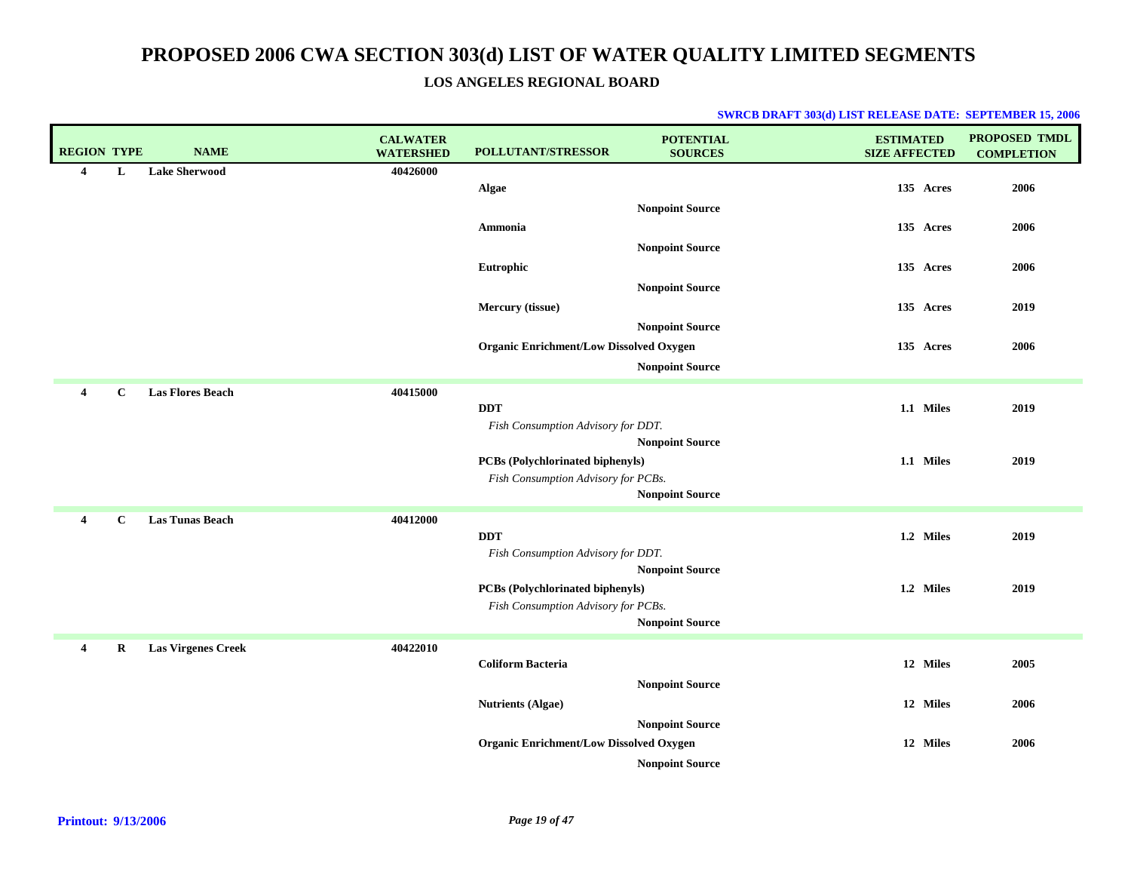### **LOS ANGELES REGIONAL BOARD**

| <b>REGION TYPE</b>      |              | <b>NAME</b>               | <b>CALWATER</b><br><b>WATERSHED</b> | <b>POLLUTANT/STRESSOR</b>                      | <b>POTENTIAL</b><br><b>SOURCES</b> | <b>ESTIMATED</b><br><b>SIZE AFFECTED</b> | <b>PROPOSED TMDL</b><br><b>COMPLETION</b> |
|-------------------------|--------------|---------------------------|-------------------------------------|------------------------------------------------|------------------------------------|------------------------------------------|-------------------------------------------|
| 4                       | L            | <b>Lake Sherwood</b>      | 40426000                            |                                                |                                    |                                          |                                           |
|                         |              |                           |                                     | Algae                                          |                                    | 135 Acres                                | 2006                                      |
|                         |              |                           |                                     |                                                | <b>Nonpoint Source</b>             |                                          |                                           |
|                         |              |                           |                                     | Ammonia                                        |                                    | 135 Acres                                | 2006                                      |
|                         |              |                           |                                     |                                                | <b>Nonpoint Source</b>             |                                          |                                           |
|                         |              |                           |                                     | Eutrophic                                      |                                    | 135 Acres                                | 2006                                      |
|                         |              |                           |                                     |                                                | <b>Nonpoint Source</b>             |                                          |                                           |
|                         |              |                           |                                     | Mercury (tissue)                               |                                    | 135 Acres                                | 2019                                      |
|                         |              |                           |                                     |                                                | <b>Nonpoint Source</b>             |                                          |                                           |
|                         |              |                           |                                     | <b>Organic Enrichment/Low Dissolved Oxygen</b> |                                    | 135 Acres                                | 2006                                      |
|                         |              |                           |                                     |                                                | <b>Nonpoint Source</b>             |                                          |                                           |
| $\overline{4}$          | $\mathbf C$  | <b>Las Flores Beach</b>   | 40415000                            |                                                |                                    |                                          |                                           |
|                         |              |                           |                                     | <b>DDT</b>                                     |                                    | 1.1 Miles                                | 2019                                      |
|                         |              |                           |                                     | Fish Consumption Advisory for DDT.             |                                    |                                          |                                           |
|                         |              |                           |                                     |                                                | <b>Nonpoint Source</b>             |                                          |                                           |
|                         |              |                           |                                     | <b>PCBs</b> (Polychlorinated biphenyls)        |                                    | 1.1 Miles                                | 2019                                      |
|                         |              |                           |                                     | Fish Consumption Advisory for PCBs.            |                                    |                                          |                                           |
|                         |              |                           |                                     |                                                | <b>Nonpoint Source</b>             |                                          |                                           |
| $\overline{\mathbf{4}}$ | $\mathbf{C}$ | <b>Las Tunas Beach</b>    | 40412000                            |                                                |                                    |                                          |                                           |
|                         |              |                           |                                     | <b>DDT</b>                                     |                                    | 1.2 Miles                                | 2019                                      |
|                         |              |                           |                                     | Fish Consumption Advisory for DDT.             |                                    |                                          |                                           |
|                         |              |                           |                                     | PCBs (Polychlorinated biphenyls)               | <b>Nonpoint Source</b>             | 1.2 Miles                                | 2019                                      |
|                         |              |                           |                                     | Fish Consumption Advisory for PCBs.            |                                    |                                          |                                           |
|                         |              |                           |                                     |                                                | <b>Nonpoint Source</b>             |                                          |                                           |
| $\overline{4}$          | $\bf{R}$     | <b>Las Virgenes Creek</b> | 40422010                            |                                                |                                    |                                          |                                           |
|                         |              |                           |                                     | <b>Coliform Bacteria</b>                       |                                    | 12 Miles                                 | 2005                                      |
|                         |              |                           |                                     |                                                | <b>Nonpoint Source</b>             |                                          |                                           |
|                         |              |                           |                                     | <b>Nutrients (Algae)</b>                       |                                    | 12 Miles                                 | 2006                                      |
|                         |              |                           |                                     |                                                | <b>Nonpoint Source</b>             |                                          |                                           |
|                         |              |                           |                                     | <b>Organic Enrichment/Low Dissolved Oxygen</b> |                                    | 12 Miles                                 | 2006                                      |
|                         |              |                           |                                     |                                                | <b>Nonpoint Source</b>             |                                          |                                           |
|                         |              |                           |                                     |                                                |                                    |                                          |                                           |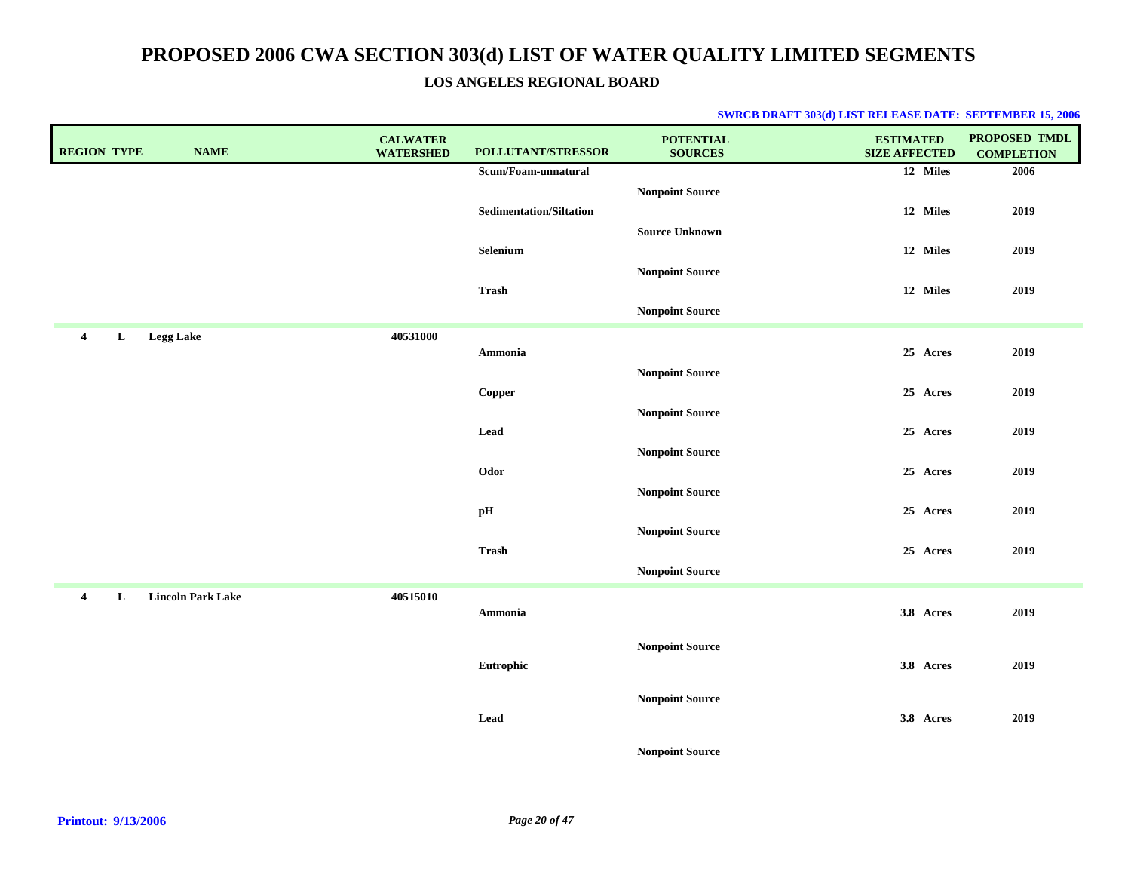**LOS ANGELES REGIONAL BOARD**

| <b>REGION TYPE</b>           | <b>NAME</b>              | <b>CALWATER</b><br><b>WATERSHED</b> | POLLUTANT/STRESSOR             | <b>POTENTIAL</b><br><b>SOURCES</b> | <b>ESTIMATED</b><br><b>SIZE AFFECTED</b> | <b>PROPOSED TMDL</b><br><b>COMPLETION</b> |
|------------------------------|--------------------------|-------------------------------------|--------------------------------|------------------------------------|------------------------------------------|-------------------------------------------|
|                              |                          |                                     | Scum/Foam-unnatural            |                                    | 12 Miles                                 | 2006                                      |
|                              |                          |                                     |                                | <b>Nonpoint Source</b>             |                                          |                                           |
|                              |                          |                                     | <b>Sedimentation/Siltation</b> |                                    | 12 Miles                                 | 2019                                      |
|                              |                          |                                     |                                | <b>Source Unknown</b>              |                                          |                                           |
|                              |                          |                                     | Selenium                       |                                    | 12 Miles                                 | 2019                                      |
|                              |                          |                                     |                                | <b>Nonpoint Source</b>             |                                          |                                           |
|                              |                          |                                     | Trash                          |                                    | 12 Miles                                 | 2019                                      |
|                              |                          |                                     |                                | <b>Nonpoint Source</b>             |                                          |                                           |
| $\overline{4}$<br>L          | <b>Legg Lake</b>         | 40531000                            |                                |                                    |                                          |                                           |
|                              |                          |                                     | Ammonia                        |                                    | 25 Acres                                 | 2019                                      |
|                              |                          |                                     |                                | <b>Nonpoint Source</b>             |                                          |                                           |
|                              |                          |                                     | Copper                         |                                    | 25 Acres                                 | 2019                                      |
|                              |                          |                                     |                                | <b>Nonpoint Source</b>             |                                          |                                           |
|                              |                          |                                     | Lead                           |                                    | 25 Acres                                 | 2019                                      |
|                              |                          |                                     |                                | <b>Nonpoint Source</b>             |                                          |                                           |
|                              |                          |                                     | Odor                           |                                    | 25 Acres                                 | 2019                                      |
|                              |                          |                                     |                                | <b>Nonpoint Source</b>             |                                          |                                           |
|                              |                          |                                     | pH                             |                                    | 25 Acres                                 | 2019                                      |
|                              |                          |                                     | <b>Trash</b>                   | <b>Nonpoint Source</b>             | 25 Acres                                 | 2019                                      |
|                              |                          |                                     |                                | <b>Nonpoint Source</b>             |                                          |                                           |
|                              |                          |                                     |                                |                                    |                                          |                                           |
| $\overline{\mathbf{4}}$<br>L | <b>Lincoln Park Lake</b> | 40515010                            | Ammonia                        |                                    | 3.8 Acres                                | 2019                                      |
|                              |                          |                                     |                                |                                    |                                          |                                           |
|                              |                          |                                     |                                | <b>Nonpoint Source</b>             |                                          |                                           |
|                              |                          |                                     | Eutrophic                      |                                    | 3.8 Acres                                | 2019                                      |
|                              |                          |                                     |                                |                                    |                                          |                                           |
|                              |                          |                                     |                                | <b>Nonpoint Source</b>             |                                          |                                           |
|                              |                          |                                     | Lead                           |                                    | 3.8 Acres                                | 2019                                      |
|                              |                          |                                     |                                | <b>Nonpoint Source</b>             |                                          |                                           |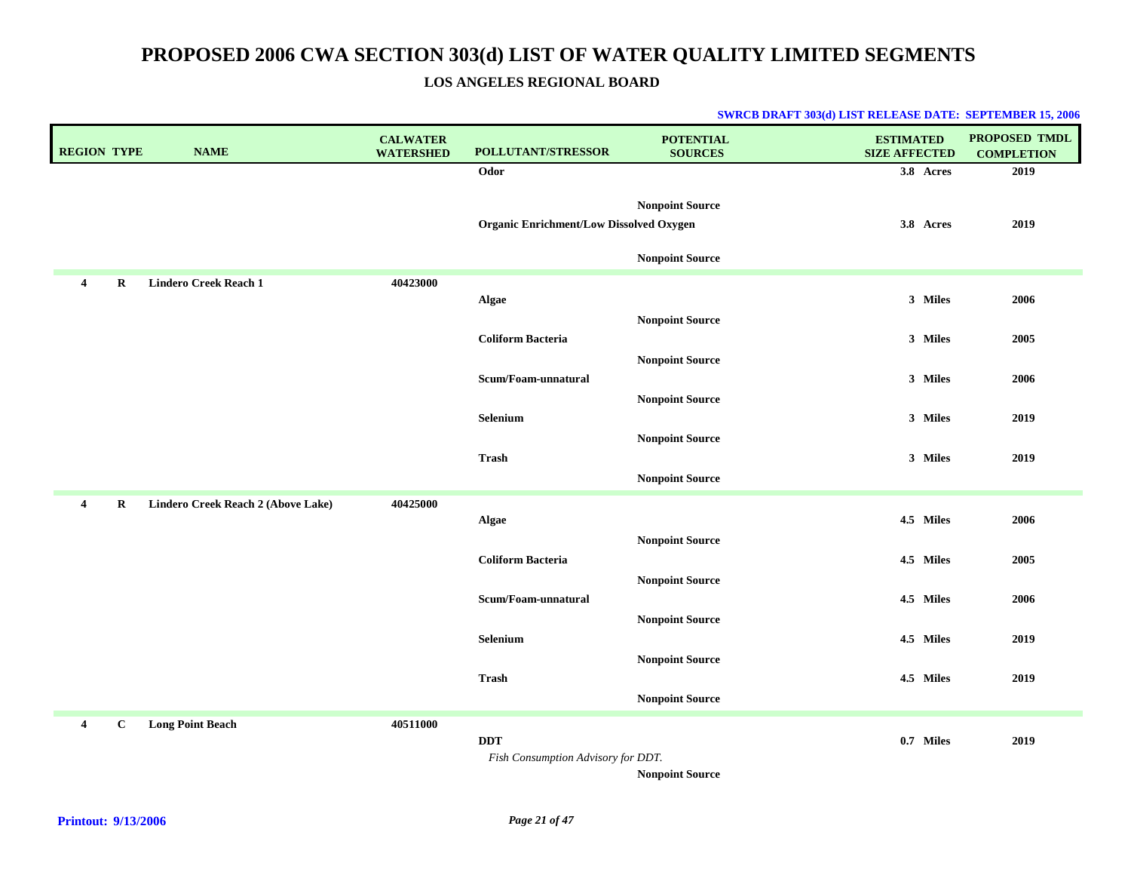### **LOS ANGELES REGIONAL BOARD**

| <b>REGION TYPE</b>      |              | <b>NAME</b>                        | <b>CALWATER</b><br><b>WATERSHED</b> | <b>POLLUTANT/STRESSOR</b>                        | <b>POTENTIAL</b><br><b>SOURCES</b>               | <b>ESTIMATED</b><br><b>SIZE AFFECTED</b> | <b>PROPOSED TMDL</b><br><b>COMPLETION</b> |
|-------------------------|--------------|------------------------------------|-------------------------------------|--------------------------------------------------|--------------------------------------------------|------------------------------------------|-------------------------------------------|
|                         |              |                                    |                                     | Odor                                             |                                                  | 3.8 Acres                                | 2019                                      |
|                         |              |                                    |                                     | <b>Organic Enrichment/Low Dissolved Oxygen</b>   | <b>Nonpoint Source</b>                           | 3.8 Acres                                | 2019                                      |
|                         |              |                                    |                                     |                                                  | <b>Nonpoint Source</b>                           |                                          |                                           |
| 4                       | R            | <b>Lindero Creek Reach 1</b>       | 40423000                            | Algae                                            |                                                  | 3 Miles                                  | 2006                                      |
|                         |              |                                    |                                     | <b>Coliform Bacteria</b>                         | <b>Nonpoint Source</b>                           | 3 Miles                                  | 2005                                      |
|                         |              |                                    |                                     | Scum/Foam-unnatural                              | <b>Nonpoint Source</b>                           | 3 Miles                                  | 2006                                      |
|                         |              |                                    |                                     | Selenium                                         | <b>Nonpoint Source</b>                           | 3 Miles                                  | 2019                                      |
|                         |              |                                    |                                     | <b>Trash</b>                                     | <b>Nonpoint Source</b>                           | 3 Miles                                  | 2019                                      |
|                         |              |                                    |                                     |                                                  | <b>Nonpoint Source</b>                           |                                          |                                           |
| $\overline{4}$          | R            | Lindero Creek Reach 2 (Above Lake) | 40425000                            | Algae                                            |                                                  | 4.5 Miles                                | 2006                                      |
|                         |              |                                    |                                     | <b>Coliform Bacteria</b>                         | <b>Nonpoint Source</b>                           | 4.5 Miles                                | 2005                                      |
|                         |              |                                    |                                     | Scum/Foam-unnatural                              | <b>Nonpoint Source</b>                           | 4.5 Miles                                | 2006                                      |
|                         |              |                                    |                                     | Selenium                                         | <b>Nonpoint Source</b>                           | 4.5 Miles                                | 2019                                      |
|                         |              |                                    |                                     | <b>Trash</b>                                     | <b>Nonpoint Source</b><br><b>Nonpoint Source</b> | 4.5 Miles                                | 2019                                      |
|                         |              |                                    |                                     |                                                  |                                                  |                                          |                                           |
| $\overline{\mathbf{4}}$ | $\mathbf{C}$ | <b>Long Point Beach</b>            | 40511000                            | <b>DDT</b><br>Fish Consumption Advisory for DDT. | <b>Nonpoint Source</b>                           | 0.7 Miles                                | 2019                                      |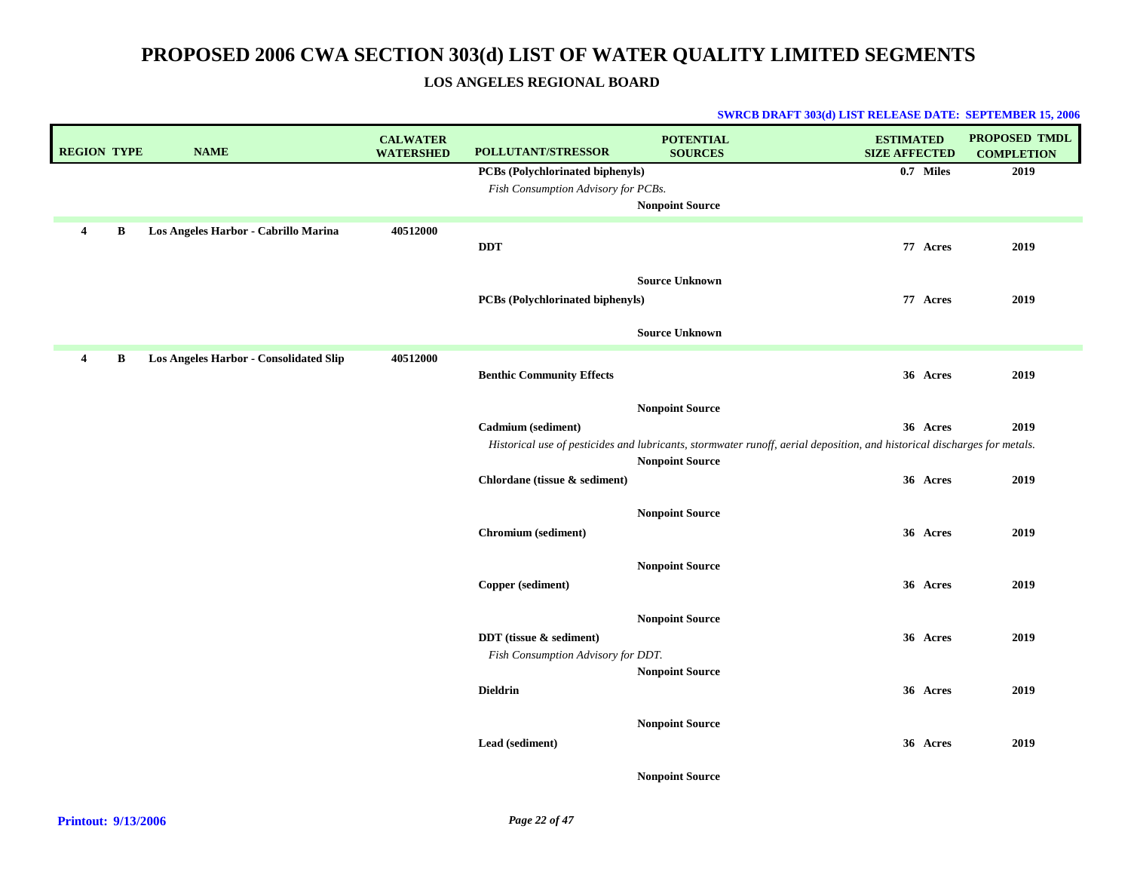### **LOS ANGELES REGIONAL BOARD**

| <b>REGION TYPE</b> |              | <b>NAME</b>                                   | <b>CALWATER</b><br><b>WATERSHED</b> | POLLUTANT/STRESSOR                      | <b>POTENTIAL</b><br><b>SOURCES</b>                                                                                       | <b>ESTIMATED</b><br><b>SIZE AFFECTED</b> | <b>PROPOSED TMDL</b><br><b>COMPLETION</b> |
|--------------------|--------------|-----------------------------------------------|-------------------------------------|-----------------------------------------|--------------------------------------------------------------------------------------------------------------------------|------------------------------------------|-------------------------------------------|
|                    |              |                                               |                                     | PCBs (Polychlorinated biphenyls)        |                                                                                                                          | 0.7 Miles                                | 2019                                      |
|                    |              |                                               |                                     | Fish Consumption Advisory for PCBs.     |                                                                                                                          |                                          |                                           |
|                    |              |                                               |                                     |                                         | <b>Nonpoint Source</b>                                                                                                   |                                          |                                           |
| $\overline{4}$     | B            | Los Angeles Harbor - Cabrillo Marina          | 40512000                            | <b>DDT</b>                              |                                                                                                                          | 77 Acres                                 | 2019                                      |
|                    |              |                                               |                                     | <b>PCBs (Polychlorinated biphenyls)</b> | <b>Source Unknown</b>                                                                                                    | 77 Acres                                 | 2019                                      |
|                    |              |                                               |                                     |                                         | <b>Source Unknown</b>                                                                                                    |                                          |                                           |
| $\overline{4}$     | $\, {\bf B}$ | <b>Los Angeles Harbor - Consolidated Slip</b> | 40512000                            | <b>Benthic Community Effects</b>        |                                                                                                                          | 36 Acres                                 | 2019                                      |
|                    |              |                                               |                                     |                                         | <b>Nonpoint Source</b>                                                                                                   |                                          |                                           |
|                    |              |                                               |                                     | Cadmium (sediment)                      |                                                                                                                          | 36 Acres                                 | 2019                                      |
|                    |              |                                               |                                     |                                         | Historical use of pesticides and lubricants, stormwater runoff, aerial deposition, and historical discharges for metals. |                                          |                                           |
|                    |              |                                               |                                     |                                         | <b>Nonpoint Source</b>                                                                                                   |                                          |                                           |
|                    |              |                                               |                                     | Chlordane (tissue & sediment)           |                                                                                                                          | 36 Acres                                 | 2019                                      |
|                    |              |                                               |                                     |                                         | <b>Nonpoint Source</b>                                                                                                   |                                          |                                           |
|                    |              |                                               |                                     | Chromium (sediment)                     |                                                                                                                          | 36 Acres                                 | 2019                                      |
|                    |              |                                               |                                     |                                         |                                                                                                                          |                                          |                                           |
|                    |              |                                               |                                     |                                         | <b>Nonpoint Source</b>                                                                                                   |                                          |                                           |
|                    |              |                                               |                                     | Copper (sediment)                       |                                                                                                                          | 36 Acres                                 | 2019                                      |
|                    |              |                                               |                                     |                                         |                                                                                                                          |                                          |                                           |
|                    |              |                                               |                                     | DDT (tissue & sediment)                 | <b>Nonpoint Source</b>                                                                                                   | 36 Acres                                 | 2019                                      |
|                    |              |                                               |                                     | Fish Consumption Advisory for DDT.      |                                                                                                                          |                                          |                                           |
|                    |              |                                               |                                     |                                         | <b>Nonpoint Source</b>                                                                                                   |                                          |                                           |
|                    |              |                                               |                                     | <b>Dieldrin</b>                         |                                                                                                                          | 36 Acres                                 | 2019                                      |
|                    |              |                                               |                                     |                                         |                                                                                                                          |                                          |                                           |
|                    |              |                                               |                                     | Lead (sediment)                         | <b>Nonpoint Source</b>                                                                                                   | 36 Acres                                 | 2019                                      |
|                    |              |                                               |                                     |                                         |                                                                                                                          |                                          |                                           |
|                    |              |                                               |                                     |                                         | <b>Nonpoint Source</b>                                                                                                   |                                          |                                           |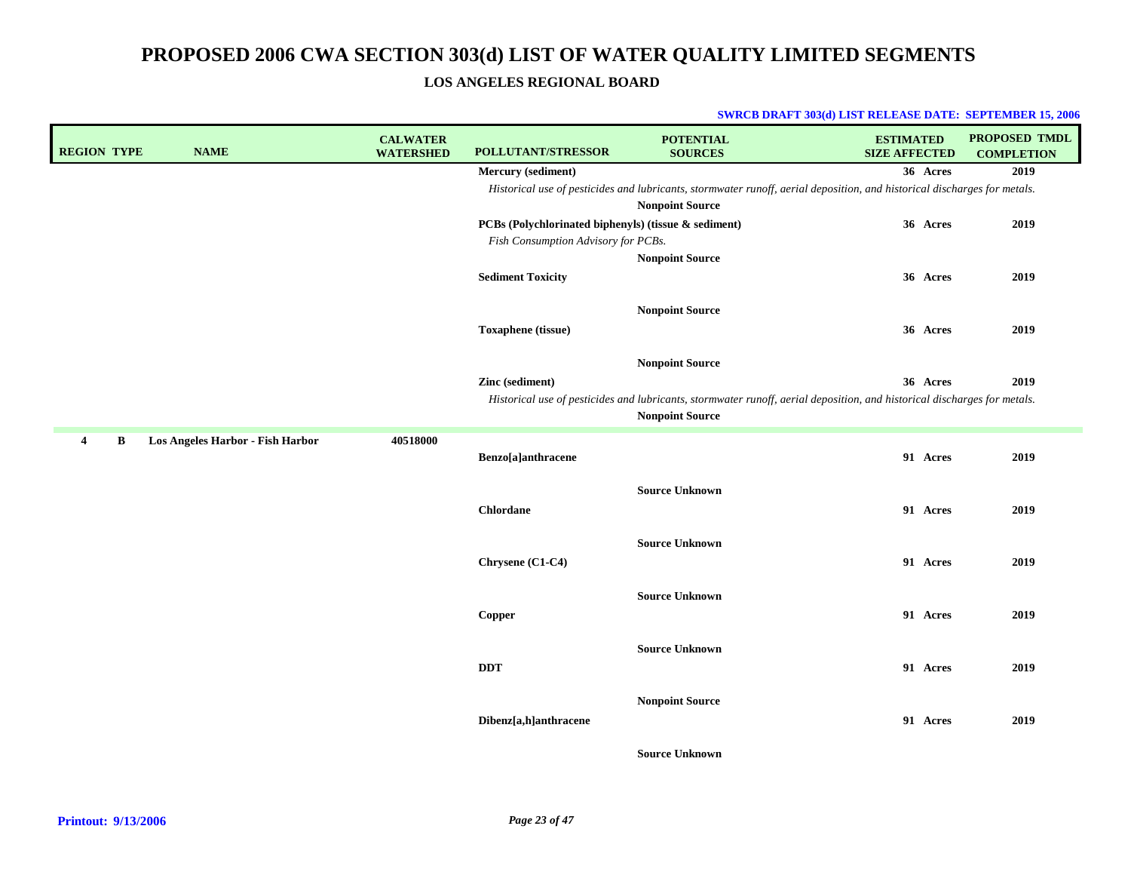**LOS ANGELES REGIONAL BOARD**

| <b>NAME</b><br><b>REGION TYPE</b>          | <b>CALWATER</b><br><b>WATERSHED</b> | POLLUTANT/STRESSOR                                   | <b>POTENTIAL</b><br><b>SOURCES</b>                                                                                       | <b>ESTIMATED</b><br><b>SIZE AFFECTED</b> | PROPOSED TMDL<br><b>COMPLETION</b> |
|--------------------------------------------|-------------------------------------|------------------------------------------------------|--------------------------------------------------------------------------------------------------------------------------|------------------------------------------|------------------------------------|
|                                            |                                     | Mercury (sediment)                                   |                                                                                                                          | 36 Acres                                 | 2019                               |
|                                            |                                     |                                                      | Historical use of pesticides and lubricants, stormwater runoff, aerial deposition, and historical discharges for metals. |                                          |                                    |
|                                            |                                     |                                                      | <b>Nonpoint Source</b>                                                                                                   |                                          |                                    |
|                                            |                                     | PCBs (Polychlorinated biphenyls) (tissue & sediment) |                                                                                                                          | 36 Acres                                 | 2019                               |
|                                            |                                     | Fish Consumption Advisory for PCBs.                  |                                                                                                                          |                                          |                                    |
|                                            |                                     |                                                      | <b>Nonpoint Source</b>                                                                                                   |                                          |                                    |
|                                            |                                     | <b>Sediment Toxicity</b>                             |                                                                                                                          | 36 Acres                                 | 2019                               |
|                                            |                                     |                                                      | <b>Nonpoint Source</b>                                                                                                   |                                          |                                    |
|                                            |                                     |                                                      |                                                                                                                          |                                          |                                    |
|                                            |                                     | <b>Toxaphene</b> (tissue)                            |                                                                                                                          | 36 Acres                                 | 2019                               |
|                                            |                                     |                                                      | <b>Nonpoint Source</b>                                                                                                   |                                          |                                    |
|                                            |                                     | Zinc (sediment)                                      |                                                                                                                          | 36 Acres                                 | 2019                               |
|                                            |                                     |                                                      | Historical use of pesticides and lubricants, stormwater runoff, aerial deposition, and historical discharges for metals. |                                          |                                    |
|                                            |                                     |                                                      | <b>Nonpoint Source</b>                                                                                                   |                                          |                                    |
| B<br>Los Angeles Harbor - Fish Harbor<br>4 | 40518000                            |                                                      |                                                                                                                          |                                          |                                    |
|                                            |                                     | Benzo[a]anthracene                                   |                                                                                                                          | 91 Acres                                 | 2019                               |
|                                            |                                     |                                                      |                                                                                                                          |                                          |                                    |
|                                            |                                     |                                                      | <b>Source Unknown</b>                                                                                                    |                                          |                                    |
|                                            |                                     | Chlordane                                            |                                                                                                                          | 91 Acres                                 | 2019                               |
|                                            |                                     |                                                      | <b>Source Unknown</b>                                                                                                    |                                          |                                    |
|                                            |                                     |                                                      |                                                                                                                          |                                          |                                    |
|                                            |                                     | Chrysene (C1-C4)                                     |                                                                                                                          | 91 Acres                                 | 2019                               |
|                                            |                                     |                                                      | <b>Source Unknown</b>                                                                                                    |                                          |                                    |
|                                            |                                     | Copper                                               |                                                                                                                          | 91 Acres                                 | 2019                               |
|                                            |                                     |                                                      |                                                                                                                          |                                          |                                    |
|                                            |                                     |                                                      | <b>Source Unknown</b>                                                                                                    |                                          |                                    |
|                                            |                                     | <b>DDT</b>                                           |                                                                                                                          | 91 Acres                                 | 2019                               |
|                                            |                                     |                                                      |                                                                                                                          |                                          |                                    |
|                                            |                                     |                                                      | <b>Nonpoint Source</b>                                                                                                   |                                          |                                    |
|                                            |                                     | Dibenz[a,h]anthracene                                |                                                                                                                          | 91 Acres                                 | 2019                               |
|                                            |                                     |                                                      | <b>Source Unknown</b>                                                                                                    |                                          |                                    |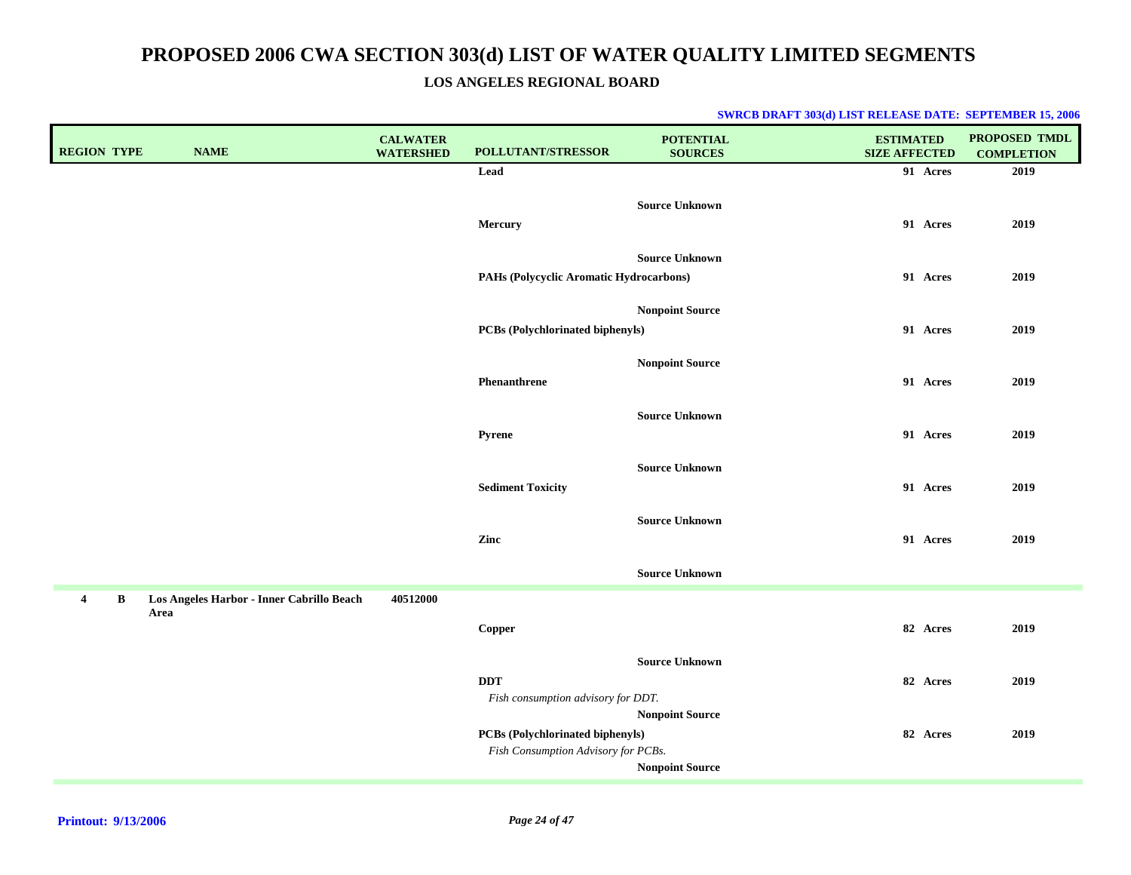**LOS ANGELES REGIONAL BOARD**

| <b>REGION TYPE</b>         | <b>NAME</b>                                       | <b>CALWATER</b><br><b>WATERSHED</b> | POLLUTANT/STRESSOR                                                      | <b>POTENTIAL</b><br><b>SOURCES</b>        | <b>ESTIMATED</b><br><b>SIZE AFFECTED</b> | PROPOSED TMDL<br><b>COMPLETION</b> |
|----------------------------|---------------------------------------------------|-------------------------------------|-------------------------------------------------------------------------|-------------------------------------------|------------------------------------------|------------------------------------|
|                            |                                                   |                                     | Lead                                                                    |                                           | 91 Acres                                 | 2019                               |
|                            |                                                   |                                     | Mercury                                                                 | <b>Source Unknown</b>                     | 91 Acres                                 | 2019                               |
|                            |                                                   |                                     | PAHs (Polycyclic Aromatic Hydrocarbons)                                 | <b>Source Unknown</b>                     | 91 Acres                                 | 2019                               |
|                            |                                                   |                                     | PCBs (Polychlorinated biphenyls)                                        | <b>Nonpoint Source</b>                    | 91 Acres                                 | 2019                               |
|                            |                                                   |                                     | Phenanthrene                                                            | <b>Nonpoint Source</b>                    | 91 Acres                                 | 2019                               |
|                            |                                                   |                                     | Pyrene                                                                  | <b>Source Unknown</b>                     | 91 Acres                                 | 2019                               |
|                            |                                                   |                                     | <b>Sediment Toxicity</b>                                                | <b>Source Unknown</b>                     | 91 Acres                                 | 2019                               |
|                            |                                                   |                                     | Zinc                                                                    | <b>Source Unknown</b>                     | 91 Acres                                 | 2019                               |
|                            |                                                   |                                     |                                                                         | <b>Source Unknown</b>                     |                                          |                                    |
| $\bf{B}$<br>$\overline{4}$ | Los Angeles Harbor - Inner Cabrillo Beach<br>Area | 40512000                            |                                                                         |                                           | 82 Acres                                 |                                    |
|                            |                                                   |                                     | Copper                                                                  |                                           |                                          | 2019                               |
|                            |                                                   |                                     | <b>DDT</b><br>Fish consumption advisory for DDT.                        | <b>Source Unknown</b>                     | 82 Acres                                 | 2019                               |
|                            |                                                   |                                     | PCBs (Polychlorinated biphenyls)<br>Fish Consumption Advisory for PCBs. | Nonpoint Source<br><b>Nonpoint Source</b> | 82 Acres                                 | 2019                               |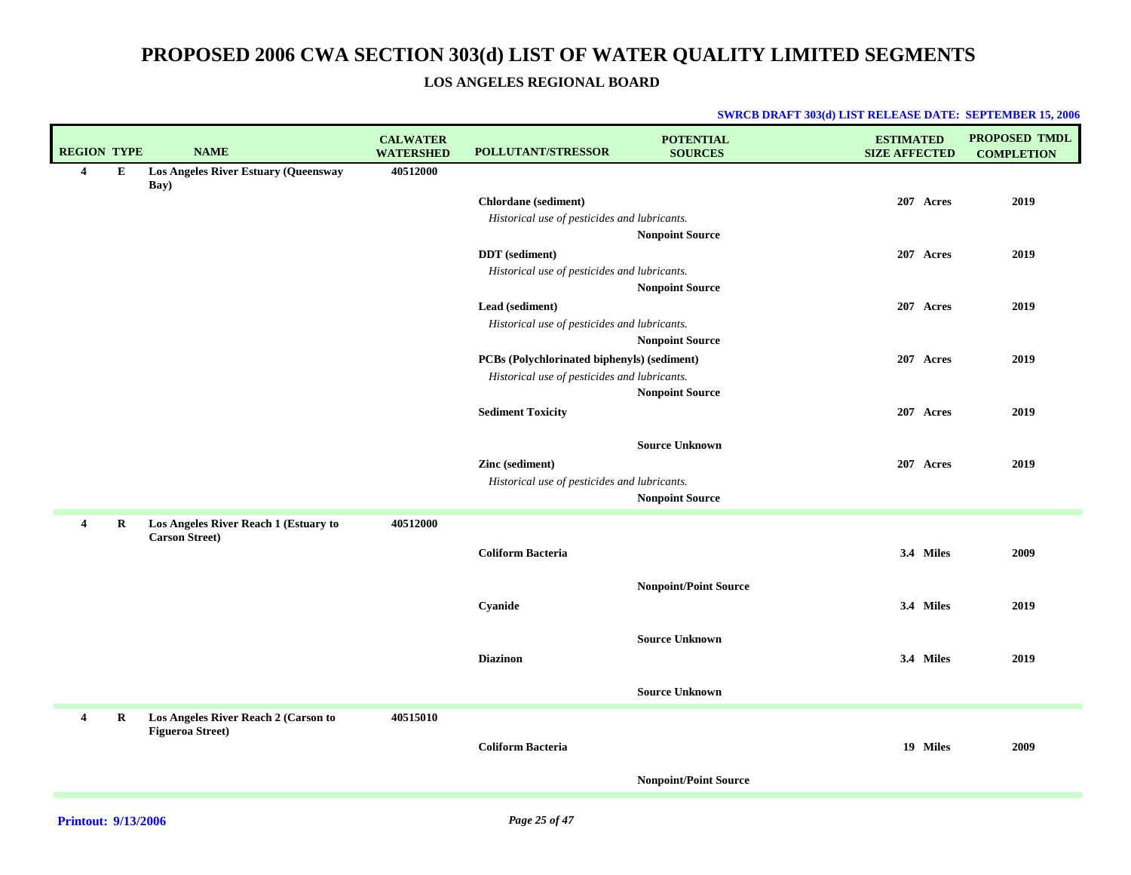### **LOS ANGELES REGIONAL BOARD**

| <b>REGION TYPE</b> |           | <b>NAME</b>                                                    | <b>CALWATER</b><br><b>WATERSHED</b> | <b>POLLUTANT/STRESSOR</b>                    | <b>POTENTIAL</b><br><b>SOURCES</b> | <b>ESTIMATED</b><br><b>SIZE AFFECTED</b> | PROPOSED TMDL<br><b>COMPLETION</b> |
|--------------------|-----------|----------------------------------------------------------------|-------------------------------------|----------------------------------------------|------------------------------------|------------------------------------------|------------------------------------|
| $\overline{4}$     | ${\bf E}$ | Los Angeles River Estuary (Queensway<br>Bay)                   | 40512000                            |                                              |                                    |                                          |                                    |
|                    |           |                                                                |                                     | <b>Chlordane</b> (sediment)                  |                                    | 207 Acres                                | 2019                               |
|                    |           |                                                                |                                     | Historical use of pesticides and lubricants. |                                    |                                          |                                    |
|                    |           |                                                                |                                     |                                              | <b>Nonpoint Source</b>             |                                          |                                    |
|                    |           |                                                                |                                     | <b>DDT</b> (sediment)                        |                                    | 207 Acres                                | 2019                               |
|                    |           |                                                                |                                     | Historical use of pesticides and lubricants. |                                    |                                          |                                    |
|                    |           |                                                                |                                     |                                              | <b>Nonpoint Source</b>             |                                          |                                    |
|                    |           |                                                                |                                     | Lead (sediment)                              |                                    | 207 Acres                                | 2019                               |
|                    |           |                                                                |                                     | Historical use of pesticides and lubricants. |                                    |                                          |                                    |
|                    |           |                                                                |                                     |                                              | <b>Nonpoint Source</b>             |                                          |                                    |
|                    |           |                                                                |                                     | PCBs (Polychlorinated biphenyls) (sediment)  |                                    | 207 Acres                                | 2019                               |
|                    |           |                                                                |                                     | Historical use of pesticides and lubricants. |                                    |                                          |                                    |
|                    |           |                                                                |                                     |                                              | <b>Nonpoint Source</b>             |                                          |                                    |
|                    |           |                                                                |                                     | <b>Sediment Toxicity</b>                     |                                    | 207 Acres                                | 2019                               |
|                    |           |                                                                |                                     |                                              |                                    |                                          |                                    |
|                    |           |                                                                |                                     |                                              | <b>Source Unknown</b>              |                                          |                                    |
|                    |           |                                                                |                                     | Zinc (sediment)                              |                                    | 207 Acres                                | 2019                               |
|                    |           |                                                                |                                     | Historical use of pesticides and lubricants. |                                    |                                          |                                    |
|                    |           |                                                                |                                     |                                              | <b>Nonpoint Source</b>             |                                          |                                    |
| 4                  | R         | Los Angeles River Reach 1 (Estuary to<br><b>Carson Street)</b> | 40512000                            |                                              |                                    |                                          |                                    |
|                    |           |                                                                |                                     | <b>Coliform Bacteria</b>                     |                                    | 3.4 Miles                                | 2009                               |
|                    |           |                                                                |                                     |                                              |                                    |                                          |                                    |
|                    |           |                                                                |                                     |                                              | <b>Nonpoint/Point Source</b>       |                                          |                                    |
|                    |           |                                                                |                                     | Cyanide                                      |                                    | 3.4 Miles                                | 2019                               |
|                    |           |                                                                |                                     |                                              |                                    |                                          |                                    |
|                    |           |                                                                |                                     |                                              | <b>Source Unknown</b>              |                                          |                                    |
|                    |           |                                                                |                                     | <b>Diazinon</b>                              |                                    | 3.4 Miles                                | 2019                               |
|                    |           |                                                                |                                     |                                              | <b>Source Unknown</b>              |                                          |                                    |
|                    |           |                                                                |                                     |                                              |                                    |                                          |                                    |
| 4                  | $\bf R$   | Los Angeles River Reach 2 (Carson to                           | 40515010                            |                                              |                                    |                                          |                                    |
|                    |           | <b>Figueroa Street)</b>                                        |                                     | <b>Coliform Bacteria</b>                     |                                    | 19 Miles                                 | 2009                               |
|                    |           |                                                                |                                     |                                              |                                    |                                          |                                    |
|                    |           |                                                                |                                     |                                              | <b>Nonpoint/Point Source</b>       |                                          |                                    |
|                    |           |                                                                |                                     |                                              |                                    |                                          |                                    |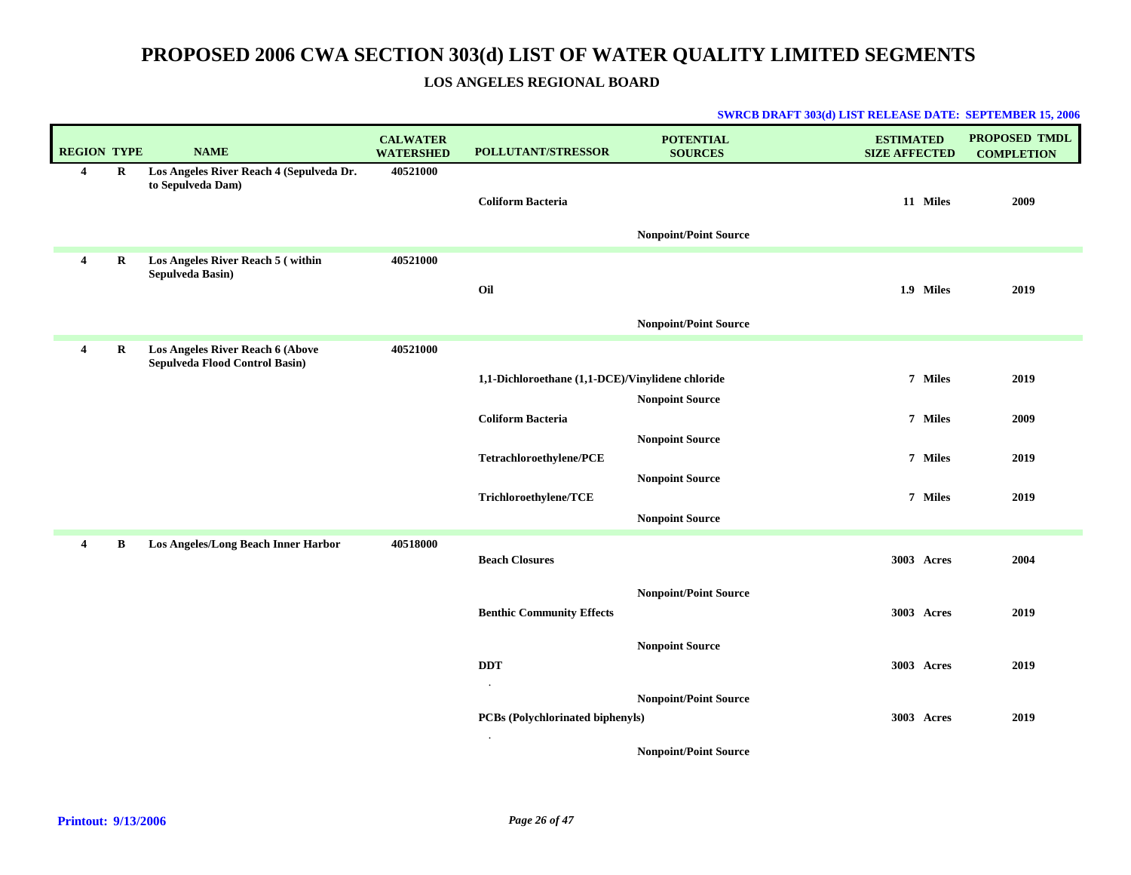### **LOS ANGELES REGIONAL BOARD**

| <b>REGION TYPE</b>    |             | <b>NAME</b>                                                               | <b>CALWATER</b><br><b>WATERSHED</b> | POLLUTANT/STRESSOR                               | <b>POTENTIAL</b><br><b>SOURCES</b> | <b>ESTIMATED</b><br><b>SIZE AFFECTED</b> | <b>PROPOSED TMDL</b><br><b>COMPLETION</b> |
|-----------------------|-------------|---------------------------------------------------------------------------|-------------------------------------|--------------------------------------------------|------------------------------------|------------------------------------------|-------------------------------------------|
| $\overline{4}$        | $\mathbf R$ | Los Angeles River Reach 4 (Sepulveda Dr.<br>to Sepulveda Dam)             | 40521000                            | <b>Coliform Bacteria</b>                         | <b>Nonpoint/Point Source</b>       | 11 Miles                                 | 2009                                      |
| $\overline{4}$        | R           | Los Angeles River Reach 5 (within<br>Sepulveda Basin)                     | 40521000                            | Oil                                              | <b>Nonpoint/Point Source</b>       | 1.9 Miles                                | 2019                                      |
| $\overline{4}$        | R           | <b>Los Angeles River Reach 6 (Above</b><br>Sepulveda Flood Control Basin) | 40521000                            |                                                  |                                    |                                          |                                           |
|                       |             |                                                                           |                                     | 1,1-Dichloroethane (1,1-DCE)/Vinylidene chloride | <b>Nonpoint Source</b>             | 7 Miles                                  | 2019                                      |
|                       |             |                                                                           |                                     | <b>Coliform Bacteria</b>                         |                                    | 7 Miles                                  | 2009                                      |
|                       |             |                                                                           |                                     | Tetrachloroethylene/PCE                          | <b>Nonpoint Source</b>             | 7 Miles                                  | 2019                                      |
|                       |             |                                                                           |                                     | Trichloroethylene/TCE                            | <b>Nonpoint Source</b>             | 7 Miles                                  | 2019                                      |
|                       |             |                                                                           |                                     |                                                  | <b>Nonpoint Source</b>             |                                          |                                           |
| $\boldsymbol{\Delta}$ | B           | Los Angeles/Long Beach Inner Harbor                                       | 40518000                            | <b>Beach Closures</b>                            |                                    | 3003 Acres                               | 2004                                      |
|                       |             |                                                                           |                                     | <b>Benthic Community Effects</b>                 | <b>Nonpoint/Point Source</b>       | 3003 Acres                               | 2019                                      |
|                       |             |                                                                           |                                     | <b>DDT</b>                                       | <b>Nonpoint Source</b>             | 3003 Acres                               | 2019                                      |
|                       |             |                                                                           |                                     | $\bullet$<br>PCBs (Polychlorinated biphenyls)    | <b>Nonpoint/Point Source</b>       | 3003 Acres                               | 2019                                      |
|                       |             |                                                                           |                                     | $\cdot$                                          | <b>Nonpoint/Point Source</b>       |                                          |                                           |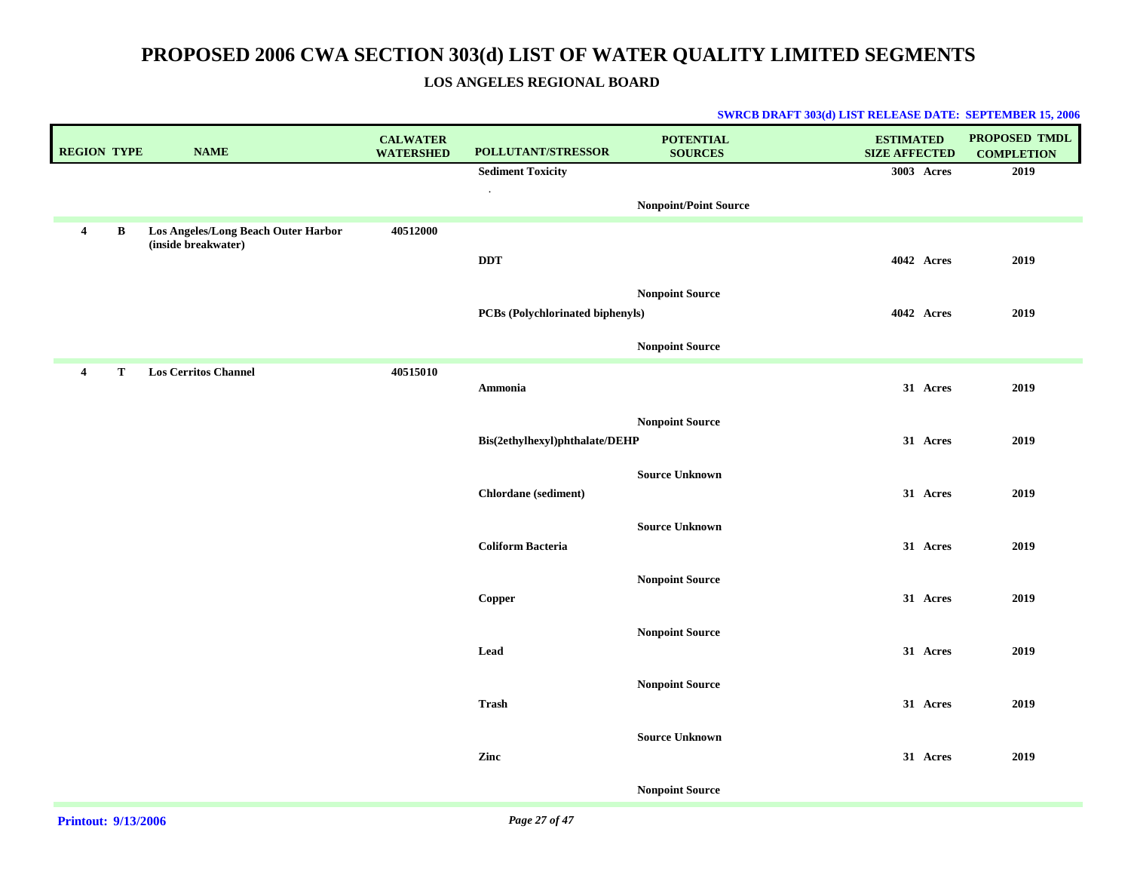### **LOS ANGELES REGIONAL BOARD**

| <b>REGION TYPE</b> |   | <b>NAME</b>                         | <b>CALWATER</b><br><b>WATERSHED</b> | POLLUTANT/STRESSOR               | <b>POTENTIAL</b><br><b>SOURCES</b> | <b>ESTIMATED</b><br><b>SIZE AFFECTED</b> | PROPOSED TMDL<br><b>COMPLETION</b> |
|--------------------|---|-------------------------------------|-------------------------------------|----------------------------------|------------------------------------|------------------------------------------|------------------------------------|
|                    |   |                                     |                                     | <b>Sediment Toxicity</b>         |                                    | 3003 Acres                               | 2019                               |
|                    |   |                                     |                                     | $\cdot$                          | <b>Nonpoint/Point Source</b>       |                                          |                                    |
| $\overline{4}$     | B | Los Angeles/Long Beach Outer Harbor | 40512000                            |                                  |                                    |                                          |                                    |
|                    |   | (inside breakwater)                 |                                     | <b>DDT</b>                       |                                    | 4042 Acres                               | 2019                               |
|                    |   |                                     |                                     |                                  | <b>Nonpoint Source</b>             |                                          |                                    |
|                    |   |                                     |                                     | PCBs (Polychlorinated biphenyls) |                                    | 4042 Acres                               | 2019                               |
|                    |   |                                     |                                     |                                  | <b>Nonpoint Source</b>             |                                          |                                    |
| $\overline{4}$     | T | <b>Los Cerritos Channel</b>         | 40515010                            | Ammonia                          |                                    | 31 Acres                                 | 2019                               |
|                    |   |                                     |                                     |                                  |                                    |                                          |                                    |
|                    |   |                                     |                                     | Bis(2ethylhexyl)phthalate/DEHP   | <b>Nonpoint Source</b>             | 31 Acres                                 | 2019                               |
|                    |   |                                     |                                     |                                  | <b>Source Unknown</b>              |                                          |                                    |
|                    |   |                                     |                                     | Chlordane (sediment)             |                                    | 31 Acres                                 | 2019                               |
|                    |   |                                     |                                     |                                  | <b>Source Unknown</b>              |                                          |                                    |
|                    |   |                                     |                                     | <b>Coliform Bacteria</b>         |                                    | 31 Acres                                 | 2019                               |
|                    |   |                                     |                                     |                                  | <b>Nonpoint Source</b>             |                                          |                                    |
|                    |   |                                     |                                     | <b>Copper</b>                    |                                    | 31 Acres                                 | 2019                               |
|                    |   |                                     |                                     |                                  | <b>Nonpoint Source</b>             |                                          |                                    |
|                    |   |                                     |                                     | Lead                             |                                    | 31 Acres                                 | 2019                               |
|                    |   |                                     |                                     |                                  | <b>Nonpoint Source</b>             |                                          |                                    |
|                    |   |                                     |                                     | <b>Trash</b>                     |                                    | 31 Acres                                 | 2019                               |
|                    |   |                                     |                                     |                                  | <b>Source Unknown</b>              |                                          |                                    |
|                    |   |                                     |                                     | Zinc                             |                                    | 31 Acres                                 | 2019                               |
|                    |   |                                     |                                     |                                  | <b>Nonpoint Source</b>             |                                          |                                    |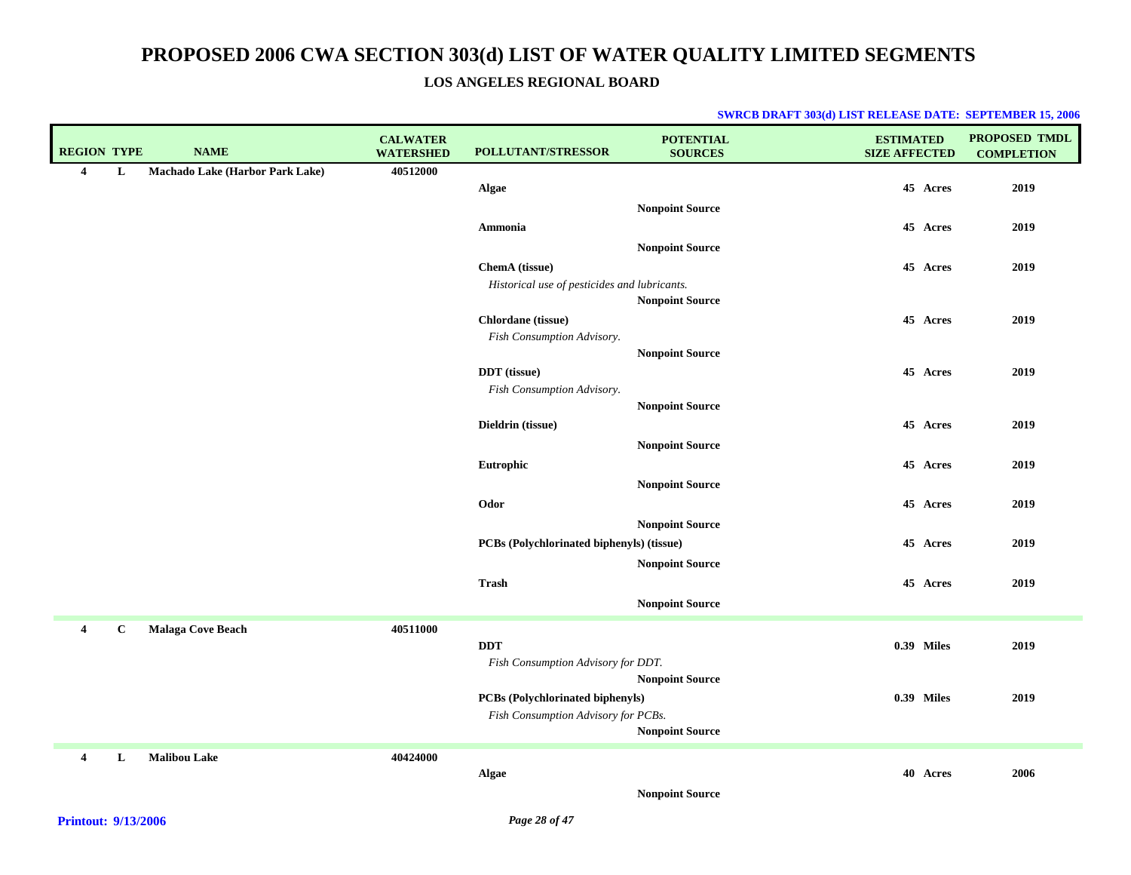**LOS ANGELES REGIONAL BOARD**

| <b>REGION TYPE</b> |             | <b>NAME</b>                     | <b>CALWATER</b><br><b>WATERSHED</b> | POLLUTANT/STRESSOR                               | <b>POTENTIAL</b><br><b>SOURCES</b> | <b>ESTIMATED</b><br><b>SIZE AFFECTED</b> | <b>PROPOSED TMDL</b><br><b>COMPLETION</b> |
|--------------------|-------------|---------------------------------|-------------------------------------|--------------------------------------------------|------------------------------------|------------------------------------------|-------------------------------------------|
| $\overline{4}$     | L           | Machado Lake (Harbor Park Lake) | 40512000                            |                                                  |                                    |                                          |                                           |
|                    |             |                                 |                                     | <b>Algae</b>                                     |                                    | 45 Acres                                 | 2019                                      |
|                    |             |                                 |                                     |                                                  | <b>Nonpoint Source</b>             |                                          |                                           |
|                    |             |                                 |                                     | Ammonia                                          |                                    | 45 Acres                                 | 2019                                      |
|                    |             |                                 |                                     |                                                  | <b>Nonpoint Source</b>             |                                          |                                           |
|                    |             |                                 |                                     | ChemA (tissue)                                   |                                    | 45 Acres                                 | 2019                                      |
|                    |             |                                 |                                     | Historical use of pesticides and lubricants.     |                                    |                                          |                                           |
|                    |             |                                 |                                     |                                                  | <b>Nonpoint Source</b>             |                                          |                                           |
|                    |             |                                 |                                     | Chlordane (tissue)<br>Fish Consumption Advisory. |                                    | 45 Acres                                 | 2019                                      |
|                    |             |                                 |                                     |                                                  | <b>Nonpoint Source</b>             |                                          |                                           |
|                    |             |                                 |                                     | DDT (tissue)                                     |                                    | 45 Acres                                 | 2019                                      |
|                    |             |                                 |                                     | Fish Consumption Advisory.                       |                                    |                                          |                                           |
|                    |             |                                 |                                     |                                                  | <b>Nonpoint Source</b>             |                                          |                                           |
|                    |             |                                 |                                     | Dieldrin (tissue)                                |                                    | 45 Acres                                 | 2019                                      |
|                    |             |                                 |                                     |                                                  | <b>Nonpoint Source</b>             |                                          |                                           |
|                    |             |                                 |                                     | Eutrophic                                        |                                    | 45 Acres                                 | 2019                                      |
|                    |             |                                 |                                     |                                                  | <b>Nonpoint Source</b>             |                                          |                                           |
|                    |             |                                 |                                     | Odor                                             |                                    | 45 Acres                                 | 2019                                      |
|                    |             |                                 |                                     |                                                  | <b>Nonpoint Source</b>             |                                          |                                           |
|                    |             |                                 |                                     | PCBs (Polychlorinated biphenyls) (tissue)        |                                    | 45 Acres                                 | 2019                                      |
|                    |             |                                 |                                     |                                                  | <b>Nonpoint Source</b>             |                                          |                                           |
|                    |             |                                 |                                     | <b>Trash</b>                                     |                                    | 45 Acres                                 | 2019                                      |
|                    |             |                                 |                                     |                                                  | <b>Nonpoint Source</b>             |                                          |                                           |
| $\overline{4}$     | $\mathbf C$ | <b>Malaga Cove Beach</b>        | 40511000                            |                                                  |                                    |                                          |                                           |
|                    |             |                                 |                                     | <b>DDT</b>                                       |                                    | <b>0.39 Miles</b>                        | 2019                                      |
|                    |             |                                 |                                     | Fish Consumption Advisory for DDT.               |                                    |                                          |                                           |
|                    |             |                                 |                                     |                                                  | <b>Nonpoint Source</b>             |                                          |                                           |
|                    |             |                                 |                                     | PCBs (Polychlorinated biphenyls)                 |                                    | 0.39 Miles                               | 2019                                      |
|                    |             |                                 |                                     | Fish Consumption Advisory for PCBs.              | <b>Nonpoint Source</b>             |                                          |                                           |
|                    |             |                                 |                                     |                                                  |                                    |                                          |                                           |
| 4                  | L           | <b>Malibou Lake</b>             | 40424000                            |                                                  |                                    |                                          |                                           |
|                    |             |                                 |                                     | Algae                                            |                                    | 40 Acres                                 | 2006                                      |
|                    |             |                                 |                                     |                                                  | <b>Nonpoint Source</b>             |                                          |                                           |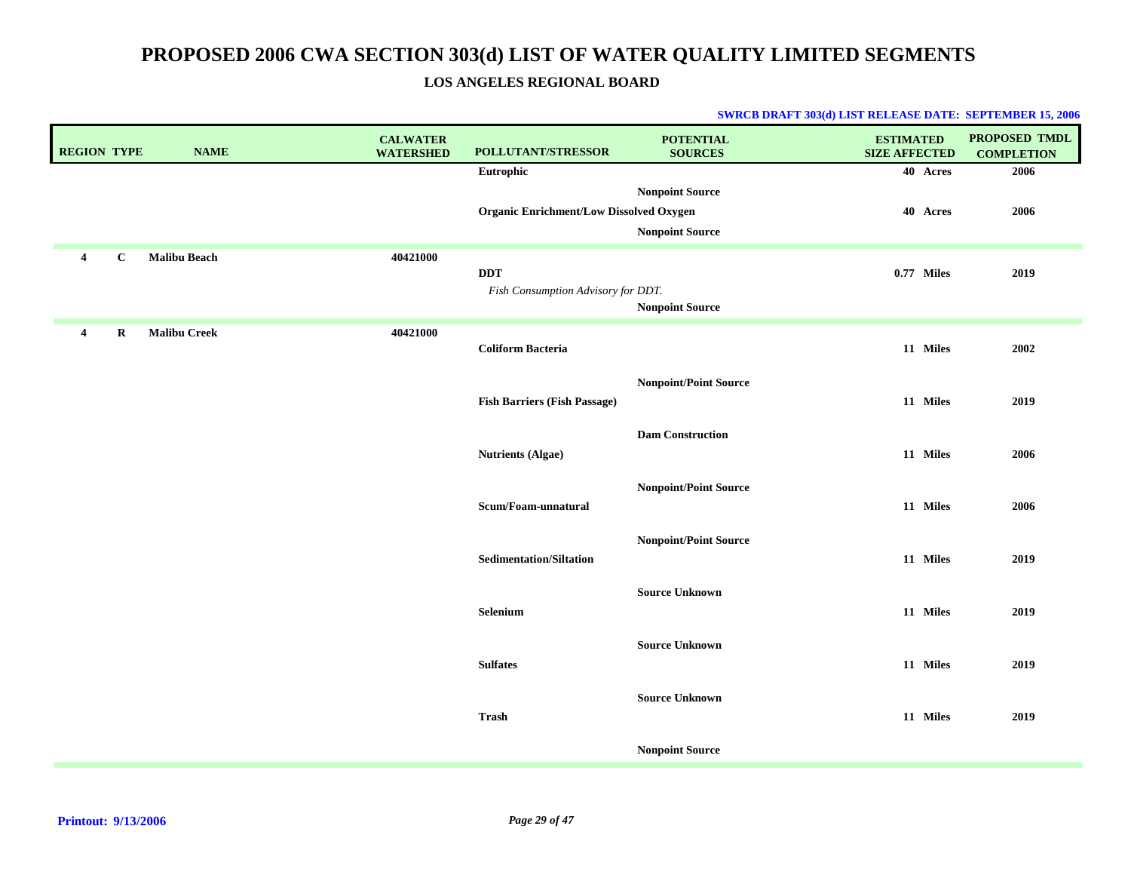**LOS ANGELES REGIONAL BOARD**

| <b>REGION TYPE</b> |              | <b>NAME</b>         | <b>CALWATER</b><br><b>WATERSHED</b> | POLLUTANT/STRESSOR                               | <b>POTENTIAL</b><br><b>SOURCES</b>               | <b>ESTIMATED</b><br><b>SIZE AFFECTED</b> | PROPOSED TMDL<br><b>COMPLETION</b> |
|--------------------|--------------|---------------------|-------------------------------------|--------------------------------------------------|--------------------------------------------------|------------------------------------------|------------------------------------|
|                    |              |                     |                                     | Eutrophic                                        |                                                  | 40 Acres                                 | 2006                               |
|                    |              |                     |                                     | <b>Organic Enrichment/Low Dissolved Oxygen</b>   | <b>Nonpoint Source</b><br><b>Nonpoint Source</b> | 40 Acres                                 | 2006                               |
| $\overline{4}$     | $\mathbf{C}$ | <b>Malibu Beach</b> | 40421000                            | <b>DDT</b><br>Fish Consumption Advisory for DDT. | <b>Nonpoint Source</b>                           | 0.77 Miles                               | 2019                               |
| $\overline{4}$     | R            | <b>Malibu Creek</b> | 40421000                            | <b>Coliform Bacteria</b>                         |                                                  | 11 Miles                                 | 2002                               |
|                    |              |                     |                                     | <b>Fish Barriers (Fish Passage)</b>              | <b>Nonpoint/Point Source</b>                     | 11 Miles                                 | 2019                               |
|                    |              |                     |                                     | <b>Nutrients (Algae)</b>                         | <b>Dam Construction</b>                          | 11 Miles                                 | 2006                               |
|                    |              |                     |                                     | Scum/Foam-unnatural                              | <b>Nonpoint/Point Source</b>                     | 11 Miles                                 | 2006                               |
|                    |              |                     |                                     | <b>Sedimentation/Siltation</b>                   | <b>Nonpoint/Point Source</b>                     | 11 Miles                                 | 2019                               |
|                    |              |                     |                                     | Selenium                                         | <b>Source Unknown</b>                            | 11 Miles                                 | 2019                               |
|                    |              |                     |                                     | <b>Sulfates</b>                                  | <b>Source Unknown</b>                            | 11 Miles                                 | 2019                               |
|                    |              |                     |                                     | <b>Trash</b>                                     | <b>Source Unknown</b>                            | 11 Miles                                 | 2019                               |
|                    |              |                     |                                     |                                                  | <b>Nonpoint Source</b>                           |                                          |                                    |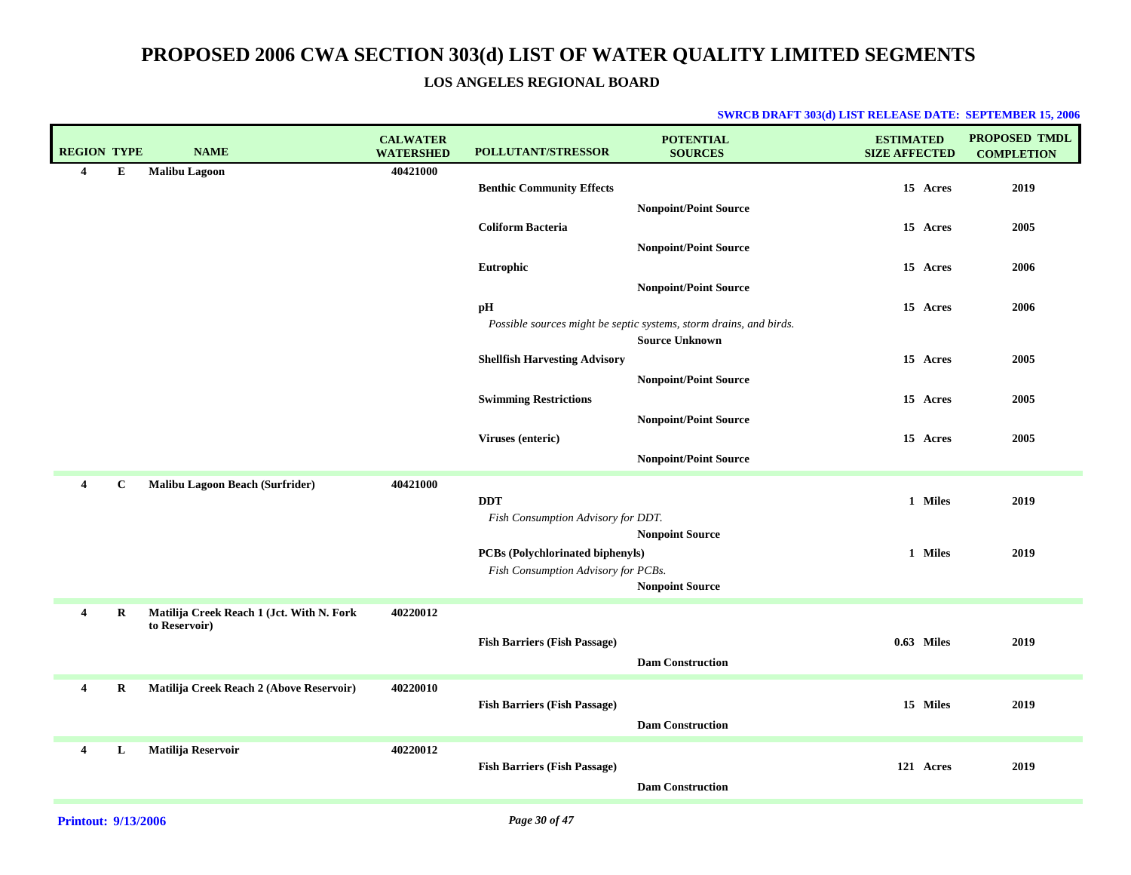**LOS ANGELES REGIONAL BOARD**

| <b>REGION TYPE</b>      |              | <b>NAME</b>                               | <b>CALWATER</b><br><b>WATERSHED</b> | <b>POLLUTANT/STRESSOR</b>            | <b>POTENTIAL</b><br><b>SOURCES</b>                                                          | <b>ESTIMATED</b><br><b>SIZE AFFECTED</b> | PROPOSED TMDL<br><b>COMPLETION</b> |
|-------------------------|--------------|-------------------------------------------|-------------------------------------|--------------------------------------|---------------------------------------------------------------------------------------------|------------------------------------------|------------------------------------|
| 4                       | E            | <b>Malibu Lagoon</b>                      | 40421000                            |                                      |                                                                                             |                                          |                                    |
|                         |              |                                           |                                     | <b>Benthic Community Effects</b>     |                                                                                             | 15 Acres                                 | 2019                               |
|                         |              |                                           |                                     |                                      | <b>Nonpoint/Point Source</b>                                                                |                                          |                                    |
|                         |              |                                           |                                     | <b>Coliform Bacteria</b>             |                                                                                             | 15 Acres                                 | 2005                               |
|                         |              |                                           |                                     |                                      | <b>Nonpoint/Point Source</b>                                                                |                                          |                                    |
|                         |              |                                           |                                     | Eutrophic                            |                                                                                             | 15 Acres                                 | 2006                               |
|                         |              |                                           |                                     |                                      | <b>Nonpoint/Point Source</b>                                                                |                                          |                                    |
|                         |              |                                           |                                     | pH                                   |                                                                                             | 15 Acres                                 | 2006                               |
|                         |              |                                           |                                     |                                      | Possible sources might be septic systems, storm drains, and birds.<br><b>Source Unknown</b> |                                          |                                    |
|                         |              |                                           |                                     | <b>Shellfish Harvesting Advisory</b> |                                                                                             | 15 Acres                                 | 2005                               |
|                         |              |                                           |                                     |                                      | <b>Nonpoint/Point Source</b>                                                                |                                          |                                    |
|                         |              |                                           |                                     | <b>Swimming Restrictions</b>         |                                                                                             | 15 Acres                                 | 2005                               |
|                         |              |                                           |                                     |                                      | <b>Nonpoint/Point Source</b>                                                                |                                          |                                    |
|                         |              |                                           |                                     | Viruses (enteric)                    |                                                                                             | 15 Acres                                 | 2005                               |
|                         |              |                                           |                                     |                                      | <b>Nonpoint/Point Source</b>                                                                |                                          |                                    |
| 4                       | $\mathbf{C}$ | Malibu Lagoon Beach (Surfrider)           | 40421000                            |                                      |                                                                                             |                                          |                                    |
|                         |              |                                           |                                     | <b>DDT</b>                           |                                                                                             | 1 Miles                                  | 2019                               |
|                         |              |                                           |                                     | Fish Consumption Advisory for DDT.   |                                                                                             |                                          |                                    |
|                         |              |                                           |                                     |                                      | <b>Nonpoint Source</b>                                                                      |                                          |                                    |
|                         |              |                                           |                                     | PCBs (Polychlorinated biphenyls)     |                                                                                             | 1 Miles                                  | 2019                               |
|                         |              |                                           |                                     | Fish Consumption Advisory for PCBs.  |                                                                                             |                                          |                                    |
|                         |              |                                           |                                     |                                      | <b>Nonpoint Source</b>                                                                      |                                          |                                    |
| $\overline{\mathbf{4}}$ | $\bf R$      | Matilija Creek Reach 1 (Jct. With N. Fork | 40220012                            |                                      |                                                                                             |                                          |                                    |
|                         |              | to Reservoir)                             |                                     | <b>Fish Barriers (Fish Passage)</b>  |                                                                                             | $0.63$ Miles                             | 2019                               |
|                         |              |                                           |                                     |                                      | <b>Dam Construction</b>                                                                     |                                          |                                    |
|                         |              |                                           |                                     |                                      |                                                                                             |                                          |                                    |
| 4                       | $\bf R$      | Matilija Creek Reach 2 (Above Reservoir)  | 40220010                            |                                      |                                                                                             |                                          |                                    |
|                         |              |                                           |                                     | <b>Fish Barriers (Fish Passage)</b>  |                                                                                             | 15 Miles                                 | 2019                               |
|                         |              |                                           |                                     |                                      | <b>Dam Construction</b>                                                                     |                                          |                                    |
| 4                       | L            | Matilija Reservoir                        | 40220012                            |                                      |                                                                                             |                                          |                                    |
|                         |              |                                           |                                     | <b>Fish Barriers (Fish Passage)</b>  |                                                                                             | 121 Acres                                | 2019                               |
|                         |              |                                           |                                     |                                      | <b>Dam Construction</b>                                                                     |                                          |                                    |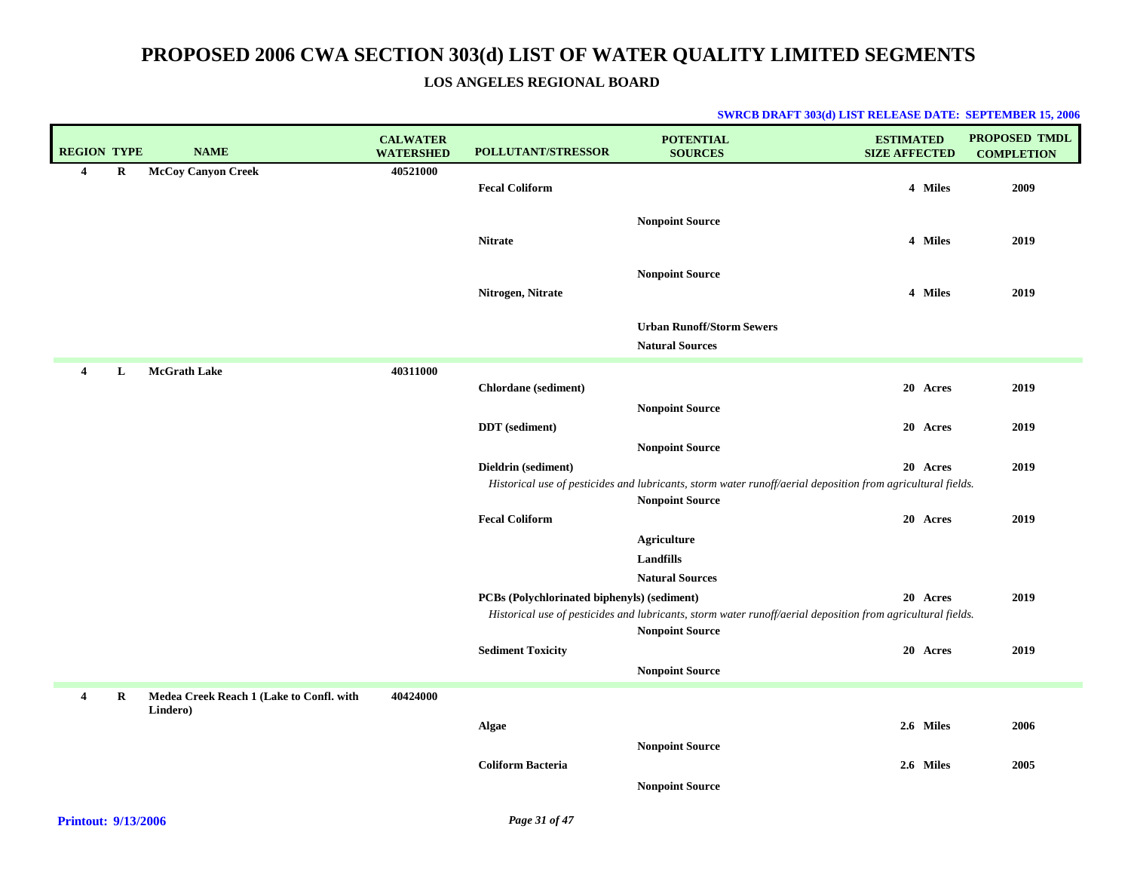### **LOS ANGELES REGIONAL BOARD**

| <b>REGION TYPE</b>      |   | <b>NAME</b>                              | <b>CALWATER</b><br><b>WATERSHED</b> | <b>POLLUTANT/STRESSOR</b>                          | <b>POTENTIAL</b><br><b>SOURCES</b>                                                                                                    | <b>ESTIMATED</b><br><b>SIZE AFFECTED</b> | PROPOSED TMDL<br><b>COMPLETION</b> |
|-------------------------|---|------------------------------------------|-------------------------------------|----------------------------------------------------|---------------------------------------------------------------------------------------------------------------------------------------|------------------------------------------|------------------------------------|
| $\overline{\mathbf{4}}$ | R | <b>McCoy Canyon Creek</b>                | 40521000                            | <b>Fecal Coliform</b>                              |                                                                                                                                       | 4 Miles                                  | 2009                               |
|                         |   |                                          |                                     |                                                    | <b>Nonpoint Source</b>                                                                                                                |                                          |                                    |
|                         |   |                                          |                                     | <b>Nitrate</b>                                     |                                                                                                                                       | 4 Miles                                  | 2019                               |
|                         |   |                                          |                                     |                                                    | <b>Nonpoint Source</b>                                                                                                                |                                          |                                    |
|                         |   |                                          |                                     | Nitrogen, Nitrate                                  |                                                                                                                                       | 4 Miles                                  | 2019                               |
|                         |   |                                          |                                     |                                                    | <b>Urban Runoff/Storm Sewers</b><br><b>Natural Sources</b>                                                                            |                                          |                                    |
| 4                       | L | <b>McGrath Lake</b>                      | 40311000                            |                                                    |                                                                                                                                       |                                          |                                    |
|                         |   |                                          |                                     | Chlordane (sediment)                               |                                                                                                                                       | 20 Acres                                 | 2019                               |
|                         |   |                                          |                                     | <b>DDT</b> (sediment)                              | <b>Nonpoint Source</b>                                                                                                                | 20 Acres                                 | 2019                               |
|                         |   |                                          |                                     |                                                    | <b>Nonpoint Source</b>                                                                                                                |                                          |                                    |
|                         |   |                                          |                                     | Dieldrin (sediment)                                |                                                                                                                                       | 20 Acres                                 | 2019                               |
|                         |   |                                          |                                     |                                                    | Historical use of pesticides and lubricants, storm water runoff/aerial deposition from agricultural fields.<br><b>Nonpoint Source</b> |                                          |                                    |
|                         |   |                                          |                                     | <b>Fecal Coliform</b>                              |                                                                                                                                       | 20 Acres                                 | 2019                               |
|                         |   |                                          |                                     |                                                    | <b>Agriculture</b>                                                                                                                    |                                          |                                    |
|                         |   |                                          |                                     |                                                    | Landfills                                                                                                                             |                                          |                                    |
|                         |   |                                          |                                     |                                                    | <b>Natural Sources</b>                                                                                                                |                                          |                                    |
|                         |   |                                          |                                     | <b>PCBs (Polychlorinated biphenyls) (sediment)</b> | Historical use of pesticides and lubricants, storm water runoff/aerial deposition from agricultural fields.                           | 20 Acres                                 | 2019                               |
|                         |   |                                          |                                     |                                                    | <b>Nonpoint Source</b>                                                                                                                |                                          |                                    |
|                         |   |                                          |                                     | <b>Sediment Toxicity</b>                           |                                                                                                                                       | 20 Acres                                 | 2019                               |
|                         |   |                                          |                                     |                                                    | <b>Nonpoint Source</b>                                                                                                                |                                          |                                    |
| $\overline{\mathbf{4}}$ | R | Medea Creek Reach 1 (Lake to Confl. with | 40424000                            |                                                    |                                                                                                                                       |                                          |                                    |
|                         |   | Lindero)                                 |                                     | Algae                                              |                                                                                                                                       | 2.6 Miles                                | 2006                               |
|                         |   |                                          |                                     |                                                    | <b>Nonpoint Source</b>                                                                                                                |                                          |                                    |
|                         |   |                                          |                                     | <b>Coliform Bacteria</b>                           |                                                                                                                                       | 2.6 Miles                                | 2005                               |
|                         |   |                                          |                                     |                                                    | <b>Nonpoint Source</b>                                                                                                                |                                          |                                    |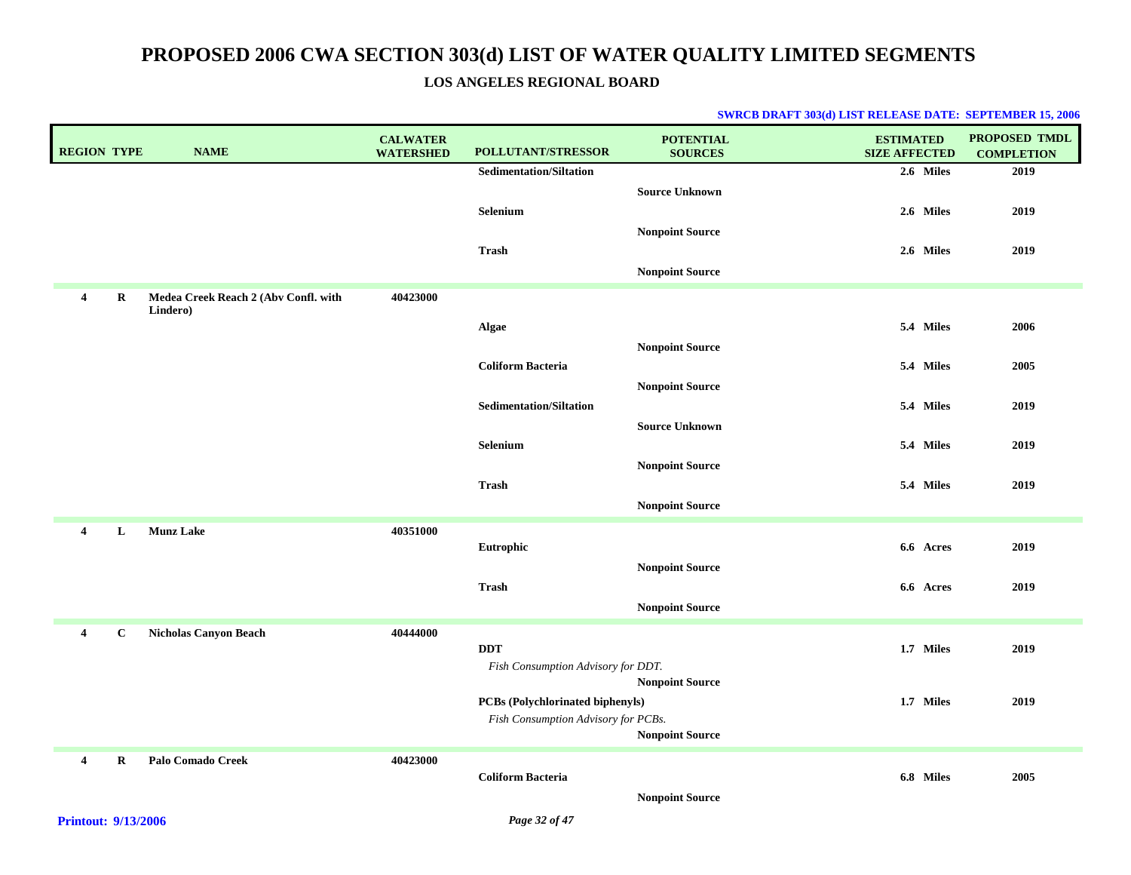### **LOS ANGELES REGIONAL BOARD**

| <b>REGION TYPE</b> |              | <b>NAME</b>                                      | <b>CALWATER</b><br><b>WATERSHED</b> | <b>POLLUTANT/STRESSOR</b>                        | <b>POTENTIAL</b><br><b>SOURCES</b> | <b>ESTIMATED</b><br><b>SIZE AFFECTED</b> | <b>PROPOSED TMDL</b><br><b>COMPLETION</b> |
|--------------------|--------------|--------------------------------------------------|-------------------------------------|--------------------------------------------------|------------------------------------|------------------------------------------|-------------------------------------------|
|                    |              |                                                  |                                     | <b>Sedimentation/Siltation</b>                   |                                    | 2.6 Miles                                | 2019                                      |
|                    |              |                                                  |                                     |                                                  | <b>Source Unknown</b>              |                                          |                                           |
|                    |              |                                                  |                                     | Selenium                                         |                                    | 2.6 Miles                                | 2019                                      |
|                    |              |                                                  |                                     |                                                  | <b>Nonpoint Source</b>             |                                          |                                           |
|                    |              |                                                  |                                     | <b>Trash</b>                                     |                                    | 2.6 Miles                                | 2019                                      |
|                    |              |                                                  |                                     |                                                  | <b>Nonpoint Source</b>             |                                          |                                           |
| 4                  | R            | Medea Creek Reach 2 (Abv Confl. with<br>Lindero) | 40423000                            |                                                  |                                    |                                          |                                           |
|                    |              |                                                  |                                     | Algae                                            |                                    | 5.4 Miles                                | 2006                                      |
|                    |              |                                                  |                                     |                                                  | <b>Nonpoint Source</b>             |                                          |                                           |
|                    |              |                                                  |                                     | <b>Coliform Bacteria</b>                         |                                    | 5.4 Miles                                | 2005                                      |
|                    |              |                                                  |                                     | <b>Sedimentation/Siltation</b>                   | <b>Nonpoint Source</b>             | 5.4 Miles                                | 2019                                      |
|                    |              |                                                  |                                     |                                                  | <b>Source Unknown</b>              |                                          |                                           |
|                    |              |                                                  |                                     | <b>Selenium</b>                                  |                                    | 5.4 Miles                                | 2019                                      |
|                    |              |                                                  |                                     |                                                  | <b>Nonpoint Source</b>             |                                          |                                           |
|                    |              |                                                  |                                     | <b>Trash</b>                                     |                                    | 5.4 Miles                                | 2019                                      |
|                    |              |                                                  |                                     |                                                  | <b>Nonpoint Source</b>             |                                          |                                           |
| $\overline{4}$     | L            | <b>Munz Lake</b>                                 | 40351000                            |                                                  |                                    |                                          |                                           |
|                    |              |                                                  |                                     | Eutrophic                                        |                                    | 6.6 Acres                                | 2019                                      |
|                    |              |                                                  |                                     |                                                  | <b>Nonpoint Source</b>             |                                          |                                           |
|                    |              |                                                  |                                     | <b>Trash</b>                                     |                                    | 6.6 Acres                                | 2019                                      |
|                    |              |                                                  |                                     |                                                  | <b>Nonpoint Source</b>             |                                          |                                           |
| 4                  | $\mathbf{C}$ | <b>Nicholas Canyon Beach</b>                     | 40444000                            |                                                  |                                    |                                          |                                           |
|                    |              |                                                  |                                     | <b>DDT</b><br>Fish Consumption Advisory for DDT. |                                    | 1.7 Miles                                | 2019                                      |
|                    |              |                                                  |                                     |                                                  | <b>Nonpoint Source</b>             |                                          |                                           |
|                    |              |                                                  |                                     | PCBs (Polychlorinated biphenyls)                 |                                    | 1.7 Miles                                | 2019                                      |
|                    |              |                                                  |                                     | Fish Consumption Advisory for PCBs.              |                                    |                                          |                                           |
|                    |              |                                                  |                                     |                                                  | <b>Nonpoint Source</b>             |                                          |                                           |
| 4                  | R            | <b>Palo Comado Creek</b>                         | 40423000                            | <b>Coliform Bacteria</b>                         |                                    | 6.8 Miles                                | 2005                                      |
|                    |              |                                                  |                                     |                                                  | <b>Nonpoint Source</b>             |                                          |                                           |
|                    |              |                                                  |                                     |                                                  |                                    |                                          |                                           |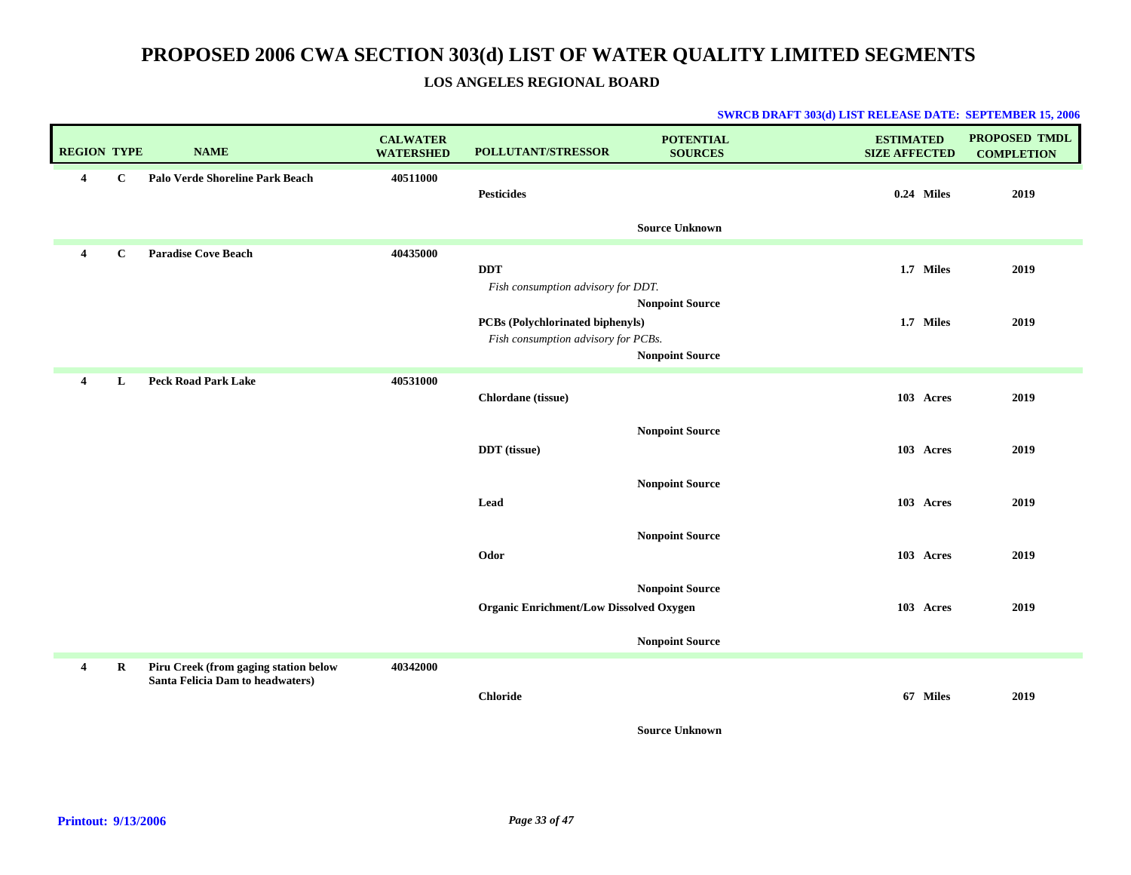### **LOS ANGELES REGIONAL BOARD**

| Palo Verde Shoreline Park Beach<br>$\overline{\mathbf{4}}$<br>$\mathbf{C}$<br>40511000<br><b>Pesticides</b><br>$0.24$ Miles<br><b>Source Unknown</b><br><b>Paradise Cove Beach</b><br>40435000<br>$\mathbf{C}$<br>$\overline{\mathbf{4}}$<br><b>DDT</b><br>1.7 Miles<br>Fish consumption advisory for DDT.<br><b>Nonpoint Source</b><br>1.7 Miles<br><b>PCBs (Polychlorinated biphenyls)</b><br>Fish consumption advisory for PCBs.<br><b>Nonpoint Source</b><br>40531000<br><b>Peck Road Park Lake</b><br>L<br>$\overline{\mathbf{4}}$<br>Chlordane (tissue)<br>103 Acres<br><b>Nonpoint Source</b><br><b>DDT</b> (tissue)<br>103 Acres<br><b>Nonpoint Source</b><br>Lead<br>103 Acres |                        | 2019<br>2019<br>2019 |
|-----------------------------------------------------------------------------------------------------------------------------------------------------------------------------------------------------------------------------------------------------------------------------------------------------------------------------------------------------------------------------------------------------------------------------------------------------------------------------------------------------------------------------------------------------------------------------------------------------------------------------------------------------------------------------------------|------------------------|----------------------|
|                                                                                                                                                                                                                                                                                                                                                                                                                                                                                                                                                                                                                                                                                         |                        |                      |
|                                                                                                                                                                                                                                                                                                                                                                                                                                                                                                                                                                                                                                                                                         |                        |                      |
|                                                                                                                                                                                                                                                                                                                                                                                                                                                                                                                                                                                                                                                                                         |                        |                      |
|                                                                                                                                                                                                                                                                                                                                                                                                                                                                                                                                                                                                                                                                                         |                        | 2019                 |
|                                                                                                                                                                                                                                                                                                                                                                                                                                                                                                                                                                                                                                                                                         |                        | 2019                 |
|                                                                                                                                                                                                                                                                                                                                                                                                                                                                                                                                                                                                                                                                                         |                        | 2019                 |
| Odor<br>103 Acres                                                                                                                                                                                                                                                                                                                                                                                                                                                                                                                                                                                                                                                                       | <b>Nonpoint Source</b> | 2019                 |
| <b>Nonpoint Source</b><br><b>Organic Enrichment/Low Dissolved Oxygen</b><br>103 Acres<br><b>Nonpoint Source</b>                                                                                                                                                                                                                                                                                                                                                                                                                                                                                                                                                                         |                        | 2019                 |
| Piru Creek (from gaging station below<br>R<br>40342000<br>4<br>Santa Felicia Dam to headwaters)<br>67 Miles<br><b>Chloride</b><br><b>Source Unknown</b>                                                                                                                                                                                                                                                                                                                                                                                                                                                                                                                                 |                        | 2019                 |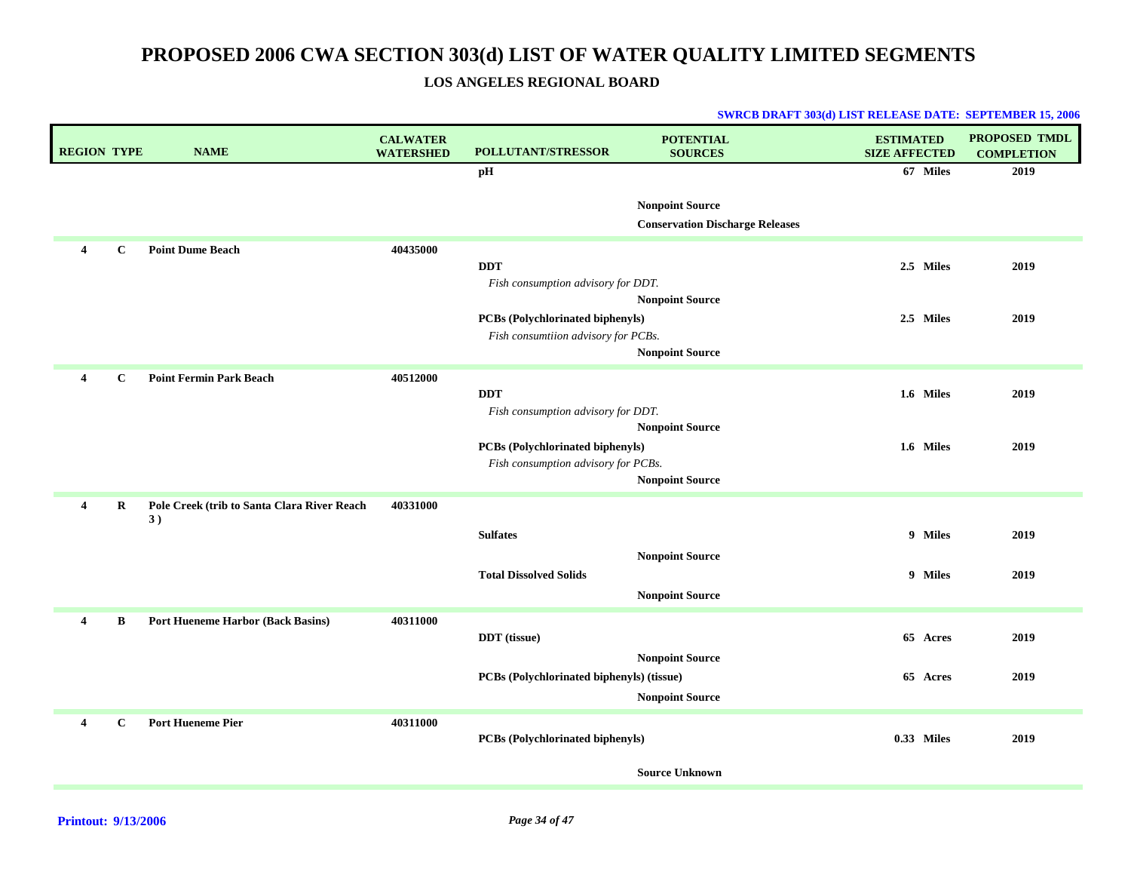**LOS ANGELES REGIONAL BOARD**

| <b>REGION TYPE</b> |              | <b>NAME</b>                                       | <b>CALWATER</b><br><b>WATERSHED</b> | <b>POLLUTANT/STRESSOR</b>                                               | <b>POTENTIAL</b><br><b>SOURCES</b>                               | <b>ESTIMATED</b><br><b>SIZE AFFECTED</b> | <b>PROPOSED TMDL</b><br><b>COMPLETION</b> |
|--------------------|--------------|---------------------------------------------------|-------------------------------------|-------------------------------------------------------------------------|------------------------------------------------------------------|------------------------------------------|-------------------------------------------|
|                    |              |                                                   |                                     | pH                                                                      |                                                                  | 67 Miles                                 | 2019                                      |
|                    |              |                                                   |                                     |                                                                         | <b>Nonpoint Source</b><br><b>Conservation Discharge Releases</b> |                                          |                                           |
| 4                  | $\mathbf C$  | <b>Point Dume Beach</b>                           | 40435000                            |                                                                         |                                                                  |                                          |                                           |
|                    |              |                                                   |                                     | <b>DDT</b><br>Fish consumption advisory for DDT.                        |                                                                  | 2.5 Miles                                | 2019                                      |
|                    |              |                                                   |                                     |                                                                         | <b>Nonpoint Source</b>                                           |                                          |                                           |
|                    |              |                                                   |                                     | PCBs (Polychlorinated biphenyls)<br>Fish consumtiion advisory for PCBs. |                                                                  | 2.5 Miles                                | 2019                                      |
|                    |              |                                                   |                                     |                                                                         | <b>Nonpoint Source</b>                                           |                                          |                                           |
| 4                  | $\mathbf{C}$ | <b>Point Fermin Park Beach</b>                    | 40512000                            |                                                                         |                                                                  |                                          |                                           |
|                    |              |                                                   |                                     | <b>DDT</b>                                                              |                                                                  | 1.6 Miles                                | 2019                                      |
|                    |              |                                                   |                                     | Fish consumption advisory for DDT.                                      | <b>Nonpoint Source</b>                                           |                                          |                                           |
|                    |              |                                                   |                                     | PCBs (Polychlorinated biphenyls)                                        |                                                                  | 1.6 Miles                                | 2019                                      |
|                    |              |                                                   |                                     | Fish consumption advisory for PCBs.                                     | <b>Nonpoint Source</b>                                           |                                          |                                           |
| 4                  | R            | Pole Creek (trib to Santa Clara River Reach<br>3) | 40331000                            |                                                                         |                                                                  |                                          |                                           |
|                    |              |                                                   |                                     | <b>Sulfates</b>                                                         |                                                                  | 9 Miles                                  | 2019                                      |
|                    |              |                                                   |                                     |                                                                         | <b>Nonpoint Source</b>                                           |                                          |                                           |
|                    |              |                                                   |                                     | <b>Total Dissolved Solids</b>                                           |                                                                  | 9 Miles                                  | 2019                                      |
|                    |              |                                                   |                                     |                                                                         | <b>Nonpoint Source</b>                                           |                                          |                                           |
| 4                  | $\bf{B}$     | <b>Port Hueneme Harbor (Back Basins)</b>          | 40311000                            | DDT (tissue)                                                            |                                                                  | 65 Acres                                 | 2019                                      |
|                    |              |                                                   |                                     |                                                                         | <b>Nonpoint Source</b>                                           |                                          |                                           |
|                    |              |                                                   |                                     | PCBs (Polychlorinated biphenyls) (tissue)                               |                                                                  | 65 Acres                                 | 2019                                      |
|                    |              |                                                   |                                     |                                                                         | <b>Nonpoint Source</b>                                           |                                          |                                           |
| 4                  | $\mathbf C$  | <b>Port Hueneme Pier</b>                          | 40311000                            |                                                                         |                                                                  |                                          |                                           |
|                    |              |                                                   |                                     | <b>PCBs</b> (Polychlorinated biphenyls)                                 |                                                                  | 0.33 Miles                               | 2019                                      |
|                    |              |                                                   |                                     |                                                                         | <b>Source Unknown</b>                                            |                                          |                                           |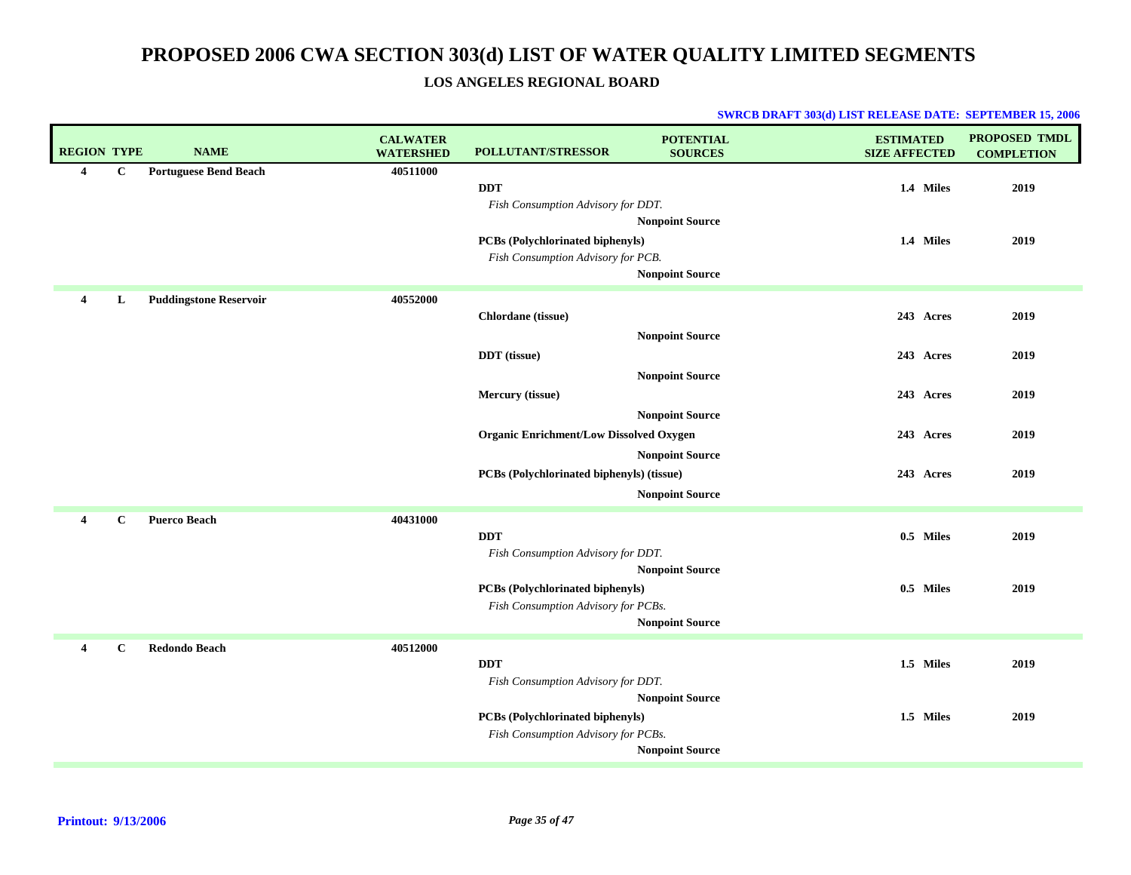### **LOS ANGELES REGIONAL BOARD**

| <b>REGION TYPE</b> |             | <b>NAME</b>                   | <b>CALWATER</b><br><b>WATERSHED</b> | POLLUTANT/STRESSOR                                                             | <b>POTENTIAL</b><br><b>SOURCES</b>               | <b>ESTIMATED</b><br><b>SIZE AFFECTED</b> | <b>PROPOSED TMDL</b><br><b>COMPLETION</b> |
|--------------------|-------------|-------------------------------|-------------------------------------|--------------------------------------------------------------------------------|--------------------------------------------------|------------------------------------------|-------------------------------------------|
| 4                  | $\mathbf C$ | <b>Portuguese Bend Beach</b>  | 40511000                            | <b>DDT</b><br>Fish Consumption Advisory for DDT.                               |                                                  | 1.4 Miles                                | 2019                                      |
|                    |             |                               |                                     | PCBs (Polychlorinated biphenyls)<br>Fish Consumption Advisory for PCB.         | <b>Nonpoint Source</b><br><b>Nonpoint Source</b> | 1.4 Miles                                | 2019                                      |
| 4                  | L           | <b>Puddingstone Reservoir</b> | 40552000                            | Chlordane (tissue)                                                             |                                                  | 243 Acres                                | 2019                                      |
|                    |             |                               |                                     | <b>DDT</b> (tissue)                                                            | <b>Nonpoint Source</b><br><b>Nonpoint Source</b> | 243 Acres                                | 2019                                      |
|                    |             |                               |                                     | Mercury (tissue)                                                               | <b>Nonpoint Source</b>                           | 243 Acres                                | 2019                                      |
|                    |             |                               |                                     | <b>Organic Enrichment/Low Dissolved Oxygen</b>                                 | <b>Nonpoint Source</b>                           | 243 Acres                                | 2019                                      |
|                    |             |                               |                                     | PCBs (Polychlorinated biphenyls) (tissue)                                      | <b>Nonpoint Source</b>                           | 243 Acres                                | 2019                                      |
| $\overline{4}$     | $\mathbf C$ | <b>Puerco Beach</b>           | 40431000                            | <b>DDT</b><br>Fish Consumption Advisory for DDT.                               | <b>Nonpoint Source</b>                           | 0.5 Miles                                | 2019                                      |
|                    |             |                               |                                     | <b>PCBs (Polychlorinated biphenyls)</b><br>Fish Consumption Advisory for PCBs. | <b>Nonpoint Source</b>                           | 0.5 Miles                                | 2019                                      |
| 4                  | $\mathbf C$ | <b>Redondo Beach</b>          | 40512000                            | <b>DDT</b><br>Fish Consumption Advisory for DDT.                               |                                                  | 1.5 Miles                                | 2019                                      |
|                    |             |                               |                                     | <b>PCBs (Polychlorinated biphenyls)</b><br>Fish Consumption Advisory for PCBs. | <b>Nonpoint Source</b><br><b>Nonpoint Source</b> | 1.5 Miles                                | 2019                                      |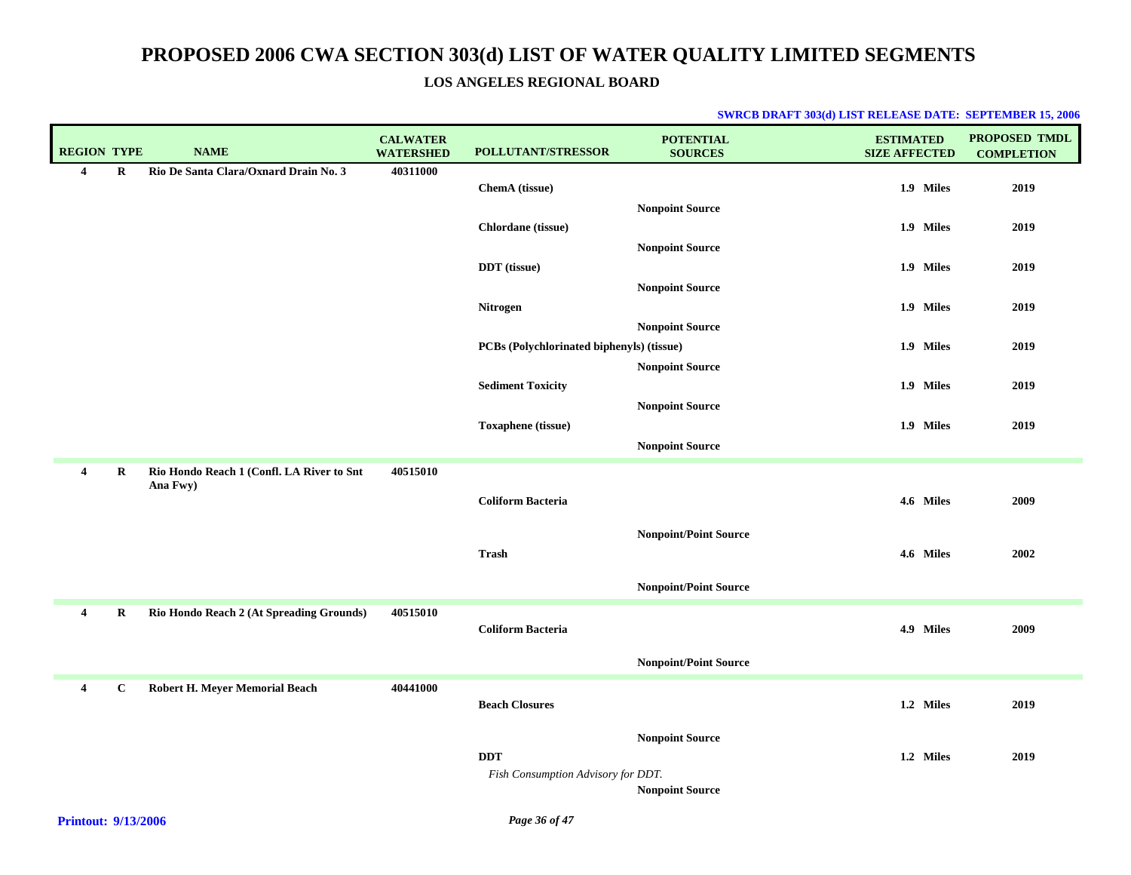### **LOS ANGELES REGIONAL BOARD**

| <b>REGION TYPE</b>      |             | <b>NAME</b>                                           | <b>CALWATER</b><br><b>WATERSHED</b> | POLLUTANT/STRESSOR                        | <b>POTENTIAL</b><br><b>SOURCES</b> | <b>ESTIMATED</b><br><b>SIZE AFFECTED</b> | PROPOSED TMDL<br><b>COMPLETION</b> |
|-------------------------|-------------|-------------------------------------------------------|-------------------------------------|-------------------------------------------|------------------------------------|------------------------------------------|------------------------------------|
| $\overline{4}$          | $\bf{R}$    | Rio De Santa Clara/Oxnard Drain No. 3                 | 40311000                            |                                           |                                    |                                          |                                    |
|                         |             |                                                       |                                     | ChemA (tissue)                            |                                    | 1.9 Miles                                | 2019                               |
|                         |             |                                                       |                                     |                                           | <b>Nonpoint Source</b>             |                                          |                                    |
|                         |             |                                                       |                                     | Chlordane (tissue)                        |                                    | 1.9 Miles                                | 2019                               |
|                         |             |                                                       |                                     |                                           | <b>Nonpoint Source</b>             |                                          |                                    |
|                         |             |                                                       |                                     | <b>DDT</b> (tissue)                       |                                    | 1.9 Miles                                | 2019                               |
|                         |             |                                                       |                                     |                                           | <b>Nonpoint Source</b>             |                                          |                                    |
|                         |             |                                                       |                                     | Nitrogen                                  |                                    | 1.9 Miles                                | 2019                               |
|                         |             |                                                       |                                     | PCBs (Polychlorinated biphenyls) (tissue) | <b>Nonpoint Source</b>             | 1.9 Miles                                | 2019                               |
|                         |             |                                                       |                                     |                                           |                                    |                                          |                                    |
|                         |             |                                                       |                                     | <b>Sediment Toxicity</b>                  | <b>Nonpoint Source</b>             | 1.9 Miles                                | 2019                               |
|                         |             |                                                       |                                     |                                           | <b>Nonpoint Source</b>             |                                          |                                    |
|                         |             |                                                       |                                     | <b>Toxaphene</b> (tissue)                 |                                    | 1.9 Miles                                | 2019                               |
|                         |             |                                                       |                                     |                                           | <b>Nonpoint Source</b>             |                                          |                                    |
|                         |             |                                                       | 40515010                            |                                           |                                    |                                          |                                    |
| $\overline{4}$          | R           | Rio Hondo Reach 1 (Confl. LA River to Snt<br>Ana Fwy) |                                     |                                           |                                    |                                          |                                    |
|                         |             |                                                       |                                     | <b>Coliform Bacteria</b>                  |                                    | 4.6 Miles                                | 2009                               |
|                         |             |                                                       |                                     |                                           |                                    |                                          |                                    |
|                         |             |                                                       |                                     |                                           | <b>Nonpoint/Point Source</b>       |                                          |                                    |
|                         |             |                                                       |                                     | <b>Trash</b>                              |                                    | 4.6 Miles                                | 2002                               |
|                         |             |                                                       |                                     |                                           | <b>Nonpoint/Point Source</b>       |                                          |                                    |
| $\overline{\mathbf{4}}$ | R           | Rio Hondo Reach 2 (At Spreading Grounds)              | 40515010                            |                                           |                                    |                                          |                                    |
|                         |             |                                                       |                                     | <b>Coliform Bacteria</b>                  |                                    | 4.9 Miles                                | 2009                               |
|                         |             |                                                       |                                     |                                           |                                    |                                          |                                    |
|                         |             |                                                       |                                     |                                           | <b>Nonpoint/Point Source</b>       |                                          |                                    |
| $\overline{4}$          | $\mathbf C$ | Robert H. Meyer Memorial Beach                        | 40441000                            |                                           |                                    |                                          |                                    |
|                         |             |                                                       |                                     | <b>Beach Closures</b>                     |                                    | 1.2 Miles                                | 2019                               |
|                         |             |                                                       |                                     |                                           | <b>Nonpoint Source</b>             |                                          |                                    |
|                         |             |                                                       |                                     | <b>DDT</b>                                |                                    | 1.2 Miles                                | 2019                               |
|                         |             |                                                       |                                     | Fish Consumption Advisory for DDT.        |                                    |                                          |                                    |
|                         |             |                                                       |                                     |                                           | <b>Nonpoint Source</b>             |                                          |                                    |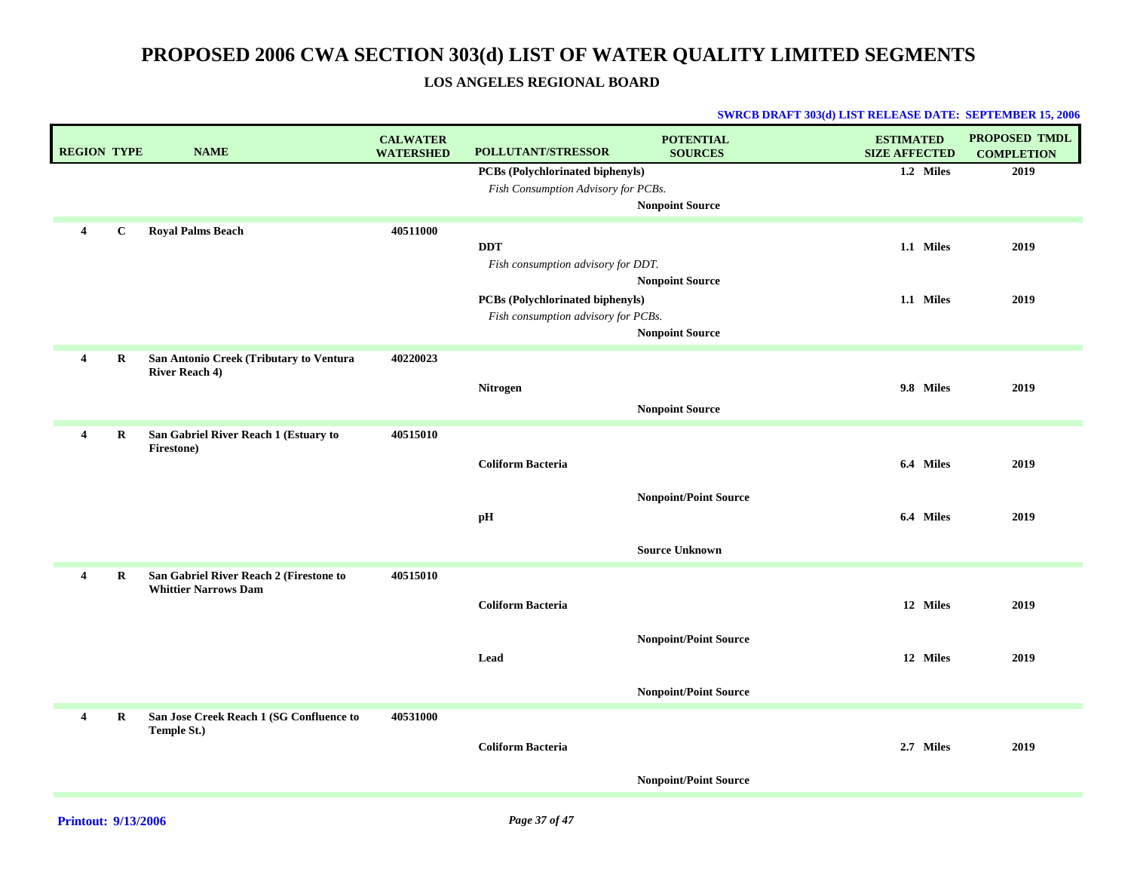### **LOS ANGELES REGIONAL BOARD**

| <b>REGION TYPE</b>      |             | <b>NAME</b>                              | <b>CALWATER</b><br><b>WATERSHED</b> | <b>POLLUTANT/STRESSOR</b>           | <b>POTENTIAL</b><br><b>SOURCES</b> | <b>ESTIMATED</b><br><b>SIZE AFFECTED</b> | <b>PROPOSED TMDL</b><br><b>COMPLETION</b> |
|-------------------------|-------------|------------------------------------------|-------------------------------------|-------------------------------------|------------------------------------|------------------------------------------|-------------------------------------------|
|                         |             |                                          |                                     | PCBs (Polychlorinated biphenyls)    |                                    | 1.2 Miles                                | 2019                                      |
|                         |             |                                          |                                     | Fish Consumption Advisory for PCBs. |                                    |                                          |                                           |
|                         |             |                                          |                                     |                                     | <b>Nonpoint Source</b>             |                                          |                                           |
| 4                       | $\bf C$     | <b>Royal Palms Beach</b>                 | 40511000                            |                                     |                                    |                                          |                                           |
|                         |             |                                          |                                     | <b>DDT</b>                          |                                    | 1.1 Miles                                | 2019                                      |
|                         |             |                                          |                                     | Fish consumption advisory for DDT.  |                                    |                                          |                                           |
|                         |             |                                          |                                     |                                     | <b>Nonpoint Source</b>             |                                          |                                           |
|                         |             |                                          |                                     | PCBs (Polychlorinated biphenyls)    |                                    | 1.1 Miles                                | 2019                                      |
|                         |             |                                          |                                     | Fish consumption advisory for PCBs. |                                    |                                          |                                           |
|                         |             |                                          |                                     |                                     | <b>Nonpoint Source</b>             |                                          |                                           |
| 4                       | R           | San Antonio Creek (Tributary to Ventura  | 40220023                            |                                     |                                    |                                          |                                           |
|                         |             | <b>River Reach 4)</b>                    |                                     | Nitrogen                            |                                    | 9.8 Miles                                | 2019                                      |
|                         |             |                                          |                                     |                                     |                                    |                                          |                                           |
|                         |             |                                          |                                     |                                     | <b>Nonpoint Source</b>             |                                          |                                           |
| $\overline{4}$          | R           | San Gabriel River Reach 1 (Estuary to    | 40515010                            |                                     |                                    |                                          |                                           |
|                         |             | Firestone)                               |                                     | <b>Coliform Bacteria</b>            |                                    | 6.4 Miles                                | 2019                                      |
|                         |             |                                          |                                     |                                     |                                    |                                          |                                           |
|                         |             |                                          |                                     |                                     | <b>Nonpoint/Point Source</b>       |                                          |                                           |
|                         |             |                                          |                                     | pH                                  |                                    | 6.4 Miles                                | 2019                                      |
|                         |             |                                          |                                     |                                     |                                    |                                          |                                           |
|                         |             |                                          |                                     |                                     | <b>Source Unknown</b>              |                                          |                                           |
| $\overline{4}$          | $\mathbf R$ | San Gabriel River Reach 2 (Firestone to  | 40515010                            |                                     |                                    |                                          |                                           |
|                         |             | <b>Whittier Narrows Dam</b>              |                                     |                                     |                                    |                                          |                                           |
|                         |             |                                          |                                     | <b>Coliform Bacteria</b>            |                                    | 12 Miles                                 | 2019                                      |
|                         |             |                                          |                                     |                                     |                                    |                                          |                                           |
|                         |             |                                          |                                     |                                     | <b>Nonpoint/Point Source</b>       |                                          |                                           |
|                         |             |                                          |                                     | Lead                                |                                    | 12 Miles                                 | 2019                                      |
|                         |             |                                          |                                     |                                     |                                    |                                          |                                           |
|                         |             |                                          |                                     |                                     | <b>Nonpoint/Point Source</b>       |                                          |                                           |
| $\overline{\mathbf{4}}$ | $\bf R$     | San Jose Creek Reach 1 (SG Confluence to | 40531000                            |                                     |                                    |                                          |                                           |
|                         |             | Temple St.)                              |                                     | <b>Coliform Bacteria</b>            |                                    | 2.7 Miles                                | 2019                                      |
|                         |             |                                          |                                     |                                     |                                    |                                          |                                           |
|                         |             |                                          |                                     |                                     | <b>Nonpoint/Point Source</b>       |                                          |                                           |
|                         |             |                                          |                                     |                                     |                                    |                                          |                                           |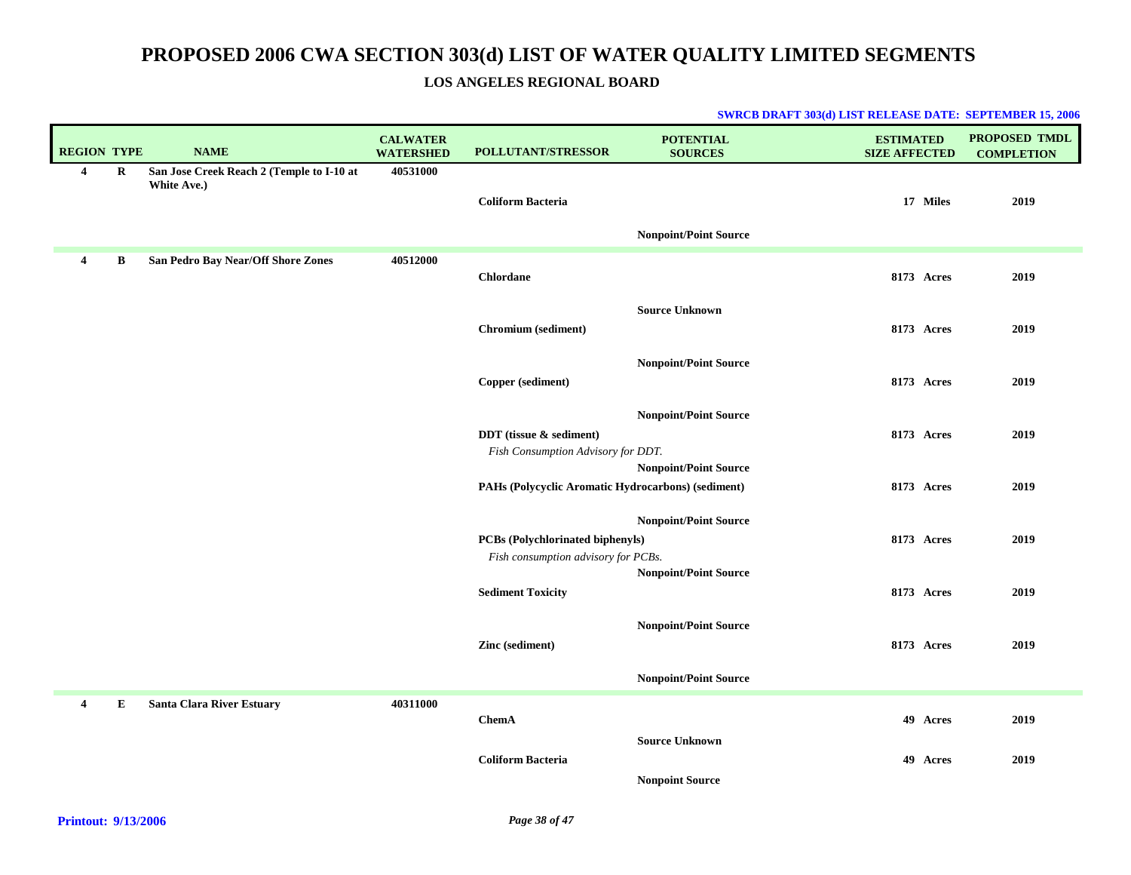### **LOS ANGELES REGIONAL BOARD**

| <b>REGION TYPE</b> |         | <b>NAME</b>                                              | <b>CALWATER</b><br><b>WATERSHED</b> | POLLUTANT/STRESSOR                                                             | <b>POTENTIAL</b><br><b>SOURCES</b>              | <b>ESTIMATED</b><br><b>SIZE AFFECTED</b> | <b>PROPOSED TMDL</b><br><b>COMPLETION</b> |
|--------------------|---------|----------------------------------------------------------|-------------------------------------|--------------------------------------------------------------------------------|-------------------------------------------------|------------------------------------------|-------------------------------------------|
| $\overline{4}$     | $\bf R$ | San Jose Creek Reach 2 (Temple to I-10 at<br>White Ave.) | 40531000                            | <b>Coliform Bacteria</b>                                                       |                                                 | 17 Miles                                 | 2019                                      |
|                    |         |                                                          |                                     |                                                                                | <b>Nonpoint/Point Source</b>                    |                                          |                                           |
| 4                  | B       | San Pedro Bay Near/Off Shore Zones                       | 40512000                            | <b>Chlordane</b>                                                               |                                                 | 8173 Acres                               | 2019                                      |
|                    |         |                                                          |                                     | Chromium (sediment)                                                            | <b>Source Unknown</b>                           | 8173 Acres                               | 2019                                      |
|                    |         |                                                          |                                     | Copper (sediment)                                                              | <b>Nonpoint/Point Source</b>                    | 8173 Acres                               | 2019                                      |
|                    |         |                                                          |                                     |                                                                                | <b>Nonpoint/Point Source</b>                    |                                          |                                           |
|                    |         |                                                          |                                     | DDT (tissue & sediment)<br>Fish Consumption Advisory for DDT.                  | <b>Nonpoint/Point Source</b>                    | 8173 Acres                               | 2019                                      |
|                    |         |                                                          |                                     | PAHs (Polycyclic Aromatic Hydrocarbons) (sediment)                             |                                                 | <b>8173</b> Acres                        | 2019                                      |
|                    |         |                                                          |                                     | <b>PCBs</b> (Polychlorinated biphenyls)<br>Fish consumption advisory for PCBs. | <b>Nonpoint/Point Source</b>                    | 8173 Acres                               | 2019                                      |
|                    |         |                                                          |                                     | <b>Sediment Toxicity</b>                                                       | <b>Nonpoint/Point Source</b>                    | 8173 Acres                               | 2019                                      |
|                    |         |                                                          |                                     | Zinc (sediment)                                                                | <b>Nonpoint/Point Source</b>                    | 8173 Acres                               | 2019                                      |
|                    |         |                                                          |                                     |                                                                                | <b>Nonpoint/Point Source</b>                    |                                          |                                           |
| $\overline{4}$     | Е       | Santa Clara River Estuary                                | 40311000                            | <b>ChemA</b>                                                                   |                                                 | 49 Acres                                 | 2019                                      |
|                    |         |                                                          |                                     | <b>Coliform Bacteria</b>                                                       | <b>Source Unknown</b><br><b>Nonpoint Source</b> | 49 Acres                                 | 2019                                      |
|                    |         |                                                          |                                     |                                                                                |                                                 |                                          |                                           |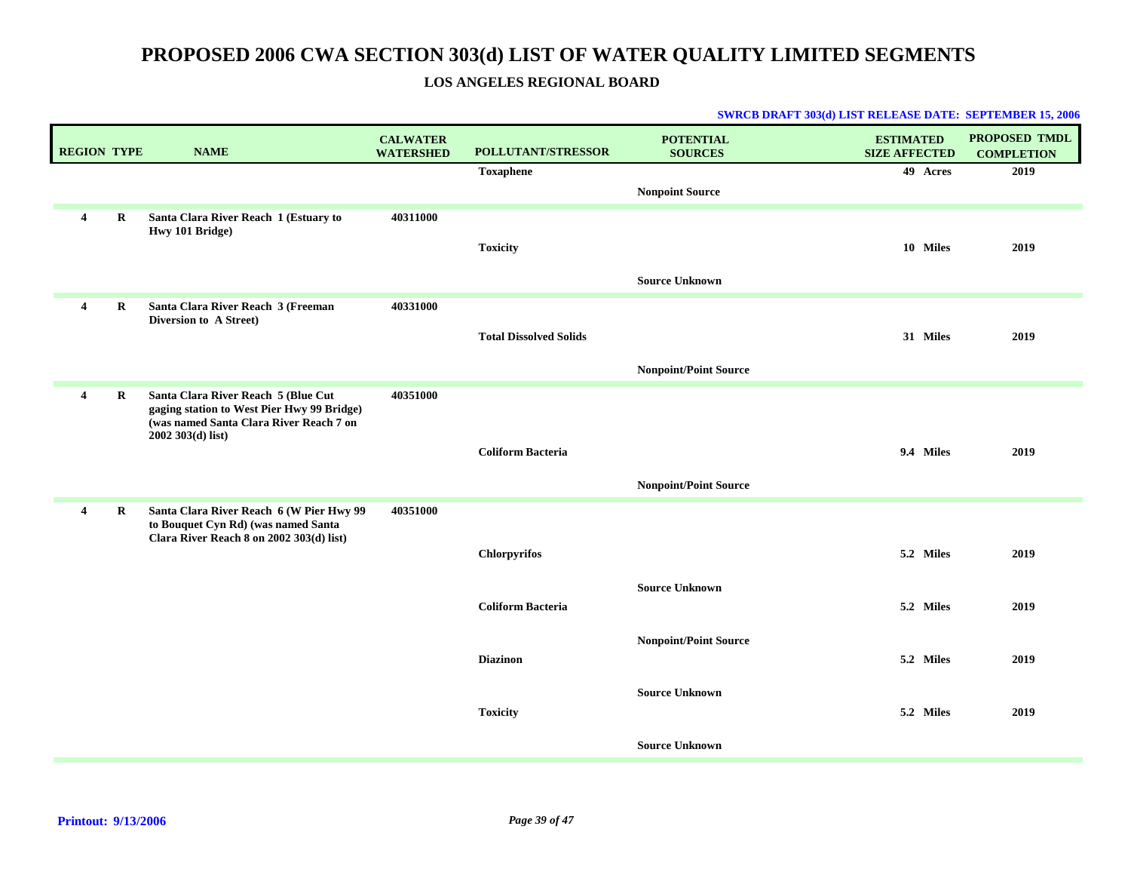### **LOS ANGELES REGIONAL BOARD**

| <b>REGION TYPE</b>      |         | <b>NAME</b>                                                                       | <b>CALWATER</b><br><b>WATERSHED</b> | <b>POLLUTANT/STRESSOR</b>     | <b>POTENTIAL</b><br><b>SOURCES</b> | <b>ESTIMATED</b><br><b>SIZE AFFECTED</b> | <b>PROPOSED TMDL</b><br><b>COMPLETION</b> |
|-------------------------|---------|-----------------------------------------------------------------------------------|-------------------------------------|-------------------------------|------------------------------------|------------------------------------------|-------------------------------------------|
|                         |         |                                                                                   |                                     | <b>Toxaphene</b>              |                                    | 49 Acres                                 | 2019                                      |
|                         |         |                                                                                   |                                     |                               | <b>Nonpoint Source</b>             |                                          |                                           |
| $\overline{\mathbf{4}}$ | R       | Santa Clara River Reach 1 (Estuary to<br>Hwy 101 Bridge)                          | 40311000                            |                               |                                    |                                          |                                           |
|                         |         |                                                                                   |                                     | <b>Toxicity</b>               |                                    | 10 Miles                                 | 2019                                      |
|                         |         |                                                                                   |                                     |                               | <b>Source Unknown</b>              |                                          |                                           |
| $\overline{4}$          | $\bf R$ | Santa Clara River Reach 3 (Freeman<br>Diversion to A Street)                      | 40331000                            |                               |                                    |                                          |                                           |
|                         |         |                                                                                   |                                     | <b>Total Dissolved Solids</b> |                                    | 31 Miles                                 | 2019                                      |
|                         |         |                                                                                   |                                     |                               | <b>Nonpoint/Point Source</b>       |                                          |                                           |
| $\overline{4}$          | R       | Santa Clara River Reach 5 (Blue Cut<br>gaging station to West Pier Hwy 99 Bridge) | 40351000                            |                               |                                    |                                          |                                           |
|                         |         | (was named Santa Clara River Reach 7 on<br>2002 303(d) list)                      |                                     |                               |                                    |                                          |                                           |
|                         |         |                                                                                   |                                     | <b>Coliform Bacteria</b>      |                                    | 9.4 Miles                                | 2019                                      |
|                         |         |                                                                                   |                                     |                               | <b>Nonpoint/Point Source</b>       |                                          |                                           |
| $\overline{4}$          | R       | Santa Clara River Reach 6 (W Pier Hwy 99<br>to Bouquet Cyn Rd) (was named Santa   | 40351000                            |                               |                                    |                                          |                                           |
|                         |         | Clara River Reach 8 on 2002 303(d) list)                                          |                                     | <b>Chlorpyrifos</b>           |                                    | 5.2 Miles                                | 2019                                      |
|                         |         |                                                                                   |                                     |                               |                                    |                                          |                                           |
|                         |         |                                                                                   |                                     | <b>Coliform Bacteria</b>      | <b>Source Unknown</b>              | 5.2 Miles                                | 2019                                      |
|                         |         |                                                                                   |                                     |                               |                                    |                                          |                                           |
|                         |         |                                                                                   |                                     | <b>Diazinon</b>               | <b>Nonpoint/Point Source</b>       | 5.2 Miles                                | 2019                                      |
|                         |         |                                                                                   |                                     |                               | <b>Source Unknown</b>              |                                          |                                           |
|                         |         |                                                                                   |                                     | <b>Toxicity</b>               |                                    | 5.2 Miles                                | 2019                                      |
|                         |         |                                                                                   |                                     |                               | <b>Source Unknown</b>              |                                          |                                           |
|                         |         |                                                                                   |                                     |                               |                                    |                                          |                                           |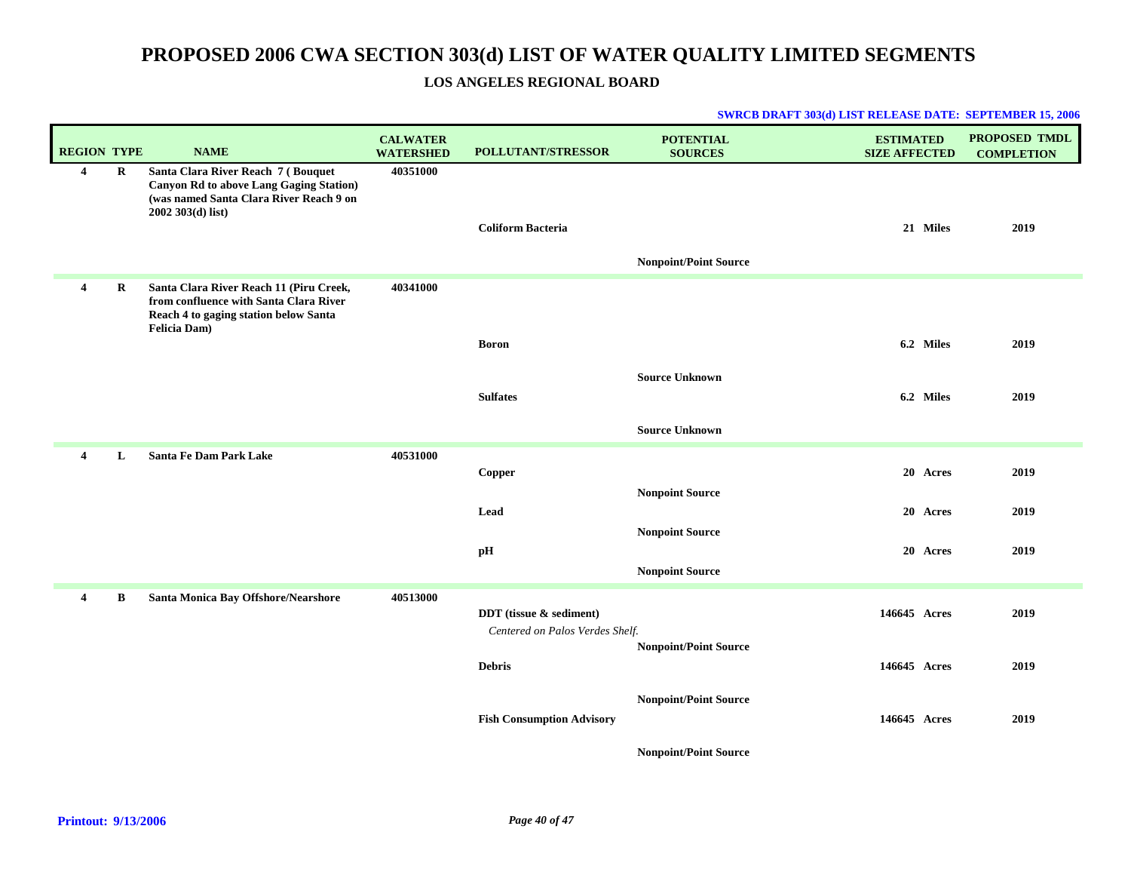### **LOS ANGELES REGIONAL BOARD**

| <b>REGION TYPE</b> |             | <b>NAME</b>                                                                                                                                          | <b>CALWATER</b><br><b>WATERSHED</b> | POLLUTANT/STRESSOR                                         | <b>POTENTIAL</b><br><b>SOURCES</b> | <b>ESTIMATED</b><br><b>SIZE AFFECTED</b> | PROPOSED TMDL<br><b>COMPLETION</b> |
|--------------------|-------------|------------------------------------------------------------------------------------------------------------------------------------------------------|-------------------------------------|------------------------------------------------------------|------------------------------------|------------------------------------------|------------------------------------|
| $\overline{4}$     | R           | Santa Clara River Reach 7 (Bouquet<br><b>Canyon Rd to above Lang Gaging Station)</b><br>(was named Santa Clara River Reach 9 on<br>2002 303(d) list) | 40351000                            | <b>Coliform Bacteria</b>                                   | <b>Nonpoint/Point Source</b>       | 21 Miles                                 | 2019                               |
| 4                  | $\mathbf R$ | Santa Clara River Reach 11 (Piru Creek,<br>from confluence with Santa Clara River<br>Reach 4 to gaging station below Santa<br><b>Felicia Dam</b> )   | 40341000                            |                                                            |                                    |                                          |                                    |
|                    |             |                                                                                                                                                      |                                     | <b>Boron</b>                                               |                                    | 6.2 Miles                                | 2019                               |
|                    |             |                                                                                                                                                      |                                     | <b>Sulfates</b>                                            | <b>Source Unknown</b>              | 6.2 Miles                                | 2019                               |
|                    |             |                                                                                                                                                      |                                     |                                                            | <b>Source Unknown</b>              |                                          |                                    |
| 4                  | L           | <b>Santa Fe Dam Park Lake</b>                                                                                                                        | 40531000                            |                                                            |                                    |                                          |                                    |
|                    |             |                                                                                                                                                      |                                     | Copper                                                     |                                    | 20 Acres                                 | 2019                               |
|                    |             |                                                                                                                                                      |                                     | Lead                                                       | <b>Nonpoint Source</b>             | 20 Acres                                 | 2019                               |
|                    |             |                                                                                                                                                      |                                     |                                                            | <b>Nonpoint Source</b>             |                                          |                                    |
|                    |             |                                                                                                                                                      |                                     | pН                                                         |                                    | 20 Acres                                 | 2019                               |
|                    |             |                                                                                                                                                      |                                     |                                                            | <b>Nonpoint Source</b>             |                                          |                                    |
| 4                  | B           | Santa Monica Bay Offshore/Nearshore                                                                                                                  | 40513000                            | DDT (tissue & sediment)<br>Centered on Palos Verdes Shelf. |                                    | 146645 Acres                             | 2019                               |
|                    |             |                                                                                                                                                      |                                     | <b>Debris</b>                                              | <b>Nonpoint/Point Source</b>       | 146645 Acres                             | 2019                               |
|                    |             |                                                                                                                                                      |                                     | <b>Fish Consumption Advisory</b>                           | <b>Nonpoint/Point Source</b>       | 146645 Acres                             | 2019                               |
|                    |             |                                                                                                                                                      |                                     |                                                            | <b>Nonpoint/Point Source</b>       |                                          |                                    |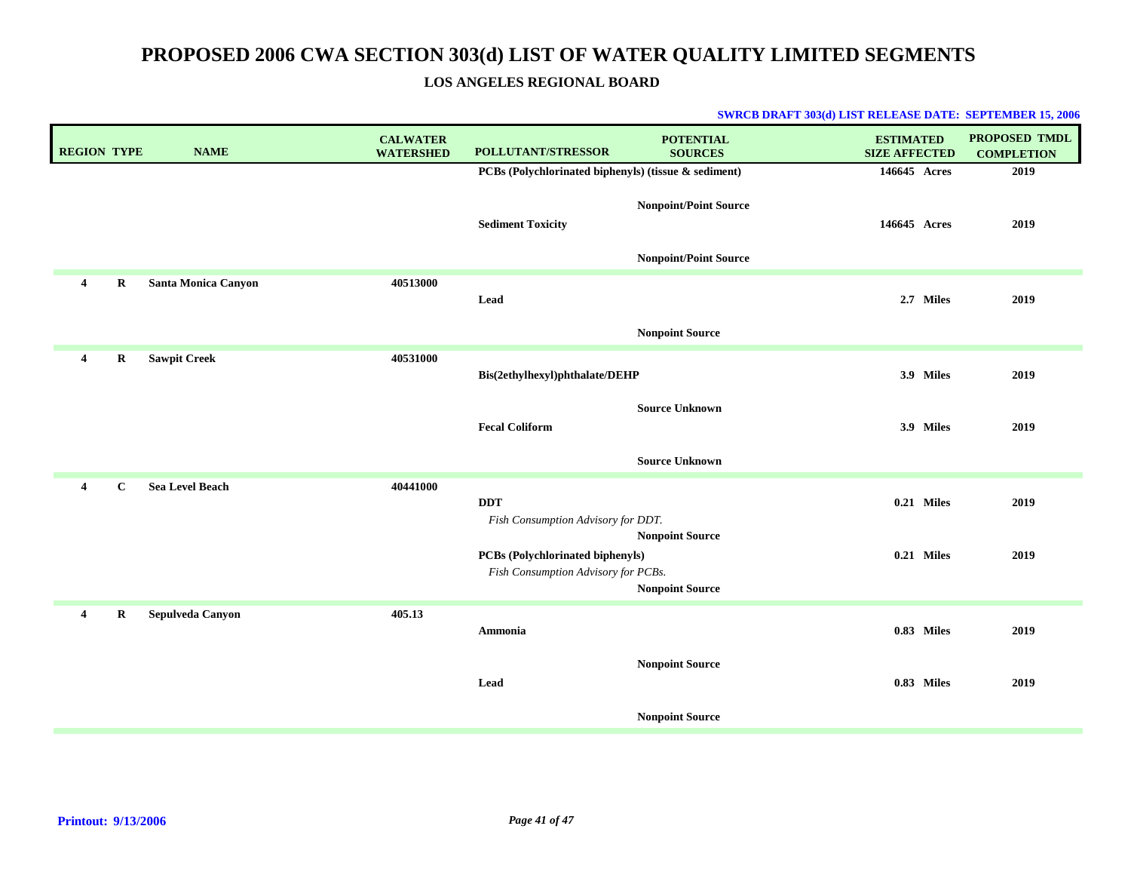**LOS ANGELES REGIONAL BOARD**

| <b>REGION TYPE</b> |             | <b>NAME</b>            | <b>CALWATER</b><br><b>WATERSHED</b> | POLLUTANT/STRESSOR                                                      | <b>POTENTIAL</b><br><b>SOURCES</b> | <b>ESTIMATED</b><br><b>SIZE AFFECTED</b> | <b>PROPOSED TMDL</b><br><b>COMPLETION</b> |
|--------------------|-------------|------------------------|-------------------------------------|-------------------------------------------------------------------------|------------------------------------|------------------------------------------|-------------------------------------------|
|                    |             |                        |                                     | PCBs (Polychlorinated biphenyls) (tissue & sediment)                    |                                    | 146645 Acres                             | 2019                                      |
|                    |             |                        |                                     | <b>Sediment Toxicity</b>                                                | <b>Nonpoint/Point Source</b>       | 146645 Acres                             | 2019                                      |
|                    |             |                        |                                     |                                                                         | <b>Nonpoint/Point Source</b>       |                                          |                                           |
| $\overline{4}$     | R           | Santa Monica Canyon    | 40513000                            | Lead                                                                    |                                    | 2.7 Miles                                | 2019                                      |
|                    |             |                        |                                     |                                                                         | <b>Nonpoint Source</b>             |                                          |                                           |
| $\overline{4}$     | $\bf R$     | <b>Sawpit Creek</b>    | 40531000                            | Bis(2ethylhexyl)phthalate/DEHP                                          |                                    | 3.9 Miles                                | 2019                                      |
|                    |             |                        |                                     | <b>Fecal Coliform</b>                                                   | <b>Source Unknown</b>              | 3.9 Miles                                | 2019                                      |
|                    |             |                        |                                     |                                                                         | <b>Source Unknown</b>              |                                          |                                           |
| $\overline{4}$     | $\mathbf C$ | <b>Sea Level Beach</b> | 40441000                            | <b>DDT</b><br>Fish Consumption Advisory for DDT.                        | <b>Nonpoint Source</b>             | 0.21 Miles                               | 2019                                      |
|                    |             |                        |                                     | PCBs (Polychlorinated biphenyls)<br>Fish Consumption Advisory for PCBs. | <b>Nonpoint Source</b>             | 0.21 Miles                               | 2019                                      |
| 4                  | R           | Sepulveda Canyon       | 405.13                              | Ammonia                                                                 |                                    | 0.83 Miles                               | 2019                                      |
|                    |             |                        |                                     | Lead                                                                    | <b>Nonpoint Source</b>             | 0.83 Miles                               | 2019                                      |
|                    |             |                        |                                     |                                                                         | <b>Nonpoint Source</b>             |                                          |                                           |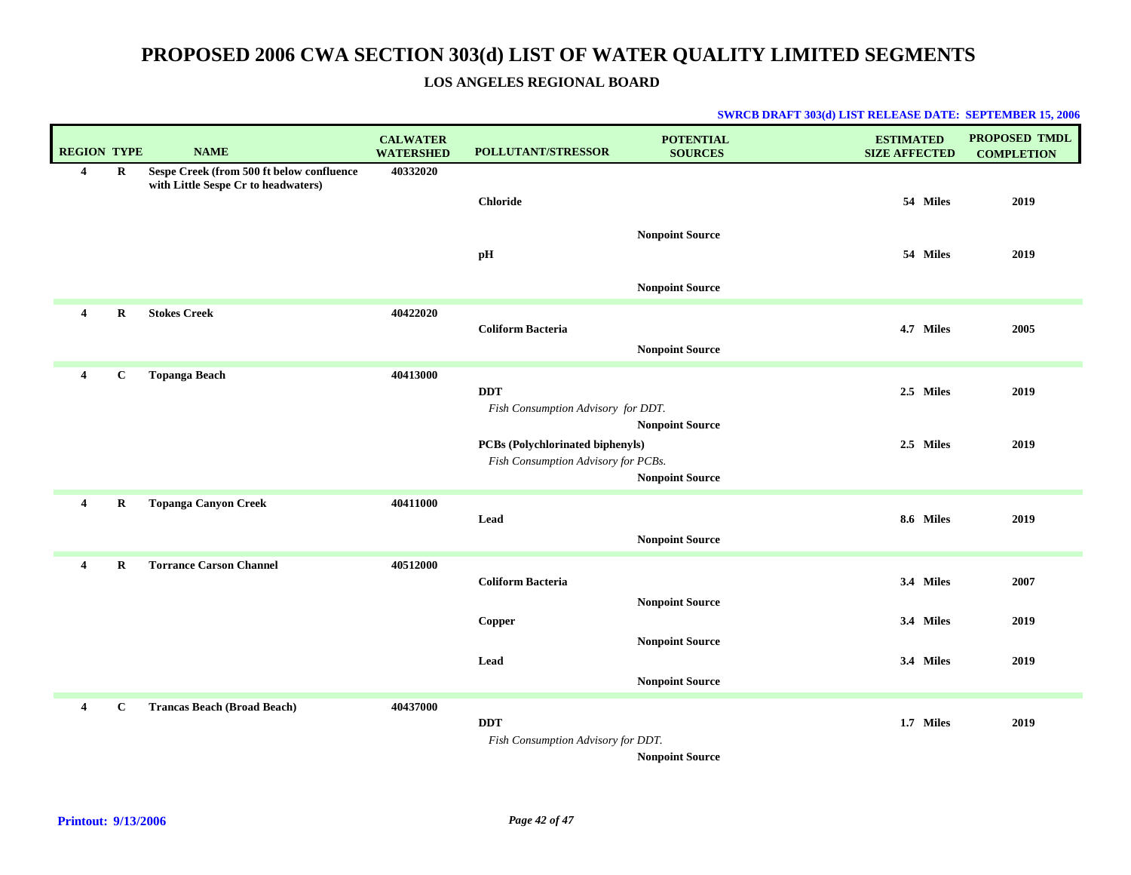### **LOS ANGELES REGIONAL BOARD**

| <b>REGION TYPE</b>      |              | <b>NAME</b>                                                                      | <b>CALWATER</b><br><b>WATERSHED</b> | POLLUTANT/STRESSOR                                                      | <b>POTENTIAL</b><br><b>SOURCES</b>               | <b>ESTIMATED</b><br><b>SIZE AFFECTED</b> | <b>PROPOSED TMDL</b><br><b>COMPLETION</b> |
|-------------------------|--------------|----------------------------------------------------------------------------------|-------------------------------------|-------------------------------------------------------------------------|--------------------------------------------------|------------------------------------------|-------------------------------------------|
| 4                       | R            | Sespe Creek (from 500 ft below confluence<br>with Little Sespe Cr to headwaters) | 40332020                            | <b>Chloride</b>                                                         | <b>Nonpoint Source</b>                           | 54 Miles                                 | 2019                                      |
|                         |              |                                                                                  |                                     | pН                                                                      | <b>Nonpoint Source</b>                           | 54 Miles                                 | 2019                                      |
| 4                       | $\bf R$      | <b>Stokes Creek</b>                                                              | 40422020                            | <b>Coliform Bacteria</b>                                                | <b>Nonpoint Source</b>                           | 4.7 Miles                                | 2005                                      |
| 4                       | $\mathbf{C}$ | <b>Topanga Beach</b>                                                             | 40413000                            | <b>DDT</b><br>Fish Consumption Advisory for DDT.                        |                                                  | 2.5 Miles                                | 2019                                      |
|                         |              |                                                                                  |                                     | PCBs (Polychlorinated biphenyls)<br>Fish Consumption Advisory for PCBs. | <b>Nonpoint Source</b><br><b>Nonpoint Source</b> | 2.5 Miles                                | 2019                                      |
| $\overline{\mathbf{4}}$ | $\bf{R}$     | <b>Topanga Canyon Creek</b>                                                      | 40411000                            | Lead                                                                    | <b>Nonpoint Source</b>                           | 8.6 Miles                                | 2019                                      |
| $\overline{\mathbf{4}}$ | R            | <b>Torrance Carson Channel</b>                                                   | 40512000                            | <b>Coliform Bacteria</b>                                                | <b>Nonpoint Source</b>                           | 3.4 Miles                                | 2007                                      |
|                         |              |                                                                                  |                                     | Copper<br>Lead                                                          | <b>Nonpoint Source</b>                           | 3.4 Miles<br>3.4 Miles                   | 2019<br>2019                              |
|                         |              |                                                                                  |                                     |                                                                         | <b>Nonpoint Source</b>                           |                                          |                                           |
| $\overline{4}$          | $\mathbf{C}$ | <b>Trancas Beach (Broad Beach)</b>                                               | 40437000                            | <b>DDT</b><br>Fish Consumption Advisory for DDT.                        | <b>Nonpoint Source</b>                           | 1.7 Miles                                | 2019                                      |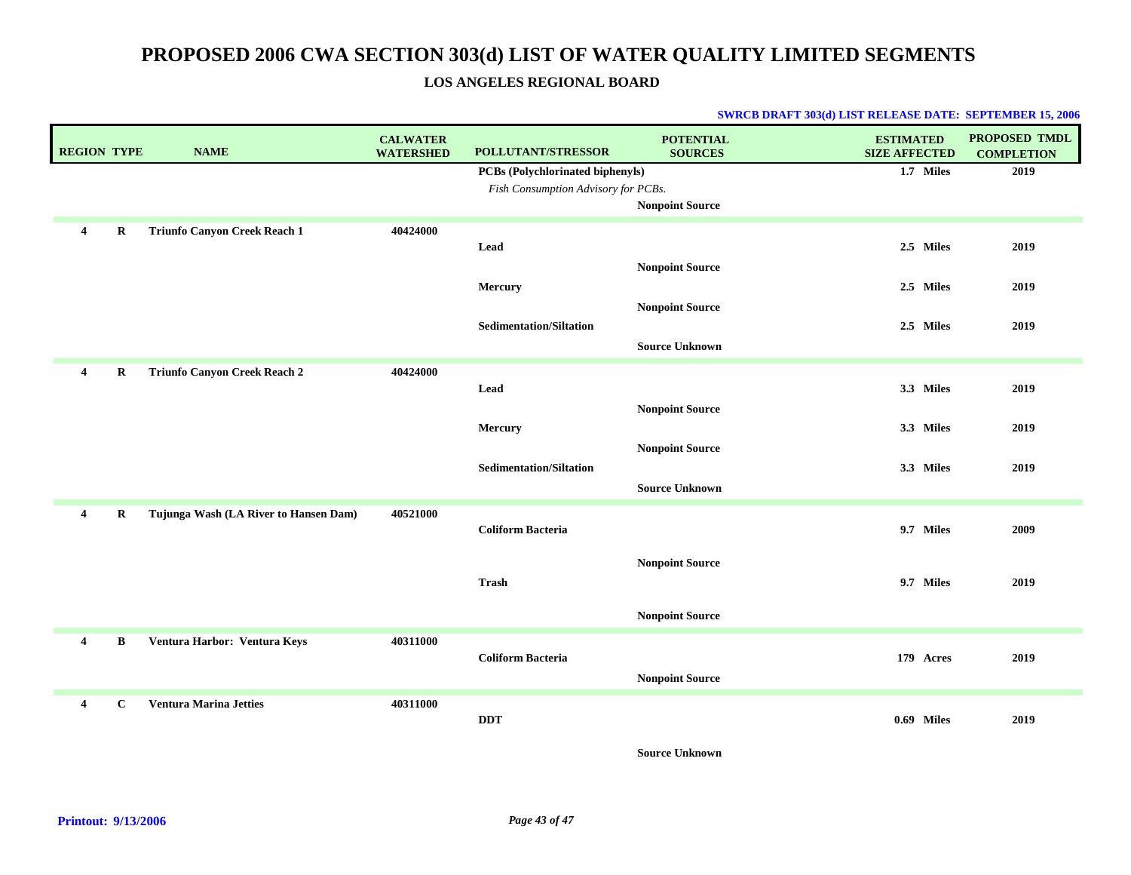### **LOS ANGELES REGIONAL BOARD**

### **SWRCB DRAFT 303(d) LIST RELEASE DATE: SEPTEMBER 15, 2006**

| <b>REGION TYPE</b> |             | <b>NAME</b>                           | <b>CALWATER</b><br><b>WATERSHED</b> | POLLUTANT/STRESSOR                  | <b>POTENTIAL</b><br><b>SOURCES</b> | <b>ESTIMATED</b><br><b>SIZE AFFECTED</b> | <b>PROPOSED TMDL</b><br><b>COMPLETION</b> |
|--------------------|-------------|---------------------------------------|-------------------------------------|-------------------------------------|------------------------------------|------------------------------------------|-------------------------------------------|
|                    |             |                                       |                                     | PCBs (Polychlorinated biphenyls)    |                                    | 1.7 Miles                                | 2019                                      |
|                    |             |                                       |                                     | Fish Consumption Advisory for PCBs. |                                    |                                          |                                           |
|                    |             |                                       |                                     |                                     | <b>Nonpoint Source</b>             |                                          |                                           |
| 4                  | $\bf R$     | <b>Triunfo Canyon Creek Reach 1</b>   | 40424000                            |                                     |                                    |                                          |                                           |
|                    |             |                                       |                                     | Lead                                |                                    | 2.5 Miles                                | 2019                                      |
|                    |             |                                       |                                     |                                     | <b>Nonpoint Source</b>             |                                          |                                           |
|                    |             |                                       |                                     | Mercury                             |                                    | 2.5 Miles                                | 2019                                      |
|                    |             |                                       |                                     |                                     | <b>Nonpoint Source</b>             |                                          |                                           |
|                    |             |                                       |                                     | <b>Sedimentation/Siltation</b>      |                                    | 2.5 Miles                                | 2019                                      |
|                    |             |                                       |                                     |                                     | <b>Source Unknown</b>              |                                          |                                           |
| 4                  | R           | <b>Triunfo Canyon Creek Reach 2</b>   | 40424000                            |                                     |                                    |                                          |                                           |
|                    |             |                                       |                                     | Lead                                |                                    | 3.3 Miles                                | 2019                                      |
|                    |             |                                       |                                     |                                     | <b>Nonpoint Source</b>             |                                          |                                           |
|                    |             |                                       |                                     | Mercury                             |                                    | 3.3 Miles                                | 2019                                      |
|                    |             |                                       |                                     |                                     | <b>Nonpoint Source</b>             |                                          |                                           |
|                    |             |                                       |                                     | <b>Sedimentation/Siltation</b>      |                                    | 3.3 Miles                                | 2019                                      |
|                    |             |                                       |                                     |                                     | <b>Source Unknown</b>              |                                          |                                           |
| $\overline{4}$     | $\mathbf R$ | Tujunga Wash (LA River to Hansen Dam) | 40521000                            |                                     |                                    |                                          |                                           |
|                    |             |                                       |                                     | <b>Coliform Bacteria</b>            |                                    | 9.7 Miles                                | 2009                                      |
|                    |             |                                       |                                     |                                     |                                    |                                          |                                           |
|                    |             |                                       |                                     |                                     | <b>Nonpoint Source</b>             |                                          |                                           |
|                    |             |                                       |                                     | <b>Trash</b>                        |                                    | 9.7 Miles                                | 2019                                      |
|                    |             |                                       |                                     |                                     |                                    |                                          |                                           |
|                    |             |                                       |                                     |                                     | Nonpoint Source                    |                                          |                                           |
| $\overline{4}$     | B           | Ventura Harbor: Ventura Keys          | 40311000                            |                                     |                                    |                                          |                                           |
|                    |             |                                       |                                     | <b>Coliform Bacteria</b>            |                                    | 179 Acres                                | 2019                                      |
|                    |             |                                       |                                     |                                     | <b>Nonpoint Source</b>             |                                          |                                           |
| 4                  | $\mathbf c$ | <b>Ventura Marina Jetties</b>         | 40311000                            |                                     |                                    |                                          |                                           |
|                    |             |                                       |                                     | <b>DDT</b>                          |                                    | 0.69 Miles                               | 2019                                      |
|                    |             |                                       |                                     |                                     |                                    |                                          |                                           |

**Source Unknown**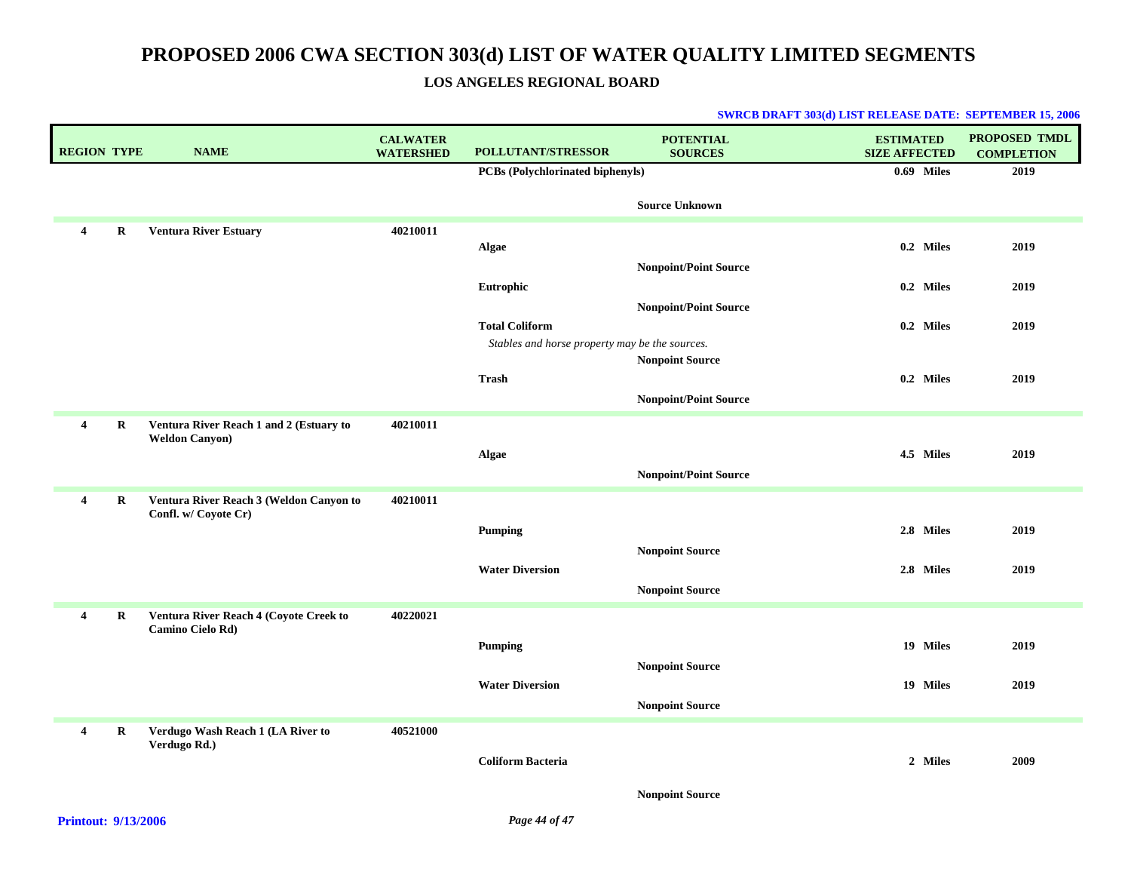### **LOS ANGELES REGIONAL BOARD**

| <b>REGION TYPE</b> |         | <b>NAME</b>                                                      | <b>CALWATER</b><br><b>WATERSHED</b> | POLLUTANT/STRESSOR                             | <b>POTENTIAL</b><br><b>SOURCES</b> | <b>ESTIMATED</b><br><b>SIZE AFFECTED</b> | <b>PROPOSED TMDL</b><br><b>COMPLETION</b> |
|--------------------|---------|------------------------------------------------------------------|-------------------------------------|------------------------------------------------|------------------------------------|------------------------------------------|-------------------------------------------|
|                    |         |                                                                  |                                     | PCBs (Polychlorinated biphenyls)               |                                    | $0.69$ Miles                             | 2019                                      |
|                    |         |                                                                  |                                     |                                                | <b>Source Unknown</b>              |                                          |                                           |
| 4                  | R       | <b>Ventura River Estuary</b>                                     | 40210011                            |                                                |                                    |                                          |                                           |
|                    |         |                                                                  |                                     | Algae                                          |                                    | 0.2 Miles                                | 2019                                      |
|                    |         |                                                                  |                                     |                                                | <b>Nonpoint/Point Source</b>       | 0.2 Miles                                |                                           |
|                    |         |                                                                  |                                     | Eutrophic                                      | <b>Nonpoint/Point Source</b>       |                                          | 2019                                      |
|                    |         |                                                                  |                                     | <b>Total Coliform</b>                          |                                    | 0.2 Miles                                | 2019                                      |
|                    |         |                                                                  |                                     | Stables and horse property may be the sources. |                                    |                                          |                                           |
|                    |         |                                                                  |                                     |                                                | <b>Nonpoint Source</b>             |                                          |                                           |
|                    |         |                                                                  |                                     | <b>Trash</b>                                   |                                    | 0.2 Miles                                | 2019                                      |
|                    |         |                                                                  |                                     |                                                | <b>Nonpoint/Point Source</b>       |                                          |                                           |
| $\overline{4}$     | $\bf R$ | Ventura River Reach 1 and 2 (Estuary to<br><b>Weldon Canyon)</b> | 40210011                            |                                                |                                    |                                          |                                           |
|                    |         |                                                                  |                                     | Algae                                          |                                    | 4.5 Miles                                | 2019                                      |
|                    |         |                                                                  |                                     |                                                | <b>Nonpoint/Point Source</b>       |                                          |                                           |
| $\overline{4}$     | $\bf R$ | Ventura River Reach 3 (Weldon Canyon to<br>Confl. w/ Coyote Cr)  | 40210011                            |                                                |                                    |                                          |                                           |
|                    |         |                                                                  |                                     | <b>Pumping</b>                                 |                                    | 2.8 Miles                                | 2019                                      |
|                    |         |                                                                  |                                     |                                                | <b>Nonpoint Source</b>             |                                          |                                           |
|                    |         |                                                                  |                                     | <b>Water Diversion</b>                         |                                    | 2.8 Miles                                | 2019                                      |
|                    |         |                                                                  |                                     |                                                | <b>Nonpoint Source</b>             |                                          |                                           |
| $\overline{4}$     | $\bf R$ | Ventura River Reach 4 (Coyote Creek to                           | 40220021                            |                                                |                                    |                                          |                                           |
|                    |         | Camino Cielo Rd)                                                 |                                     | Pumping                                        |                                    | 19 Miles                                 | 2019                                      |
|                    |         |                                                                  |                                     |                                                | <b>Nonpoint Source</b>             |                                          |                                           |
|                    |         |                                                                  |                                     | <b>Water Diversion</b>                         |                                    | 19 Miles                                 | 2019                                      |
|                    |         |                                                                  |                                     |                                                | <b>Nonpoint Source</b>             |                                          |                                           |
| $\overline{4}$     | R       | Verdugo Wash Reach 1 (LA River to                                | 40521000                            |                                                |                                    |                                          |                                           |
|                    |         | Verdugo Rd.)                                                     |                                     |                                                |                                    |                                          |                                           |
|                    |         |                                                                  |                                     | <b>Coliform Bacteria</b>                       |                                    | 2 Miles                                  | 2009                                      |
|                    |         |                                                                  |                                     |                                                | <b>Nonpoint Source</b>             |                                          |                                           |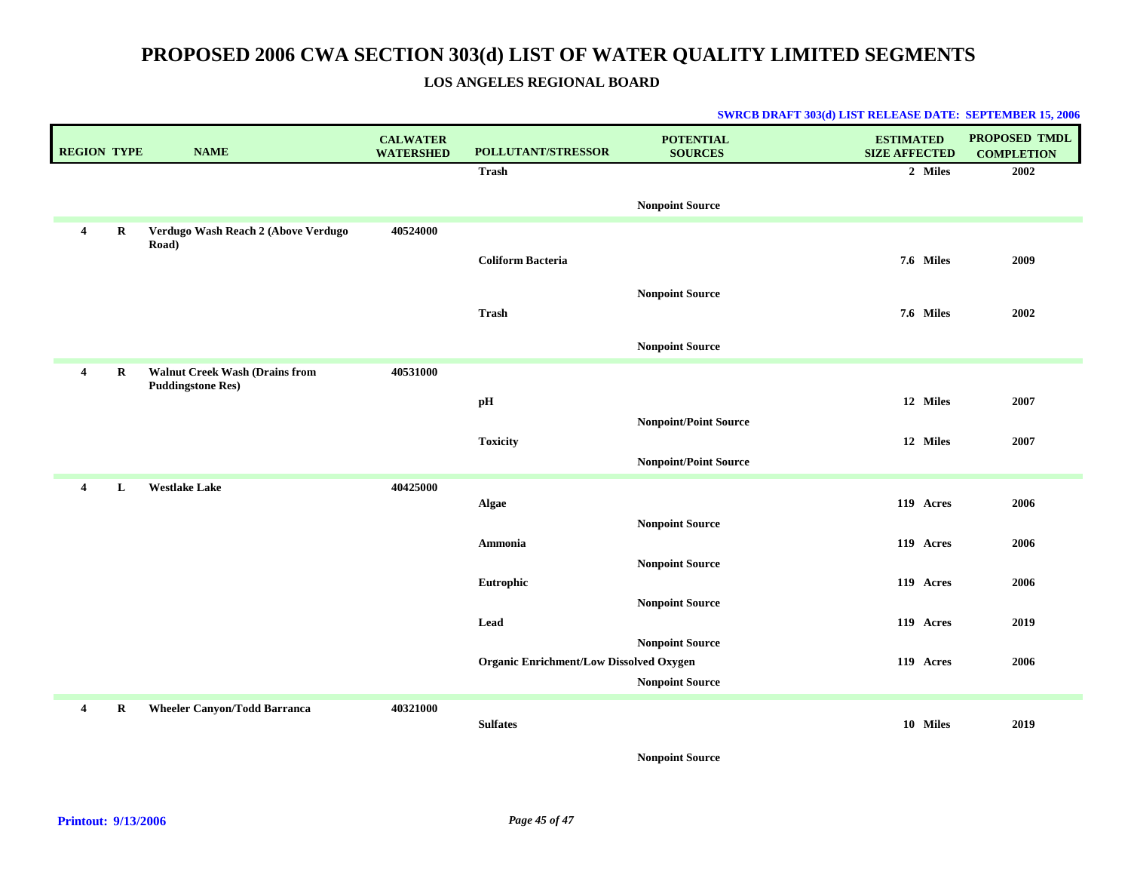### **LOS ANGELES REGIONAL BOARD**

### **SWRCB DRAFT 303(d) LIST RELEASE DATE: SEPTEMBER 15, 2006**

| <b>REGION TYPE</b>      |          | <b>NAME</b>                                                       | <b>CALWATER</b><br><b>WATERSHED</b> | POLLUTANT/STRESSOR                             | <b>POTENTIAL</b><br><b>SOURCES</b> | <b>ESTIMATED</b><br><b>SIZE AFFECTED</b> | <b>PROPOSED TMDL</b><br><b>COMPLETION</b> |
|-------------------------|----------|-------------------------------------------------------------------|-------------------------------------|------------------------------------------------|------------------------------------|------------------------------------------|-------------------------------------------|
|                         |          |                                                                   |                                     | <b>Trash</b>                                   |                                    | 2 Miles                                  | 2002                                      |
|                         |          |                                                                   |                                     |                                                | <b>Nonpoint Source</b>             |                                          |                                           |
| $\overline{4}$          | R        | Verdugo Wash Reach 2 (Above Verdugo<br>Road)                      | 40524000                            |                                                |                                    |                                          |                                           |
|                         |          |                                                                   |                                     | <b>Coliform Bacteria</b>                       |                                    | 7.6 Miles                                | 2009                                      |
|                         |          |                                                                   |                                     |                                                | <b>Nonpoint Source</b>             |                                          |                                           |
|                         |          |                                                                   |                                     | Trash                                          |                                    | 7.6 Miles                                | 2002                                      |
|                         |          |                                                                   |                                     |                                                | <b>Nonpoint Source</b>             |                                          |                                           |
| $\overline{4}$          | $\bf{R}$ | <b>Walnut Creek Wash (Drains from</b><br><b>Puddingstone Res)</b> | 40531000                            |                                                |                                    |                                          |                                           |
|                         |          |                                                                   |                                     | pН                                             |                                    | 12 Miles                                 | 2007                                      |
|                         |          |                                                                   |                                     |                                                | <b>Nonpoint/Point Source</b>       |                                          |                                           |
|                         |          |                                                                   |                                     | <b>Toxicity</b>                                | <b>Nonpoint/Point Source</b>       | 12 Miles                                 | 2007                                      |
| $\overline{\mathbf{4}}$ | L        | <b>Westlake Lake</b>                                              | 40425000                            |                                                |                                    |                                          |                                           |
|                         |          |                                                                   |                                     | Algae                                          |                                    | 119 Acres                                | 2006                                      |
|                         |          |                                                                   |                                     |                                                | <b>Nonpoint Source</b>             |                                          |                                           |
|                         |          |                                                                   |                                     | Ammonia                                        |                                    | 119 Acres                                | 2006                                      |
|                         |          |                                                                   |                                     | Eutrophic                                      | <b>Nonpoint Source</b>             | 119 Acres                                | 2006                                      |
|                         |          |                                                                   |                                     |                                                | <b>Nonpoint Source</b>             |                                          |                                           |
|                         |          |                                                                   |                                     | Lead                                           |                                    | 119 Acres                                | 2019                                      |
|                         |          |                                                                   |                                     | <b>Organic Enrichment/Low Dissolved Oxygen</b> | <b>Nonpoint Source</b>             | 119 Acres                                | 2006                                      |
|                         |          |                                                                   |                                     |                                                | <b>Nonpoint Source</b>             |                                          |                                           |
| $\overline{4}$          | R        | <b>Wheeler Canyon/Todd Barranca</b>                               | 40321000                            |                                                |                                    |                                          |                                           |
|                         |          |                                                                   |                                     | <b>Sulfates</b>                                |                                    | 10 Miles                                 | 2019                                      |

**Nonpoint Source**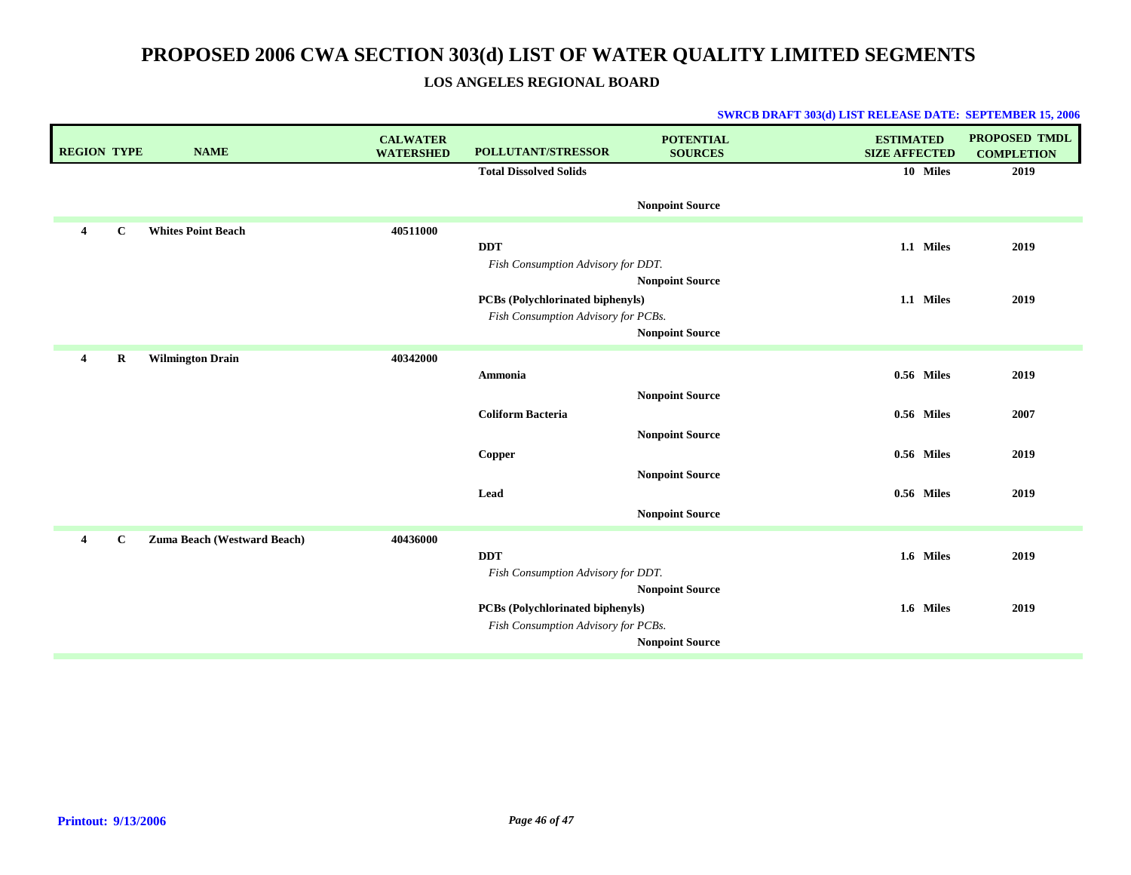**LOS ANGELES REGIONAL BOARD**

| <b>REGION TYPE</b>      |              | <b>NAME</b>                 | <b>CALWATER</b><br><b>WATERSHED</b> | POLLUTANT/STRESSOR                               | <b>POTENTIAL</b><br><b>SOURCES</b> | <b>ESTIMATED</b><br><b>SIZE AFFECTED</b> | <b>PROPOSED TMDL</b><br><b>COMPLETION</b> |
|-------------------------|--------------|-----------------------------|-------------------------------------|--------------------------------------------------|------------------------------------|------------------------------------------|-------------------------------------------|
|                         |              |                             |                                     | <b>Total Dissolved Solids</b>                    |                                    | 10 Miles                                 | 2019                                      |
|                         |              |                             |                                     |                                                  | <b>Nonpoint Source</b>             |                                          |                                           |
| 4                       | $\mathbf C$  | <b>Whites Point Beach</b>   | 40511000                            |                                                  |                                    |                                          |                                           |
|                         |              |                             |                                     | <b>DDT</b>                                       |                                    | 1.1 Miles                                | 2019                                      |
|                         |              |                             |                                     | Fish Consumption Advisory for DDT.               | <b>Nonpoint Source</b>             |                                          |                                           |
|                         |              |                             |                                     | PCBs (Polychlorinated biphenyls)                 |                                    | 1.1 Miles                                | 2019                                      |
|                         |              |                             |                                     | Fish Consumption Advisory for PCBs.              |                                    |                                          |                                           |
|                         |              |                             |                                     |                                                  | <b>Nonpoint Source</b>             |                                          |                                           |
| $\overline{\mathbf{4}}$ | $\bf R$      | <b>Wilmington Drain</b>     | 40342000                            | Ammonia                                          |                                    | 0.56 Miles                               | 2019                                      |
|                         |              |                             |                                     |                                                  | <b>Nonpoint Source</b>             |                                          |                                           |
|                         |              |                             |                                     | <b>Coliform Bacteria</b>                         |                                    | 0.56 Miles                               | 2007                                      |
|                         |              |                             |                                     |                                                  | <b>Nonpoint Source</b>             |                                          |                                           |
|                         |              |                             |                                     | Copper                                           |                                    | 0.56 Miles                               | 2019                                      |
|                         |              |                             |                                     |                                                  | <b>Nonpoint Source</b>             |                                          |                                           |
|                         |              |                             |                                     | Lead                                             |                                    | 0.56 Miles                               | 2019                                      |
|                         |              |                             |                                     |                                                  | <b>Nonpoint Source</b>             |                                          |                                           |
| $\overline{4}$          | $\mathbf{C}$ | Zuma Beach (Westward Beach) | 40436000                            |                                                  |                                    |                                          |                                           |
|                         |              |                             |                                     | <b>DDT</b><br>Fish Consumption Advisory for DDT. |                                    | 1.6 Miles                                | 2019                                      |
|                         |              |                             |                                     |                                                  | <b>Nonpoint Source</b>             |                                          |                                           |
|                         |              |                             |                                     | <b>PCBs (Polychlorinated biphenyls)</b>          |                                    | 1.6 Miles                                | 2019                                      |
|                         |              |                             |                                     | Fish Consumption Advisory for PCBs.              |                                    |                                          |                                           |
|                         |              |                             |                                     |                                                  | <b>Nonpoint Source</b>             |                                          |                                           |